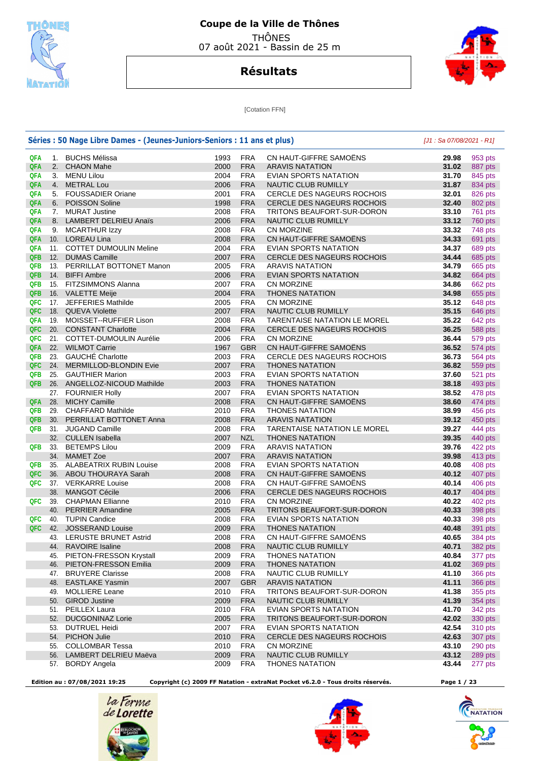

## **Coupe de la Ville de Thônes**  THÔNES

07 août 2021 - Bassin de 25 m

## **Résultats**



[Cotation FFN]

|            |     | Séries : 50 Nage Libre Dames - (Jeunes-Juniors-Seniors : 11 ans et plus) |      | [J1: Sa 07/08/2021 - R1] |                                     |       |         |
|------------|-----|--------------------------------------------------------------------------|------|--------------------------|-------------------------------------|-------|---------|
| QFA        |     | 1. BUCHS Mélissa                                                         | 1993 | <b>FRA</b>               | CN HAUT-GIFFRE SAMOENS              | 29.98 | 953 pts |
| QFA        |     | 2. CHAON Mahe                                                            | 2000 | <b>FRA</b>               | <b>ARAVIS NATATION</b>              | 31.02 | 887 pts |
| QFA        |     | 3. MENU Lilou                                                            | 2004 | <b>FRA</b>               | EVIAN SPORTS NATATION               | 31.70 | 845 pts |
| QFA        |     | 4. METRAL Lou                                                            | 2006 | <b>FRA</b>               | NAUTIC CLUB RUMILLY                 | 31.87 | 834 pts |
| QFA        |     | 5. FOUSSADIER Oriane                                                     | 2001 | <b>FRA</b>               | <b>CERCLE DES NAGEURS ROCHOIS</b>   | 32.01 | 826 pts |
| QFA        | 6.  | <b>POISSON Soline</b>                                                    | 1998 | <b>FRA</b>               | CERCLE DES NAGEURS ROCHOIS          | 32.40 | 802 pts |
| QFA        |     | 7. MURAT Justine                                                         | 2008 | <b>FRA</b>               | TRITONS BEAUFORT-SUR-DORON          | 33.10 | 761 pts |
| QFA        |     | 8. LAMBERT DELRIEU Anaïs                                                 | 2006 | <b>FRA</b>               | NAUTIC CLUB RUMILLY                 | 33.12 | 760 pts |
| QFA        |     | 9. MCARTHUR Izzy                                                         | 2008 | <b>FRA</b>               | <b>CN MORZINE</b>                   | 33.32 | 748 pts |
| QFA        |     | 10. LOREAU Lina                                                          | 2008 | <b>FRA</b>               | CN HAUT-GIFFRE SAMOËNS              | 34.33 | 691 pts |
| QFA        |     | 11. COTTET DUMOULIN Meline                                               | 2004 | <b>FRA</b>               | EVIAN SPORTS NATATION               | 34.37 | 689 pts |
| QFB        |     | 12. DUMAS Camille                                                        | 2007 | <b>FRA</b>               | <b>CERCLE DES NAGEURS ROCHOIS</b>   | 34.44 | 685 pts |
| QFB        |     | 13. PERRILLAT BOTTONET Manon                                             | 2005 | <b>FRA</b>               | <b>ARAVIS NATATION</b>              | 34.79 | 665 pts |
| <b>QFB</b> | 14. | <b>BIFFI Ambre</b>                                                       | 2006 | <b>FRA</b>               | EVIAN SPORTS NATATION               | 34.82 | 664 pts |
| QFB        |     | 15. FITZSIMMONS Alanna                                                   | 2007 | <b>FRA</b>               | <b>CN MORZINE</b>                   | 34.86 | 662 pts |
| <b>QFB</b> |     | 16. VALETTE Meije                                                        | 2004 | <b>FRA</b>               | <b>THONES NATATION</b>              | 34.98 | 655 pts |
| QFC        |     | 17. JEFFERIES Mathilde                                                   | 2005 | <b>FRA</b>               | <b>CN MORZINE</b>                   | 35.12 | 648 pts |
| QFC        |     | 18. QUEVA Violette                                                       | 2007 | <b>FRA</b>               | NAUTIC CLUB RUMILLY                 | 35.15 | 646 pts |
| QFA        |     | 19. MOISSET--RUFFIER Lison                                               | 2008 | <b>FRA</b>               | <b>TARENTAISE NATATION LE MOREL</b> | 35.22 | 642 pts |
| QFC        |     | 20. CONSTANT Charlotte                                                   | 2004 | <b>FRA</b>               | CERCLE DES NAGEURS ROCHOIS          | 36.25 | 588 pts |
| QFC        |     | 21. COTTET-DUMOULIN Aurélie                                              | 2006 | <b>FRA</b>               | <b>CN MORZINE</b>                   | 36.44 | 579 pts |
| QFA        |     | 22. WILMOT Carrie                                                        | 1967 | <b>GBR</b>               | CN HAUT-GIFFRE SAMOËNS              | 36.52 | 574 pts |
| QFB        |     | 23. GAUCHÉ Charlotte                                                     | 2003 | <b>FRA</b>               | CERCLE DES NAGEURS ROCHOIS          | 36.73 | 564 pts |
| QFC        |     | 24. MERMILLOD-BLONDIN Evie                                               | 2007 | <b>FRA</b>               | <b>THONES NATATION</b>              | 36.82 | 559 pts |
| <b>QFB</b> |     | 25. GAUTHIER Marion                                                      | 2003 | <b>FRA</b>               | EVIAN SPORTS NATATION               | 37.60 | 521 pts |
| QFB        |     | 26. ANGELLOZ-NICOUD Mathilde                                             | 2003 | <b>FRA</b>               | <b>THONES NATATION</b>              | 38.18 | 493 pts |
|            |     |                                                                          | 2007 | <b>FRA</b>               | EVIAN SPORTS NATATION               | 38.52 |         |
| QFA        | 28. | 27. FOURNIER Holly<br><b>MICHY Camille</b>                               | 2008 | <b>FRA</b>               | CN HAUT-GIFFRE SAMOËNS              | 38.60 | 478 pts |
| QFB        |     |                                                                          | 2010 | <b>FRA</b>               |                                     |       | 474 pts |
| QFB        |     | 29. CHAFFARD Mathilde                                                    |      | <b>FRA</b>               | <b>THONES NATATION</b>              | 38.99 | 456 pts |
|            | 30. | PERRILLAT BOTTONET Anna                                                  | 2008 | <b>FRA</b>               | <b>ARAVIS NATATION</b>              | 39.12 | 450 pts |
| QFB        |     | 31. JUGAND Camille                                                       | 2008 |                          | <b>TARENTAISE NATATION LE MOREL</b> | 39.27 | 444 pts |
|            |     | 32. CULLEN Isabella                                                      | 2007 | <b>NZL</b>               | <b>THONES NATATION</b>              | 39.35 | 440 pts |
| QFB        |     | 33. BETEMPS Lilou                                                        | 2009 | <b>FRA</b>               | <b>ARAVIS NATATION</b>              | 39.76 | 422 pts |
|            |     | 34. MAMET Zoe                                                            | 2007 | <b>FRA</b>               | <b>ARAVIS NATATION</b>              | 39.98 | 413 pts |
| QFB        |     | 35. ALABEATRIX RUBIN Louise                                              | 2008 | <b>FRA</b>               | EVIAN SPORTS NATATION               | 40.08 | 408 pts |
| QFC        |     | 36. ABOU THOURAYA Sarah                                                  | 2008 | <b>FRA</b>               | CN HAUT-GIFFRE SAMOENS              | 40.12 | 407 pts |
| QFC        |     | 37. VERKARRE Louise                                                      | 2008 | <b>FRA</b>               | CN HAUT-GIFFRE SAMOENS              | 40.14 | 406 pts |
|            | 38. | <b>MANGOT Cécile</b>                                                     | 2006 | <b>FRA</b>               | CERCLE DES NAGEURS ROCHOIS          | 40.17 | 404 pts |
| QFC        | 39. | <b>CHAPMAN Ellianne</b>                                                  | 2010 | <b>FRA</b>               | <b>CN MORZINE</b>                   | 40.22 | 402 pts |
|            | 40. | <b>PERRIER Amandine</b>                                                  | 2005 | <b>FRA</b>               | TRITONS BEAUFORT-SUR-DORON          | 40.33 | 398 pts |
| QFC        |     | 40. TUPIN Candice                                                        | 2008 | <b>FRA</b>               | EVIAN SPORTS NATATION               | 40.33 | 398 pts |
| QFC        | 42. | <b>JOSSERAND Louise</b>                                                  | 2009 | <b>FRA</b>               | <b>THONES NATATION</b>              | 40.48 | 391 pts |
|            | 43. | <b>LERUSTE BRUNET Astrid</b>                                             | 2008 | <b>FRA</b>               | CN HAUT-GIFFRE SAMOËNS              | 40.65 | 384 pts |
|            | 44. | <b>RAVOIRE Isaline</b>                                                   | 2008 | <b>FRA</b>               | NAUTIC CLUB RUMILLY                 | 40.71 | 382 pts |
|            | 45. | PIETON-FRESSON Krystall                                                  | 2009 | <b>FRA</b>               | <b>THONES NATATION</b>              | 40.84 | 377 pts |
|            | 46. | PIETON-FRESSON Emilia                                                    | 2009 | <b>FRA</b>               | <b>THONES NATATION</b>              | 41.02 | 369 pts |
|            |     | 47. BRUYERE Clarisse                                                     | 2008 | <b>FRA</b>               | NAUTIC CLUB RUMILLY                 | 41.10 | 366 pts |
|            | 48. | <b>EASTLAKE Yasmin</b>                                                   | 2007 | <b>GBR</b>               | <b>ARAVIS NATATION</b>              | 41.11 | 366 pts |
|            | 49. | <b>MOLLIERE Leane</b>                                                    | 2010 | <b>FRA</b>               | TRITONS BEAUFORT-SUR-DORON          | 41.38 | 355 pts |
|            |     | 50. GIROD Justine                                                        | 2009 | <b>FRA</b>               | NAUTIC CLUB RUMILLY                 | 41.39 | 354 pts |
|            |     | 51. PEILLEX Laura                                                        | 2010 | <b>FRA</b>               | EVIAN SPORTS NATATION               | 41.70 | 342 pts |
|            | 52. | <b>DUCGONINAZ Lorie</b>                                                  | 2005 | <b>FRA</b>               | TRITONS BEAUFORT-SUR-DORON          | 42.02 | 330 pts |
|            |     | 53. DUTRUEL Heidi                                                        | 2007 | <b>FRA</b>               | EVIAN SPORTS NATATION               | 42.54 | 310 pts |
|            |     | 54. PICHON Julie                                                         | 2010 | <b>FRA</b>               | CERCLE DES NAGEURS ROCHOIS          | 42.63 | 307 pts |
|            | 55. | <b>COLLOMBAR Tessa</b>                                                   | 2010 | <b>FRA</b>               | CN MORZINE                          | 43.10 | 290 pts |
|            |     | 56. LAMBERT DELRIEU Maëva                                                | 2009 | <b>FRA</b>               | NAUTIC CLUB RUMILLY                 | 43.12 | 289 pts |
|            |     | 57. BORDY Angela                                                         | 2009 | <b>FRA</b>               | <b>THONES NATATION</b>              | 43.44 | 277 pts |

 **Edition au : 07/08/2021 19:25 Copyright (c) 2009 FF Natation - extraNat Pocket v6.2.0 - Tous droits réservés. Page 1 / 23** 







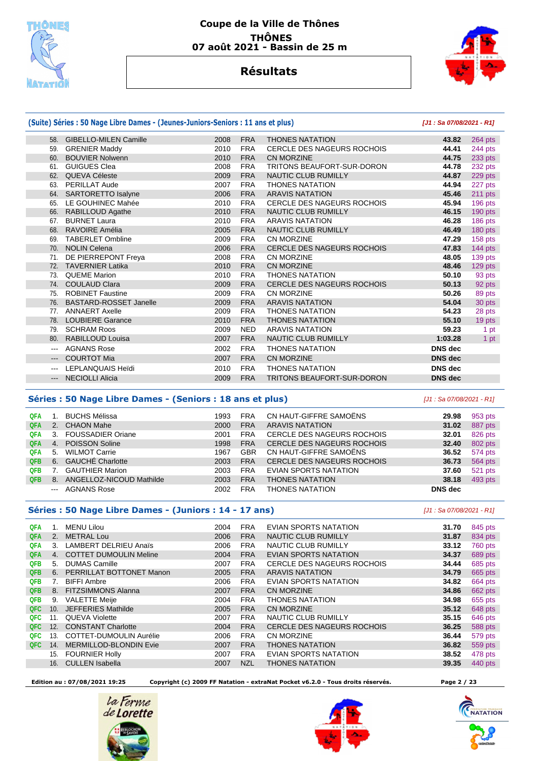



## **Résultats**

|                     | (Suite) Séries : 50 Nage Libre Dames - (Jeunes-Juniors-Seniors : 11 ans et plus) |      | [J1: Sa 07/08/2021 - R1] |                                   |                |           |
|---------------------|----------------------------------------------------------------------------------|------|--------------------------|-----------------------------------|----------------|-----------|
|                     | 58. GIBELLO-MILEN Camille                                                        | 2008 | <b>FRA</b>               | <b>THONES NATATION</b>            | 43.82          | $264$ pts |
| 59.                 | <b>GRENIER Maddy</b>                                                             | 2010 | <b>FRA</b>               | CERCLE DES NAGEURS ROCHOIS        | 44.41          | 244 pts   |
|                     | 60. BOUVIER Nolwenn                                                              | 2010 | <b>FRA</b>               | <b>CN MORZINE</b>                 | 44.75          | 233 pts   |
| 61.                 | <b>GUIGUES Clea</b>                                                              | 2008 | <b>FRA</b>               | <b>TRITONS BEAUFORT-SUR-DORON</b> | 44.78          | 232 pts   |
|                     | 62. QUEVA Céleste                                                                | 2009 | <b>FRA</b>               | <b>NAUTIC CLUB RUMILLY</b>        | 44.87          | 229 pts   |
| 63.                 | <b>PERILLAT Aude</b>                                                             | 2007 | <b>FRA</b>               | <b>THONES NATATION</b>            | 44.94          | 227 pts   |
|                     | 64. SARTORETTO Isalyne                                                           | 2006 | <b>FRA</b>               | <b>ARAVIS NATATION</b>            | 45.46          | 211 pts   |
| 65.                 | LE GOUHINEC Mahée                                                                | 2010 | <b>FRA</b>               | <b>CERCLE DES NAGEURS ROCHOIS</b> | 45.94          | $196$ pts |
| 66.                 | <b>RABILLOUD Agathe</b>                                                          | 2010 | <b>FRA</b>               | <b>NAUTIC CLUB RUMILLY</b>        | 46.15          | 190 pts   |
| 67.                 | <b>BURNET Laura</b>                                                              | 2010 | <b>FRA</b>               | <b>ARAVIS NATATION</b>            | 46.28          | 186 pts   |
|                     | 68. RAVOIRE Amélia                                                               | 2005 | <b>FRA</b>               | NAUTIC CLUB RUMILLY               | 46.49          | 180 pts   |
| 69.                 | <b>TABERLET Ombline</b>                                                          | 2009 | <b>FRA</b>               | CN MORZINE                        | 47.29          | 158 pts   |
|                     | 70. NOLIN Celena                                                                 | 2006 | <b>FRA</b>               | <b>CERCLE DES NAGEURS ROCHOIS</b> | 47.83          | 144 pts   |
| 71.                 | DE PIERREPONT Freya                                                              | 2008 | <b>FRA</b>               | <b>CN MORZINE</b>                 | 48.05          | 139 pts   |
| 72.                 | <b>TAVERNIER Latika</b>                                                          | 2010 | <b>FRA</b>               | CN MORZINE                        | 48.46          | 129 pts   |
| 73.                 | <b>QUEME Marion</b>                                                              | 2010 | <b>FRA</b>               | <b>THONES NATATION</b>            | 50.10          | 93 pts    |
|                     | 74. COULAUD Clara                                                                | 2009 | <b>FRA</b>               | <b>CERCLE DES NAGEURS ROCHOIS</b> | 50.13          | 92 pts    |
| 75.                 | <b>ROBINET Faustine</b>                                                          | 2009 | <b>FRA</b>               | CN MORZINE                        | 50.26          | 89 pts    |
| 76.                 | <b>BASTARD-ROSSET Janelle</b>                                                    | 2009 | <b>FRA</b>               | <b>ARAVIS NATATION</b>            | 54.04          | 30 pts    |
| 77.                 | <b>ANNAERT Axelle</b>                                                            | 2009 | <b>FRA</b>               | <b>THONES NATATION</b>            | 54.23          | 28 pts    |
| 78.                 | <b>LOUBIERE Garance</b>                                                          | 2010 | <b>FRA</b>               | <b>THONES NATATION</b>            | 55.10          | 19 pts    |
| 79.                 | <b>SCHRAM Roos</b>                                                               | 2009 | <b>NED</b>               | <b>ARAVIS NATATION</b>            | 59.23          | 1 pt      |
| 80.                 | <b>RABILLOUD Louisa</b>                                                          | 2007 | <b>FRA</b>               | <b>NAUTIC CLUB RUMILLY</b>        | 1:03.28        | 1 pt      |
| $\qquad \qquad - -$ | <b>AGNANS Rose</b>                                                               | 2002 | <b>FRA</b>               | <b>THONES NATATION</b>            | <b>DNS</b> dec |           |
| $---$               | <b>COURTOT Mia</b>                                                               | 2007 | <b>FRA</b>               | CN MORZINE                        | <b>DNS</b> dec |           |
| $---$               | <b>LEPLANQUAIS Heidi</b>                                                         | 2010 | <b>FRA</b>               | <b>THONES NATATION</b>            | <b>DNS</b> dec |           |
|                     | --- NECIOLLI Alicia                                                              | 2009 | <b>FRA</b>               | <b>TRITONS BEAUFORT-SUR-DORON</b> | <b>DNS</b> dec |           |
|                     |                                                                                  |      |                          |                                   |                |           |

#### **Séries : 50 Nage Libre Dames - (Seniors : 18 ans et plus)** [J1 : Sa 07/08/2021 - R1]

| <b>QFA</b> |                                                                                                                                                                                                                                                                                                                                                                                                                                                                            | <b>BUCHS Mélissa</b>     | 1993 | <b>FRA</b> | CN HAUT-GIFFRE SAMOËNS            | 29.98   | 953 pts |
|------------|----------------------------------------------------------------------------------------------------------------------------------------------------------------------------------------------------------------------------------------------------------------------------------------------------------------------------------------------------------------------------------------------------------------------------------------------------------------------------|--------------------------|------|------------|-----------------------------------|---------|---------|
| <b>QFA</b> |                                                                                                                                                                                                                                                                                                                                                                                                                                                                            | 2. CHAON Mahe            | 2000 | <b>FRA</b> | <b>ARAVIS NATATION</b>            | 31.02   | 887 pts |
| <b>QFA</b> | 3.                                                                                                                                                                                                                                                                                                                                                                                                                                                                         | <b>FOUSSADIER Oriane</b> | 2001 | <b>FRA</b> | <b>CERCLE DES NAGEURS ROCHOIS</b> | 32.01   | 826 pts |
| <b>QFA</b> | 4.                                                                                                                                                                                                                                                                                                                                                                                                                                                                         | <b>POISSON Soline</b>    | 1998 | <b>FRA</b> | <b>CERCLE DES NAGEURS ROCHOIS</b> | 32.40   | 802 pts |
| <b>QFA</b> | 5.                                                                                                                                                                                                                                                                                                                                                                                                                                                                         | <b>WILMOT Carrie</b>     | 1967 | GBR        | CN HAUT-GIFFRE SAMOËNS            | 36.52   | 574 pts |
| <b>QFB</b> |                                                                                                                                                                                                                                                                                                                                                                                                                                                                            | 6. GAUCHÉ Charlotte      | 2003 | <b>FRA</b> | <b>CERCLE DES NAGEURS ROCHOIS</b> | 36.73   | 564 pts |
| <b>QFB</b> |                                                                                                                                                                                                                                                                                                                                                                                                                                                                            | <b>GAUTHIER Marion</b>   | 2003 | <b>FRA</b> | EVIAN SPORTS NATATION             | 37.60   | 521 pts |
| <b>QFB</b> | 8.                                                                                                                                                                                                                                                                                                                                                                                                                                                                         | ANGELLOZ-NICOUD Mathilde | 2003 | <b>FRA</b> | <b>THONES NATATION</b>            | 38.18   | 493 pts |
|            | $\frac{1}{2} \left( \frac{1}{2} \right) \left( \frac{1}{2} \right) \left( \frac{1}{2} \right) \left( \frac{1}{2} \right) \left( \frac{1}{2} \right) \left( \frac{1}{2} \right) \left( \frac{1}{2} \right) \left( \frac{1}{2} \right) \left( \frac{1}{2} \right) \left( \frac{1}{2} \right) \left( \frac{1}{2} \right) \left( \frac{1}{2} \right) \left( \frac{1}{2} \right) \left( \frac{1}{2} \right) \left( \frac{1}{2} \right) \left( \frac{1}{2} \right) \left( \frac$ | AGNANS Rose              | 2002 | <b>FRA</b> | <b>THONES NATATION</b>            | DNS dec |         |

### **Séries : 50 Nage Libre Dames - (Juniors : 14 - 17 ans)** [J1 : Sa 07/08/2021 - R1]

| <b>QFA</b> |     | <b>MENU Lilou</b>              | 2004 | <b>FRA</b> | EVIAN SPORTS NATATION             | 31.70 | 845 pts |
|------------|-----|--------------------------------|------|------------|-----------------------------------|-------|---------|
| <b>QFA</b> | 2.  | <b>METRAL Lou</b>              | 2006 | <b>FRA</b> | <b>NAUTIC CLUB RUMILLY</b>        | 31.87 | 834 pts |
| QFA        | 3.  | <b>LAMBERT DELRIEU Anaïs</b>   | 2006 | <b>FRA</b> | NAUTIC CLUB RUMILLY               | 33.12 | 760 pts |
| <b>QFA</b> |     | 4. COTTET DUMOULIN Meline      | 2004 | <b>FRA</b> | <b>EVIAN SPORTS NATATION</b>      | 34.37 | 689 pts |
| <b>QFB</b> | 5.  | <b>DUMAS Camille</b>           | 2007 | <b>FRA</b> | CERCLE DES NAGEURS ROCHOIS        | 34.44 | 685 pts |
| <b>QFB</b> |     | 6. PERRILLAT BOTTONET Manon    | 2005 | <b>FRA</b> | <b>ARAVIS NATATION</b>            | 34.79 | 665 pts |
| QFB        | 7.  | <b>BIFFI Ambre</b>             | 2006 | <b>FRA</b> | EVIAN SPORTS NATATION             | 34.82 | 664 pts |
| QFB        |     | 8. FITZSIMMONS Alanna          | 2007 | <b>FRA</b> | <b>CN MORZINE</b>                 | 34.86 | 662 pts |
| <b>QFB</b> | 9.  | <b>VALETTE Meije</b>           | 2004 | <b>FRA</b> | <b>THONES NATATION</b>            | 34.98 | 655 pts |
| QFC.       | 10. | <b>JEFFERIES Mathilde</b>      | 2005 | <b>FRA</b> | <b>CN MORZINE</b>                 | 35.12 | 648 pts |
| QFC        | 11. | QUEVA Violette                 | 2007 | <b>FRA</b> | NAUTIC CLUB RUMILLY               | 35.15 | 646 pts |
| QFC        | 12. | <b>CONSTANT Charlotte</b>      | 2004 | <b>FRA</b> | <b>CERCLE DES NAGEURS ROCHOIS</b> | 36.25 | 588 pts |
| QFC.       | 13. | <b>COTTET-DUMOULIN Aurélie</b> | 2006 | <b>FRA</b> | <b>CN MORZINE</b>                 | 36.44 | 579 pts |
| QFC.       | 14. | <b>MERMILLOD-BLONDIN Evie</b>  | 2007 | <b>FRA</b> | <b>THONES NATATION</b>            | 36.82 | 559 pts |
|            | 15. | <b>FOURNIER Holly</b>          | 2007 | <b>FRA</b> | EVIAN SPORTS NATATION             | 38.52 | 478 pts |
|            | 16. | <b>CULLEN Isabella</b>         | 2007 | <b>NZL</b> | <b>THONES NATATION</b>            | 39.35 | 440 pts |

 **Edition au : 07/08/2021 19:25 Copyright (c) 2009 FF Natation - extraNat Pocket v6.2.0 - Tous droits réservés. Page 2 / 23** 







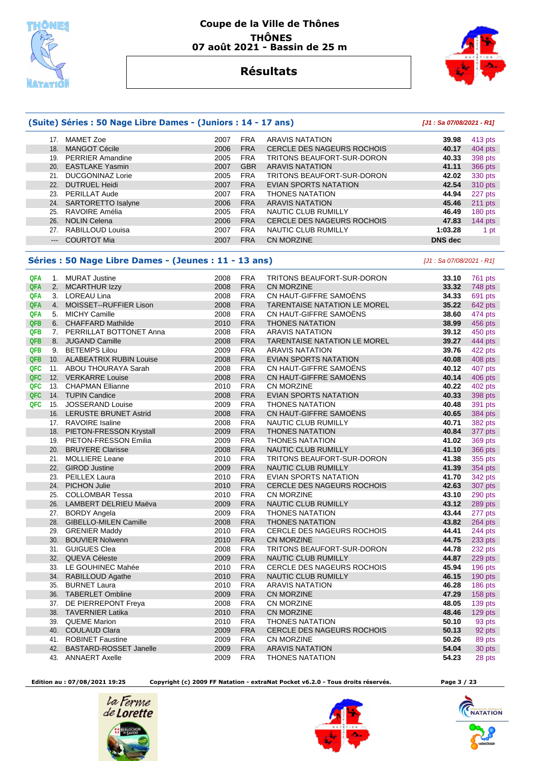



### **Résultats**

**(Suite) Séries : 50 Nage Libre Dames - (Juniors : 14 - 17 ans) [J1 : Sa 07/08/2021 - R1]**

|            |                     | 17. MAMET Zoe                                         | 2007         | <b>FRA</b>               | <b>ARAVIS NATATION</b>                        | 39.98                    | 413 pts            |
|------------|---------------------|-------------------------------------------------------|--------------|--------------------------|-----------------------------------------------|--------------------------|--------------------|
|            | 18.                 | <b>MANGOT Cécile</b>                                  | 2006         | <b>FRA</b>               | <b>CERCLE DES NAGEURS ROCHOIS</b>             | 40.17                    | 404 pts            |
|            | 19.                 | <b>PERRIER Amandine</b>                               | 2005         | <b>FRA</b>               | TRITONS BEAUFORT-SUR-DORON                    | 40.33                    | 398 pts            |
|            | 20.                 | <b>EASTLAKE Yasmin</b>                                | 2007         | <b>GBR</b>               | <b>ARAVIS NATATION</b>                        | 41.11                    | <b>366 pts</b>     |
|            |                     | 21. DUCGONINAZ Lorie                                  | 2005         | <b>FRA</b>               | TRITONS BEAUFORT-SUR-DORON                    | 42.02                    | 330 pts            |
|            | 22.                 | <b>DUTRUEL Heidi</b>                                  | 2007         | <b>FRA</b>               | EVIAN SPORTS NATATION                         | 42.54                    | 310 pts            |
|            |                     | 23. PERILLAT Aude                                     | 2007         | <b>FRA</b>               | <b>THONES NATATION</b>                        | 44.94                    | 227 pts            |
|            |                     | 24. SARTORETTO Isalyne                                | 2006         | <b>FRA</b>               | <b>ARAVIS NATATION</b>                        | 45.46                    | 211 pts            |
|            | 25.                 | RAVOIRE Amélia                                        | 2005         | <b>FRA</b>               | NAUTIC CLUB RUMILLY                           | 46.49                    | 180 pts            |
|            | 26.                 | <b>NOLIN Celena</b>                                   | 2006         | <b>FRA</b>               | <b>CERCLE DES NAGEURS ROCHOIS</b>             | 47.83                    | 144 pts            |
|            | 27.                 | RABILLOUD Louisa                                      | 2007         | <b>FRA</b>               | NAUTIC CLUB RUMILLY                           | 1:03.28                  |                    |
|            |                     |                                                       |              |                          |                                               |                          | 1 pt               |
|            | $\qquad \qquad - -$ | <b>COURTOT Mia</b>                                    | 2007         | <b>FRA</b>               | <b>CN MORZINE</b>                             | <b>DNS</b> dec           |                    |
|            |                     | Séries : 50 Nage Libre Dames - (Jeunes : 11 - 13 ans) |              |                          |                                               | [J1: Sa 07/08/2021 - R1] |                    |
| QFA        |                     | 1. MURAT Justine                                      | 2008         | <b>FRA</b>               | TRITONS BEAUFORT-SUR-DORON                    | 33.10                    | 761 pts            |
| QFA        |                     | 2. MCARTHUR Izzy                                      | 2008         | <b>FRA</b>               | <b>CN MORZINE</b>                             | 33.32                    | 748 pts            |
| QFA        |                     | 3. LOREAU Lina                                        | 2008         | <b>FRA</b>               | CN HAUT-GIFFRE SAMOËNS                        | 34.33                    | 691 pts            |
| QFA        |                     | 4. MOISSET--RUFFIER Lison                             | 2008         | <b>FRA</b>               | <b>TARENTAISE NATATION LE MOREL</b>           | 35.22                    | 642 pts            |
| QFA        |                     | 5. MICHY Camille                                      | 2008         | <b>FRA</b>               | CN HAUT-GIFFRE SAMOENS                        | 38.60                    | 474 pts            |
| QFB        |                     | 6. CHAFFARD Mathilde                                  | 2010         | <b>FRA</b>               | <b>THONES NATATION</b>                        | 38.99                    | 456 pts            |
| QFB        |                     | 7. PERRILLAT BOTTONET Anna                            | 2008         | <b>FRA</b>               | <b>ARAVIS NATATION</b>                        | 39.12                    | 450 pts            |
| QFB        |                     | 8. JUGAND Camille                                     | 2008         | <b>FRA</b>               | <b>TARENTAISE NATATION LE MOREL</b>           | 39.27                    | 444 pts            |
| QFB        |                     | 9. BETEMPS Lilou                                      | 2009         | <b>FRA</b>               | <b>ARAVIS NATATION</b>                        | 39.76                    | 422 pts            |
| <b>QFB</b> |                     | 10. ALABEATRIX RUBIN Louise                           | 2008         | <b>FRA</b>               | <b>EVIAN SPORTS NATATION</b>                  | 40.08                    | 408 pts            |
| QFC        |                     | 11. ABOU THOURAYA Sarah                               | 2008         | <b>FRA</b>               | CN HAUT-GIFFRE SAMOENS                        | 40.12                    | 407 pts            |
| QFC        |                     | 12. VERKARRE Louise                                   | 2008         | <b>FRA</b>               | CN HAUT-GIFFRE SAMOËNS                        | 40.14                    | 406 pts            |
| QFC        |                     | 13. CHAPMAN Ellianne                                  | 2010         | <b>FRA</b>               | <b>CN MORZINE</b>                             | 40.22                    | 402 pts            |
| QFC        |                     | 14. TUPIN Candice                                     | 2008         | <b>FRA</b>               | <b>EVIAN SPORTS NATATION</b>                  | 40.33                    | 398 pts            |
| QFC        | 15.                 | <b>JOSSERAND Louise</b>                               | 2009         | <b>FRA</b>               | <b>THONES NATATION</b>                        | 40.48                    | 391 pts            |
|            |                     | 16. LERUSTE BRUNET Astrid                             | 2008         | <b>FRA</b>               | CN HAUT-GIFFRE SAMOENS                        | 40.65                    | 384 pts            |
|            |                     | 17. RAVOIRE Isaline                                   | 2008         | <b>FRA</b>               | NAUTIC CLUB RUMILLY                           | 40.71                    | 382 pts            |
|            | 18.                 | PIETON-FRESSON Krystall                               | 2009         | <b>FRA</b>               | <b>THONES NATATION</b>                        | 40.84                    | 377 pts            |
|            | 19.                 | <b>PIETON-FRESSON Emilia</b>                          | 2009         | <b>FRA</b>               | <b>THONES NATATION</b>                        | 41.02                    | 369 pts            |
|            | 20.                 | <b>BRUYERE Clarisse</b>                               | 2008         | <b>FRA</b>               | <b>NAUTIC CLUB RUMILLY</b>                    | 41.10                    | <b>366 pts</b>     |
|            | 21.                 | <b>MOLLIERE Leane</b>                                 | 2010         | <b>FRA</b>               | TRITONS BEAUFORT-SUR-DORON                    | 41.38                    |                    |
|            |                     | 22. GIROD Justine                                     | 2009         | <b>FRA</b>               | NAUTIC CLUB RUMILLY                           | 41.39                    | 355 pts<br>354 pts |
|            | 23.                 | <b>PEILLEX Laura</b>                                  | 2010         | <b>FRA</b>               | EVIAN SPORTS NATATION                         | 41.70                    |                    |
|            | 24.                 | <b>PICHON Julie</b>                                   | 2010         | <b>FRA</b>               | CERCLE DES NAGEURS ROCHOIS                    | 42.63                    | 342 pts            |
|            | 25.                 | <b>COLLOMBAR Tessa</b>                                | 2010         | <b>FRA</b>               | <b>CN MORZINE</b>                             | 43.10                    | 307 pts<br>290 pts |
|            |                     |                                                       |              |                          |                                               |                          |                    |
|            | 26.<br>27.          | LAMBERT DELRIEU Maëva                                 | 2009<br>2009 | <b>FRA</b><br><b>FRA</b> | NAUTIC CLUB RUMILLY<br><b>THONES NATATION</b> | 43.12<br>43.44           | 289 pts            |
|            | 28.                 | <b>BORDY Angela</b><br><b>GIBELLO-MILEN Camille</b>   | 2008         | <b>FRA</b>               | <b>THONES NATATION</b>                        | 43.82                    | 277 pts            |
|            |                     |                                                       | 2010         | <b>FRA</b>               |                                               | 44.41                    | 264 pts            |
|            | 29.                 | <b>GRENIER Maddy</b>                                  |              |                          | CERCLE DES NAGEURS ROCHOIS                    |                          | 244 pts            |
|            |                     | 30. BOUVIER Nolwenn                                   | 2010         | <b>FRA</b>               | <b>CN MORZINE</b>                             | 44.75                    | 233 pts            |
|            |                     | 31. GUIGUES Clea<br>32. QUEVA Céleste                 | 2008         | <b>FRA</b>               | TRITONS BEAUFORT-SUR-DORON                    | 44.78                    | 232 pts            |
|            |                     |                                                       | 2009         | <b>FRA</b>               | NAUTIC CLUB RUMILLY                           | 44.87                    | 229 pts            |
|            |                     | 33. LE GOUHINEC Mahée                                 | 2010         | <b>FRA</b>               | CERCLE DES NAGEURS ROCHOIS                    | 45.94                    | $196$ pts          |
|            |                     | 34. RABILLOUD Agathe                                  | 2010         | <b>FRA</b>               | NAUTIC CLUB RUMILLY                           | 46.15                    | 190 pts            |
|            | 35.                 | BURNET Laura                                          | 2010         | <b>FRA</b>               | ARAVIS NATATION                               | 46.28                    | 186 pts            |
|            |                     | 36. TABERLET Ombline                                  | 2009         | <b>FRA</b>               | CN MORZINE                                    | 47.29                    | 158 pts            |
|            |                     | 37. DE PIERREPONT Freya                               | 2008         | <b>FRA</b>               | CN MORZINE                                    | 48.05                    | 139 pts            |
|            |                     | 38. TAVERNIER Latika                                  | 2010         | <b>FRA</b>               | CN MORZINE                                    | 48.46                    | 129 pts            |
|            |                     | 39. QUEME Marion                                      | 2010         | <b>FRA</b>               | <b>THONES NATATION</b>                        | 50.10                    | 93 pts             |
|            |                     | 40. COULAUD Clara                                     | 2009         | <b>FRA</b>               | CERCLE DES NAGEURS ROCHOIS                    | 50.13                    | 92 pts             |
|            |                     | 41. ROBINET Faustine                                  | 2009         | <b>FRA</b>               | CN MORZINE                                    | 50.26                    | 89 pts             |
|            | 42.                 | <b>BASTARD-ROSSET Janelle</b>                         | 2009         | <b>FRA</b>               | <b>ARAVIS NATATION</b>                        | 54.04                    | 30 pts             |
|            |                     | 43. ANNAERT Axelle                                    | 2009         | <b>FRA</b>               | <b>THONES NATATION</b>                        | 54.23                    | 28 pts             |

 **Edition au : 07/08/2021 19:25 Copyright (c) 2009 FF Natation - extraNat Pocket v6.2.0 - Tous droits réservés. Page 3 / 23** 





NATATION

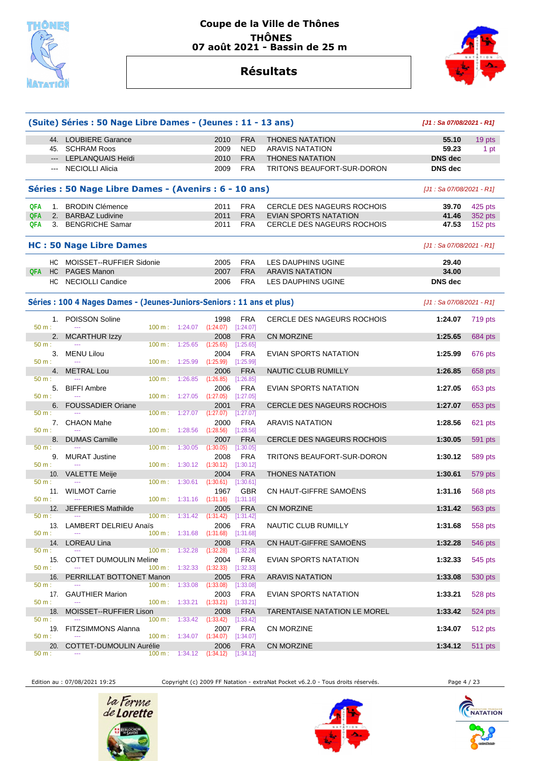



### **Résultats**

|                 | (Suite) Séries : 50 Nage Libre Dames - (Jeunes : 11 - 13 ans)          |                   |                          | [J1: Sa 07/08/2021 - R1]                   |                         |                                   |                            |                |
|-----------------|------------------------------------------------------------------------|-------------------|--------------------------|--------------------------------------------|-------------------------|-----------------------------------|----------------------------|----------------|
|                 | 44. LOUBIERE Garance                                                   |                   |                          | 2010                                       | <b>FRA</b>              | <b>THONES NATATION</b>            | 55.10                      | 19 pts         |
|                 | 45. SCHRAM Roos                                                        |                   |                          | 2009                                       | <b>NED</b>              | <b>ARAVIS NATATION</b>            | 59.23                      | 1 pt           |
|                 | --- LEPLANQUAIS Heidi                                                  |                   |                          | 2010                                       | <b>FRA</b>              | <b>THONES NATATION</b>            | <b>DNS dec</b>             |                |
|                 | --- NECIOLLI Alicia                                                    |                   |                          | 2009                                       | <b>FRA</b>              | TRITONS BEAUFORT-SUR-DORON        | <b>DNS</b> dec             |                |
|                 | Séries : 50 Nage Libre Dames - (Avenirs : 6 - 10 ans)                  |                   |                          |                                            |                         |                                   | $[J1: Sa 07/08/2021 - R1]$ |                |
| <b>QFA</b>      | 1. BRODIN Clémence                                                     |                   |                          | 2011                                       | <b>FRA</b>              | <b>CERCLE DES NAGEURS ROCHOIS</b> | 39.70                      | 425 pts        |
| QFA             | 2. BARBAZ Ludivine                                                     |                   |                          | 2011                                       | <b>FRA</b>              | EVIAN SPORTS NATATION             | 41.46                      | 352 pts        |
| QFA             | 3. BENGRICHE Samar                                                     |                   |                          | 2011                                       | <b>FRA</b>              | <b>CERCLE DES NAGEURS ROCHOIS</b> | 47.53                      | 152 pts        |
|                 | <b>HC: 50 Nage Libre Dames</b>                                         |                   |                          |                                            |                         |                                   | [J1 : Sa 07/08/2021 - R1]  |                |
|                 | HC MOISSET--RUFFIER Sidonie                                            |                   |                          | 2005                                       | <b>FRA</b>              | LES DAUPHINS UGINE                | 29.40                      |                |
|                 | QFA HC PAGES Manon                                                     |                   |                          | 2007                                       | <b>FRA</b>              | <b>ARAVIS NATATION</b>            | 34.00                      |                |
|                 | HC NECIOLLI Candice                                                    |                   |                          | 2006                                       | <b>FRA</b>              | LES DAUPHINS UGINE                | <b>DNS</b> dec             |                |
|                 | Séries : 100 4 Nages Dames - (Jeunes-Juniors-Seniors : 11 ans et plus) |                   |                          |                                            |                         |                                   | [J1 : Sa 07/08/2021 - R1]  |                |
|                 | 1. POISSON Soline                                                      |                   |                          | 1998                                       | <b>FRA</b>              | CERCLE DES NAGEURS ROCHOIS        | 1:24.07                    | 719 pts        |
| 50 m:           |                                                                        |                   | 100 m: 1:24.07           | $(1:24.07)$ $[1:24.07]$                    |                         |                                   |                            |                |
| $50 m$ :        | 2. MCARTHUR Izzy                                                       |                   | 100 m: 1:25.65           | 2008<br>(1:25.65)                          | <b>FRA</b><br>[1:25.65] | CN MORZINE                        | 1:25.65                    | 684 pts        |
|                 | 3. MENU Lilou                                                          |                   |                          | 2004                                       | <b>FRA</b>              | EVIAN SPORTS NATATION             | 1:25.99                    | 676 pts        |
| 50 m:           | $\sim$                                                                 |                   | 100 m: 1:25.99           | (1:25.99)                                  | [1:25.99]               |                                   |                            |                |
|                 | 4. METRAL Lou                                                          |                   |                          | 2006                                       | <b>FRA</b>              | NAUTIC CLUB RUMILLY               | 1:26.85                    | 658 pts        |
| $50 m$ :        |                                                                        | 100 m:            | 1:26.85                  | (1:26.85)                                  | [1:26.85]               |                                   |                            |                |
| 5.<br>50 m:     | <b>BIFFI Ambre</b>                                                     |                   | 100 m: 1:27.05           | 2006<br>(1:27.05)                          | <b>FRA</b><br>[1:27.05] | EVIAN SPORTS NATATION             | 1:27.05                    | 653 pts        |
|                 | 6. FOUSSADIER Oriane                                                   |                   |                          | 2001                                       | <b>FRA</b>              | CERCLE DES NAGEURS ROCHOIS        | 1:27.07                    | 653 pts        |
| $50 m$ :        |                                                                        | $100 \text{ m}$ : | 1:27.07                  | (1:27.07)                                  | [1:27.07]               |                                   |                            |                |
|                 | 7. CHAON Mahe                                                          |                   |                          | 2000                                       | <b>FRA</b>              | <b>ARAVIS NATATION</b>            | 1:28.56                    | 621 pts        |
| $50 m$ :        |                                                                        |                   | 100 m: 1:28.56           | (1:28.56)                                  | $[1:28.56]$             |                                   |                            |                |
|                 | 8. DUMAS Camille                                                       |                   |                          | 2007                                       | <b>FRA</b>              | CERCLE DES NAGEURS ROCHOIS        | 1:30.05                    | 591 pts        |
| $50 m$ :        |                                                                        | $100 \text{ m}$ : | 1:30.05                  | (1:30.05)                                  | [1:30.05]               |                                   |                            |                |
| 50 m:           | 9. MURAT Justine<br>$\sim$                                             |                   |                          | 2008<br>$100 \text{ m}: 1:30.12 (1:30.12)$ | <b>FRA</b><br>[1:30.12] | TRITONS BEAUFORT-SUR-DORON        | 1:30.12                    | 589 pts        |
| 10.             | <b>VALETTE Meije</b>                                                   |                   |                          | 2004                                       | <b>FRA</b>              | <b>THONES NATATION</b>            | 1:30.61                    | 579 pts        |
| 50 m:           |                                                                        | 100 m:            | 1:30.61                  | (1:30.61)                                  | [1:30.61]               |                                   |                            |                |
|                 | 11. WILMOT Carrie                                                      |                   |                          | 1967                                       | <b>GBR</b>              | CN HAUT-GIFFRE SAMOËNS            | 1:31.16                    | 568 pts        |
| $50 m$ :        |                                                                        |                   | 100 m: 1:31.16           | (1:31.16)                                  | [1:31.16]               |                                   |                            |                |
| 50 m:           | 12. JEFFERIES Mathilde<br>$-$                                          |                   |                          | 2005<br>$100 \text{ m}: 1:31.42 (1:31.42)$ | <b>FRA</b><br>[1:31.42] | CN MORZINE                        | 1:31.42                    | 563 pts        |
|                 | 13. LAMBERT DELRIEU Anaïs                                              |                   |                          |                                            | 2006 FRA                | NAUTIC CLUB RUMILLY               | 1:31.68                    | 558 pts        |
| 50 m:           |                                                                        |                   |                          | 100 m: 1:31.68 (1:31.68) [1:31.68]         |                         |                                   |                            |                |
|                 | 14. LOREAU Lina                                                        |                   |                          | 2008                                       | <b>FRA</b>              | CN HAUT-GIFFRE SAMOËNS            | 1:32.28                    | 546 pts        |
| 50 m:           |                                                                        |                   | 100 m: 1:32.28           | (1:32.28)                                  | [1:32.28]               |                                   |                            |                |
|                 | 15. COTTET DUMOULIN Meline                                             |                   |                          | 2004                                       | FRA                     | EVIAN SPORTS NATATION             | 1:32.33                    | 545 pts        |
| 50 m:           |                                                                        |                   |                          | $100 \text{ m}: 1:32.33$ $(1:32.33)$       | [1:32.33]               |                                   |                            |                |
| 16.<br>$50 m$ : | PERRILLAT BOTTONET Manon                                               |                   | 100 m: 1:33.08           | 2005<br>(1:33.08)                          | <b>FRA</b><br>[1:33.08] | <b>ARAVIS NATATION</b>            | 1:33.08                    | 530 pts        |
|                 | 17. GAUTHIER Marion                                                    |                   |                          | 2003                                       | <b>FRA</b>              | EVIAN SPORTS NATATION             | 1:33.21                    | 528 pts        |
| 50 m:           | $\sim$ $\sim$                                                          |                   | $100 \text{ m}: 1:33.21$ | $(1:33.21)$ $[1:33.21]$                    |                         |                                   |                            |                |
| 18.             | MOISSET--RUFFIER Lison                                                 |                   |                          | 2008                                       | <b>FRA</b>              | TARENTAISE NATATION LE MOREL      | 1:33.42                    | 524 pts        |
| $50 m$ :        |                                                                        |                   |                          | 100 m : 1:33.42 (1:33.42) [1:33.42]        |                         |                                   |                            |                |
|                 | 19. FITZSIMMONS Alanna                                                 |                   |                          | 2007                                       | FRA                     | CN MORZINE                        | 1:34.07                    | 512 pts        |
| 50 m:<br>20.    | COTTET-DUMOULIN Aurélie                                                |                   | $100 \text{ m}: 1:34.07$ | $(1:34.07)$ $[1:34.07]$<br>2006            | <b>FRA</b>              | CN MORZINE                        | 1:34.12                    | <b>511 pts</b> |
| 50 m:           |                                                                        |                   | $100 \text{ m}: 1:34.12$ | (1:34.12)                                  | [1:34.12]               |                                   |                            |                |
|                 |                                                                        |                   |                          |                                            |                         |                                   |                            |                |

Edition au : 07/08/2021 19:25 Copyright (c) 2009 FF Natation - extraNat Pocket v6.2.0 - Tous droits réservés. Page 4 / 23





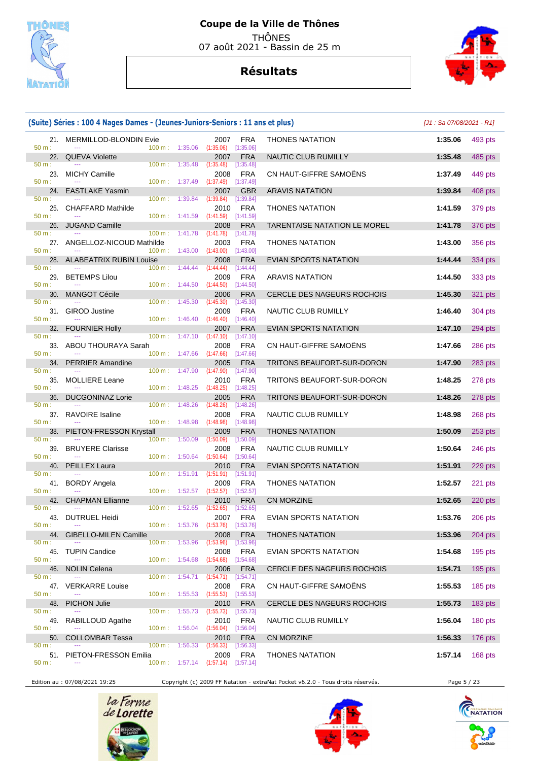

## **Résultats**



#### **(Suite) Séries : 100 4 Nages Dames - (Jeunes-Juniors-Seniors : 11 ans et plus)** [J1 : Sa 07/08/2021 - R1] 21. MERMILLOD-BLONDIN Evie 2007 FRA THONES NATATION **1:35.06** 493 pts 50 m : --- - -- - - - - - - - - - - - - 100 m : 1:35.06 (1:35.06) [1:35.06] 22. QUEVA Violette 2007 FRA NAUTIC CLUB RUMILLY **1:35.48** 485 pts 50 m : --- - -- - - - - - - - - - - - - 100 m : 1:35.48 (1:35.48) [1:35.48] 23. MICHY Camille 2008 FRA CN HAUT-GIFFRE SAMOËNS **1:37.49** 449 pts 50 m : --- 100 m : 1:37.49 (1:37.49) [1:37.49] 24. EASTLAKE Yasmin 2007 GBR ARAVIS NATATION **1:39.84** 408 pts 50 m : --- - -- - - - - - - - - - - - - 100 m : 1:39.84 (1:39.84) [1:39.84] 25. CHAFFARD Mathilde 2010 FRA THONES NATATION **1:41.59** 379 pts 50 m : --- 100 m : 1:41.59 (1:41.59) [1:41.59] 26. JUGAND Camille 2008 FRA TARENTAISE NATATION LE MOREL **1:41.78** 376 pts<br>  $\frac{50 \text{ m}}{200 \text{ m}}$  1:41.78  $\frac{100 \text{ m}}{1.41.78}$   $\frac{(1:41.78)}{1.41.78}$   $\frac{1}{1.41.78}$ 50 m : --- 100 m : 1:41.78 (1:41.78) [1:41.78] 27. ANGELLOZ-NICOUD Mathilde 2003 FRA THONES NATATION **1:43.00** 356 pts 50 m : --- 100 m : 1:43.00 (1:43.00) [1:43.00] 28. ALABEATRIX RUBIN Louise 2008 FRA EVIAN SPORTS NATATION **1:44.44** 334 pts 50 m : --- 100 m : 1:44.44 (1:44.44) [1:44.44] 29. BETEMPS Lilou 2009 FRA ARAVIS NATATION **1:44.50** 333 pts 50 m : --- 100 m : 1:44.50 (1:44.50) [1:44.50] 30. MANGOT Cécile 2006 FRA CERCLE DES NAGEURS ROCHOIS **1:45.30** 321 pts 50 m : --- 100 m : 1:45.30 (1:45.30) [1:45.30] 31. GIROD Justine 2009 FRA NAUTIC CLUB RUMILLY **1:46.40** 304 pts 50 m : --- 100 m : 1:46.40 (1:46.40) [1:46.40] 32. FOURNIER Holly 2007 FRA EVIAN SPORTS NATATION **1:47.10** 294 pts 50 m : --- 100 m : 1:47.10 (1:47.10) [1:47.10] 33. ABOU THOURAYA Sarah 2008 FRA CN HAUT-GIFFRE SAMOËNS **1:47.66** 286 pts 50 m : --- 100 m : 1:47.66 (1:47.66) [1:47.66] 34. PERRIER Amandine 2005 FRA TRITONS BEAUFORT-SUR-DORON **1:47.90** 283 pts 50 m : --- 100 m : 1:47.90 (1:47.90) [1:47.90] 35. MOLLIERE Leane 2010 FRA TRITONS BEAUFORT-SUR-DORON **1:48.25** 278 pts 50 m : --- 100 m : 1:48.25 (1:48.25) [1:48.25] 36. DUCGONINAZ Lorie 2005 FRA TRITONS BEAUFORT-SUR-DORON **1:48.26** 278 pts 50 m : --- 100 m : 1:48.26 (1:48.26) [1:48.26] 37. RAVOIRE Isaline 2008 FRA NAUTIC CLUB RUMILLY **1:48.98** 268 pts 50 m : --- 100 m : 1:48.98 (1:48.98) [1:48.98] 38. PIETON-FRESSON Krystall 2009 FRA THONES NATATION **1:50.09** 253 pts 50 m : --- -- - - - - - - - - - - - - - 100 m : 1:50.09 (1:50.09) [1:50.09] 39. BRUYERE Clarisse 2008 FRA NAUTIC CLUB RUMILLY **1:50.64** 246 pts 50 m : --- 100 m : 1:50.64 (1:50.64) [1:50.64] 40. PEILLEX Laura 2010 FRA EVIAN SPORTS NATATION **1:51.91** 229 pts 50 m : --- 100 m : 1:51.91 (1:51.91) [1:51.91] 41. BORDY Angela 2009 FRA THONES NATATION **1:52.57** 221 pts 50 m : --- - -- - - - - - - - - - - - - 100 m : 1:52.57 (1:52.57) [1:52.57] 42. CHAPMAN Ellianne 2010 FRA CN MORZINE **1:52.65** 220 pts 50 m : --- 100 m : 1:52.65 (1:52.65) [1:52.65] 43. DUTRUEL Heidi 2007 FRA EVIAN SPORTS NATATION **1:53.76** 206 pts 50 m : --- - -- - - - - - - - - - - - 100 m : 1:53.76 (1:53.76) [1:53.76] 44. GIBELLO-MILEN Camille 2008 FRA THONES NATATION **1:53.96** 204 pts 50 m : --- - -- - - - - - - - - - - - - 100 m : 1:53.96 (1:53.96) [1:53.96] 45. TUPIN Candice 2008 FRA EVIAN SPORTS NATATION **1:54.68** 195 pts 50 m : --- 100 m : 1:54.68 (1:54.68) [1:54.68] 46. NOLIN Celena 2006 FRA CERCLE DES NAGEURS ROCHOIS **1:54.71** 195 pts 50 m : --- -- -- - - - - - - - - - - - - 100 m : 1:54.71 (1:54.71) [1:54.71] 47. VERKARRE Louise 2008 FRA CN HAUT-GIFFRE SAMOËNS **1:55.53** 185 pts 50 m : --- - -- - - - - - - - - - - - - 100 m : 1:55.53 (1:55.53) [1:55.53] 48. PICHON Julie 2010 FRA CERCLE DES NAGEURS ROCHOIS **1:55.73** 183 pts 50 m : --- 100 m : 1:55.73 (1:55.73) [1:55.73] 49. RABILLOUD Agathe 2010 FRA NAUTIC CLUB RUMILLY **1:56.04** 180 pts 50 m : --- 100 m : 1:56.04 (1:56.04) [1:56.04] 50. COLLOMBAR Tessa 2010 FRA CN MORZINE **1:56.33** 176 pts 50 m : --- - -- - - - - - - - - - - - - 100 m : 1:56.33 (1:56.33) [1:56.33] 51. PIETON-FRESSON Emilia 2009 FRA THONES NATATION **1:57.14** 168 pts 50 m : --- 100 m : 1:57.14 (1:57.14) [1:57.14]

Edition au : 07/08/2021 19:25 Copyright (c) 2009 FF Natation - extraNat Pocket v6.2.0 - Tous droits réservés. Page 5 / 23





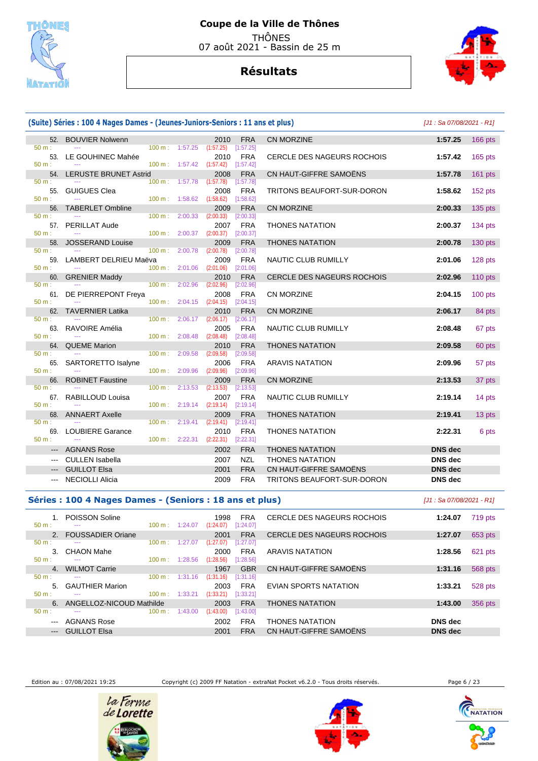

## **Résultats**



#### **(Suite) Séries : 100 4 Nages Dames - (Jeunes-Juniors-Seniors : 11 ans et plus)** [J1 : Sa 07/08/2021 - R1] 52. BOUVIER Nolwenn 2010 FRA CN MORZINE **1:57.25** 166 pts 50 m : --- 100 m : 1:57.25 (1:57.25) [1:57.25] 53. LE GOUHINEC Mahée 2010 FRA CERCLE DES NAGEURS ROCHOIS **1:57.42** 165 pts  $(1:57.42)$  54. LERUSTE BRUNET Astrid 2008 FRA CN HAUT-GIFFRE SAMOËNS **1:57.78** 161 pts 50 m : --- 100 m : 1:57.78 (1:57.78) [1:57.78] 55. GUIGUES Clea 2008 FRA TRITONS BEAUFORT-SUR-DORON **1:58.62** 152 pts 50 m : --- - -- - - - - - - - - - - - - 100 m : 1:58.62 (1:58.62) [1:58.62] 56. TABERLET Ombline 2009 FRA CN MORZINE **2:00.33** 135 pts 50 m : --- 100 m : 2:00.33 (2:00.33) [2:00.33] 57. PERILLAT Aude **2007 FRA THONES NATATION** 2:00.37 134 pts **2:00.37** 134 pts  $(2:00.37)$  58. JOSSERAND Louise 2009 FRA THONES NATATION **2:00.78** 130 pts 50 m : --- 100 m : 2:00.78 (2:00.78) [2:00.78] 59. LAMBERT DELRIEU Maëva 2009 FRA NAUTIC CLUB RUMILLY **2:01.06** 128 pts 50 m : --- 100 m : 2:01.06 (2:01.06) [2:01.06] 60. GRENIER Maddy 2010 FRA CERCLE DES NAGEURS ROCHOIS **2:02.96** 110 pts 50 m : --- 100 m : 2:02.96 (2:02.96) [2:02.96] 61. DE PIERREPONT Freya 2008 FRA CN MORZINE **2:04.15** 100 pts 50 m : --- 100 m : 2:04.15 (2:04.15) [2:04.15] 62. TAVERNIER Latika 2010 FRA CN MORZINE **2:06.17** 84 pts **2:06.17** 84 pts 50 m : --- 100 m : 2:06.17 (2:06.17) [2:06.17] 63. RAVOIRE Amélia 2005 FRA NAUTIC CLUB RUMILLY **2:08.48** 67 pts 50 m : --- 100 m : 2:08.48 (2:08.48) [2:08.48] 64. QUEME Marion 2010 FRA THONES NATATION **2:09.58** 60 pts 50 m : --- 100 m : 2:09.58 (2:09.58) [2:09.58] 65. SARTORETTO Isalyne 2006 FRA ARAVIS NATATION **2:09.96** 57 pts 50 m : --- 100 m : 2:09.96 (2:09.96) [2:09.96] 66. ROBINET Faustine 2009 FRA CN MORZINE **2:13.53** 37 pts 50 m : --- 100 m : 2:13.53 (2:13.53) [2:13.53] 67. RABILLOUD Louisa 2007 FRA NAUTIC CLUB RUMILLY **2:19.14** 14 pts 50 m : --- 100 m : 2:19.14 (2:19.14) [2:19.14] 68. ANNAERT Axelle 2009 FRA THONES NATATION **2:19.41** 13 pts 50 m : --- -- -- - - - - - - - - - - - - 100 m : 2:19.41 (2:19.41) [2:19.41] 69. LOUBIERE Garance 2010 FRA THONES NATATION **2:22.31** 6 pts  $2:22.31$  --- AGNANS Rose 2002 FRA THONES NATATION **DNS dec**  --- CULLEN Isabella 2007 NZL THONES NATATION **DNS dec**  --- GUILLOT Elsa 2001 FRA CN HAUT-GIFFRE SAMOËNS **DNS dec**  --- NECIOLLI Alicia 2009 FRA TRITONS BEAUFORT-SUR-DORON **DNS dec**

#### **Séries : 100 4 Nages Dames - (Seniors : 18 ans et plus)** [J1 : Sa 07/08/2021 - R1]

| $50 m$ :       | POISSON Soline<br>---    | 100 m:          | 1:24.07 | 1998<br>(1:24.07) | <b>FRA</b><br>[1:24.07] | CERCLE DES NAGEURS ROCHOIS        | 1:24.07        | 719 pts |
|----------------|--------------------------|-----------------|---------|-------------------|-------------------------|-----------------------------------|----------------|---------|
|                | <b>FOUSSADIER Oriane</b> |                 |         | 2001              | <b>FRA</b>              | <b>CERCLE DES NAGEURS ROCHOIS</b> | 1:27.07        | 653 pts |
| $50 m$ :       | ---                      | $100 \text{ m}$ | 1:27.07 | (1:27.07)         | [1:27.07]               |                                   |                |         |
| З.             | <b>CHAON Mahe</b>        |                 |         | 2000              | <b>FRA</b>              | <b>ARAVIS NATATION</b>            | 1:28.56        | 621 pts |
| $50 m$ :       | ---                      | $100 \text{ m}$ | 1:28.56 | (1:28.56)         | [1:28.56]               |                                   |                |         |
| 4 <sup>2</sup> | <b>WILMOT Carrie</b>     |                 |         | 1967              | <b>GBR</b>              | CN HAUT-GIFFRE SAMOËNS            | 1:31.16        | 568 pts |
| $50 m$ :       | ---                      | 100 m:          | 1:31.16 | (1:31.16)         | [1:31.16]               |                                   |                |         |
| 5.             | <b>GAUTHIER Marion</b>   |                 |         | 2003              | <b>FRA</b>              | EVIAN SPORTS NATATION             | 1:33.21        | 528 pts |
| $50 m$ :       | ---                      | $100 \text{ m}$ | 1:33.21 | (1:33.21)         | [1:33.21]               |                                   |                |         |
| 6.             | ANGELLOZ-NICOUD Mathilde |                 |         | 2003              | <b>FRA</b>              | <b>THONES NATATION</b>            | 1:43.00        | 356 pts |
| $50 m$ :       | ---                      | 100 m:          | 1:43.00 | (1:43.00)         | [1:43.00]               |                                   |                |         |
| $--$           | <b>AGNANS Rose</b>       |                 |         | 2002              | <b>FRA</b>              | THONES NATATION                   | DNS dec        |         |
| $---$          | <b>GUILLOT EISA</b>      |                 |         | 2001              | <b>FRA</b>              | CN HAUT-GIFFRE SAMOËNS            | <b>DNS</b> dec |         |

Edition au : 07/08/2021 19:25 Copyright (c) 2009 FF Natation - extraNat Pocket v6.2.0 - Tous droits réservés. Page 6 / 23







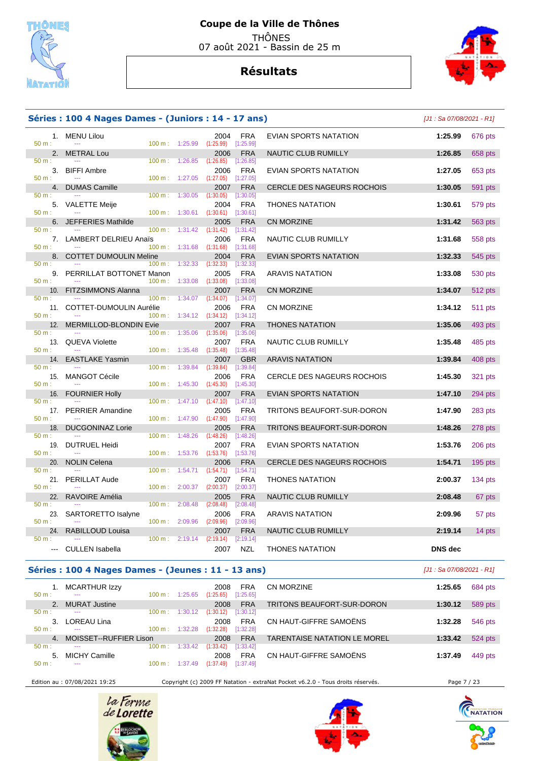



### **Séries : 100 4 Nages Dames - (Juniors : 14 - 17 ans)** [J1 : Sa 07/08/2021 - R1]

| $50 m$ :       | 1. MENU Lilou<br>$\sim$       | 100 m: 1:25.99    |         | 2004<br>(1:25.99)       | <b>FRA</b><br>[1:25.99]   | EVIAN SPORTS NATATION             | 1:25.99        | 676 pts        |
|----------------|-------------------------------|-------------------|---------|-------------------------|---------------------------|-----------------------------------|----------------|----------------|
| 2.             | <b>METRAL Lou</b>             |                   |         | 2006                    | <b>FRA</b>                | NAUTIC CLUB RUMILLY               | 1:26.85        | 658 pts        |
| $50 m$ :       |                               | 100 m:            | 1:26.85 | (1:26.85)               | [1:26.85]                 |                                   |                |                |
| 3.<br>$50 m$ : | <b>BIFFI Ambre</b><br>$\sim$  | 100 m:            | 1:27.05 | 2006<br>(1:27.05)       | <b>FRA</b><br>$[1:27.05]$ | EVIAN SPORTS NATATION             | 1:27.05        | 653 pts        |
| 4.             | <b>DUMAS Camille</b>          |                   |         | 2007                    | <b>FRA</b>                | <b>CERCLE DES NAGEURS ROCHOIS</b> | 1:30.05        | 591 pts        |
| $50 m$ :       |                               | 100 m:            | 1:30.05 | (1:30.05)               | [1:30.05]                 |                                   |                |                |
|                |                               |                   |         |                         |                           |                                   |                |                |
|                | 5. VALETTE Meije              |                   |         | 2004                    | <b>FRA</b>                | <b>THONES NATATION</b>            | 1:30.61        | 579 pts        |
| 50 m:          |                               | 100 m:            | 1:30.61 | $(1:30.61)$ $[1:30.61]$ |                           |                                   |                |                |
| 6.             | <b>JEFFERIES Mathilde</b>     |                   |         | 2005                    | <b>FRA</b>                | <b>CN MORZINE</b>                 | 1:31.42        | <b>563 pts</b> |
| 50 m:          |                               | 100 m:            | 1:31.42 | (1:31.42)               | [1:31.42]                 |                                   |                |                |
|                | 7. LAMBERT DELRIEU Anaïs      |                   |         | 2006                    | <b>FRA</b>                | NAUTIC CLUB RUMILLY               | 1:31.68        | 558 pts        |
| 50 m:          |                               | 100 m: 1:31.68    |         | (1:31.68)               | [1:31.68]                 |                                   |                |                |
| 8.             | <b>COTTET DUMOULIN Meline</b> |                   |         | 2004                    | <b>FRA</b>                | EVIAN SPORTS NATATION             | 1:32.33        | 545 pts        |
| 50 m:          |                               | $100 \text{ m}$ : | 1:32.33 | (1:32.33)               | [1:32.33]                 |                                   |                |                |
|                | 9. PERRILLAT BOTTONET Manon   |                   |         | 2005                    | <b>FRA</b>                | <b>ARAVIS NATATION</b>            | 1:33.08        | 530 pts        |
| 50 m:          |                               | $100 m$ :         | 1:33.08 | $(1:33.08)$ [1:33.08]   |                           |                                   |                |                |
| 10.            | FITZSIMMONS Alanna            |                   |         | 2007                    | <b>FRA</b>                | <b>CN MORZINE</b>                 | 1:34.07        | 512 pts        |
| $50 m$ :       |                               | 100 m:            | 1:34.07 | (1:34.07)               | [1:34.07]                 |                                   |                |                |
|                |                               |                   |         | 2006                    | <b>FRA</b>                |                                   | 1:34.12        |                |
|                | 11. COTTET-DUMOULIN Aurélie   |                   |         |                         |                           | <b>CN MORZINE</b>                 |                | 511 pts        |
| $50 m$ :       |                               | 100 m: 1:34.12    |         | $(1:34.12)$ $[1:34.12]$ |                           |                                   |                |                |
| 12.            | MERMILLOD-BLONDIN Evie        |                   |         | 2007                    | FRA                       | <b>THONES NATATION</b>            | 1:35.06        | 493 pts        |
| $50 m$ :       | $\sim$                        | 100 m:            | 1:35.06 | (1:35.06)               | [1:35.06]                 |                                   |                |                |
|                | 13. QUEVA Violette            |                   |         | 2007                    | <b>FRA</b>                | NAUTIC CLUB RUMILLY               | 1:35.48        | 485 pts        |
| $50 m$ :       |                               | 100 m:            | 1:35.48 | (1:35.48)               | [1:35.48]                 |                                   |                |                |
| 14.            | <b>EASTLAKE Yasmin</b>        |                   |         | 2007                    | <b>GBR</b>                | <b>ARAVIS NATATION</b>            | 1:39.84        | 408 pts        |
| $50 m$ :       |                               | 100 m:            | 1:39.84 | (1:39.84)               | [1:39.84]                 |                                   |                |                |
|                | 15. MANGOT Cécile             |                   |         | 2006                    | <b>FRA</b>                | <b>CERCLE DES NAGEURS ROCHOIS</b> | 1:45.30        | 321 pts        |
| 50 m:          |                               | 100 m:            | 1:45.30 | (1:45.30)               | [1:45.30]                 |                                   |                |                |
| 16.            | <b>FOURNIER Holly</b>         |                   |         | 2007                    | FRA                       | EVIAN SPORTS NATATION             | 1:47.10        | 294 pts        |
| 50 m:          |                               | 100 m:            | 1:47.10 | (1:47.10)               | [1:47.10]                 |                                   |                |                |
|                | 17. PERRIER Amandine          |                   |         | 2005                    | <b>FRA</b>                | TRITONS BEAUFORT-SUR-DORON        | 1:47.90        |                |
| $50 m$ :       | $\sim$                        | 100 m:            | 1:47.90 | (1:47.90)               | [1:47.90]                 |                                   |                | 283 pts        |
|                |                               |                   |         |                         |                           |                                   |                |                |
| 18.            | <b>DUCGONINAZ Lorie</b>       |                   |         | 2005                    | FRA                       | TRITONS BEAUFORT-SUR-DORON        | 1:48.26        | 278 pts        |
| 50 m:          |                               | 100 m:            | 1:48.26 | (1:48.26)               | [1:48.26]                 |                                   |                |                |
| 19.            | <b>DUTRUEL Heidi</b>          |                   |         | 2007                    | <b>FRA</b>                | EVIAN SPORTS NATATION             | 1:53.76        | 206 pts        |
| $50 m$ :       |                               | 100 m:            | 1:53.76 | (1:53.76)               | [1:53.76]                 |                                   |                |                |
| 20.            | <b>NOLIN Celena</b>           |                   |         | 2006                    | FRA                       | <b>CERCLE DES NAGEURS ROCHOIS</b> | 1:54.71        | $195$ pts      |
| 50 m:          |                               | 100 m:            | 1:54.71 | (1:54.71)               | [1:54.71]                 |                                   |                |                |
| 21.            | <b>PERILLAT Aude</b>          |                   |         | 2007                    | <b>FRA</b>                | <b>THONES NATATION</b>            | 2:00.37        | 134 pts        |
| $50 m$ :       | $\sim$                        | 100 m:            | 2:00.37 | (2:00.37)               | [2:00.37]                 |                                   |                |                |
| 22.            | RAVOIRE Amélia                |                   |         | 2005                    | <b>FRA</b>                | NAUTIC CLUB RUMILLY               | 2:08.48        | 67 pts         |
| $50 m$ :       |                               | 100 m:            | 2:08.48 | (2:08.48)               | [2:08.48]                 |                                   |                |                |
| 23.            |                               |                   |         | 2006                    | <b>FRA</b>                | <b>ARAVIS NATATION</b>            | 2:09.96        |                |
| $50 m$ :       | SARTORETTO Isalyne            | 100 m:            | 2:09.96 | (2:09.96)               | [2:09.96]                 |                                   |                | 57 pts         |
|                |                               |                   |         |                         |                           |                                   |                |                |
| 24.            | RABILLOUD Louisa              |                   |         | 2007                    | <b>FRA</b>                | NAUTIC CLUB RUMILLY               | 2:19.14        | 14 pts         |
| $50 m$ :       |                               | $100 \text{ m}$ : | 2:19.14 | (2:19.14)               | [2:19.14]                 |                                   |                |                |
|                | --- CULLEN Isabella           |                   |         | 2007                    | <b>NZL</b>                | <b>THONES NATATION</b>            | <b>DNS</b> dec |                |

#### **Séries : 100 4 Nages Dames - (Jeunes : 11 - 13 ans)** [J1 : Sa 07/08/2021 - R1]

| CN MORZINE<br><b>MCARTHUR Izzy</b><br><b>FRA</b><br>1:25.65<br>2008<br>[1:25.65]<br>$50 m$ :<br>(1:25.65)<br>100 m:<br>1:25.65<br>--- | 684 pts |
|---------------------------------------------------------------------------------------------------------------------------------------|---------|
| TRITONS BEAUFORT-SUR-DORON<br><b>FRA</b><br><b>MURAT Justine</b><br>1:30.12<br>2008                                                   | 589 pts |
| [1:30.12]<br>(1:30.12)<br>100 m:<br>$50 m$ :<br>1:30.12<br>---                                                                        |         |
| CN HAUT-GIFFRE SAMOËNS<br><b>FRA</b><br>LOREAU Lina<br>2008<br>1:32.28                                                                | 546 pts |
| (1:32.28)<br>[1:32.28]<br>1:32.28<br>$50 m$ :<br>100 m:<br>---                                                                        |         |
| MOISSET--RUFFIER Lison<br><b>FRA</b><br><b>TARENTAISE NATATION LE MOREL</b><br>2008<br>1:33.42<br>$\overline{4}$                      | 524 pts |
| $100 \text{ m}$ :<br>[1:33.42]<br>$50 m$ :<br>1:33.42<br>(1:33.42)<br>---                                                             |         |
| CN HAUT-GIFFRE SAMOËNS<br><b>FRA</b><br><b>MICHY Camille</b><br>2008<br>5.<br>1:37.49                                                 | 449 pts |
| [1:37.49]<br>(1:37.49)<br>$50 m$ :<br>$100 \text{ m}$ :<br>.49<br>:37<br>---                                                          |         |

Edition au : 07/08/2021 19:25 Copyright (c) 2009 FF Natation - extraNat Pocket v6.2.0 - Tous droits réservés. Page 7 / 23





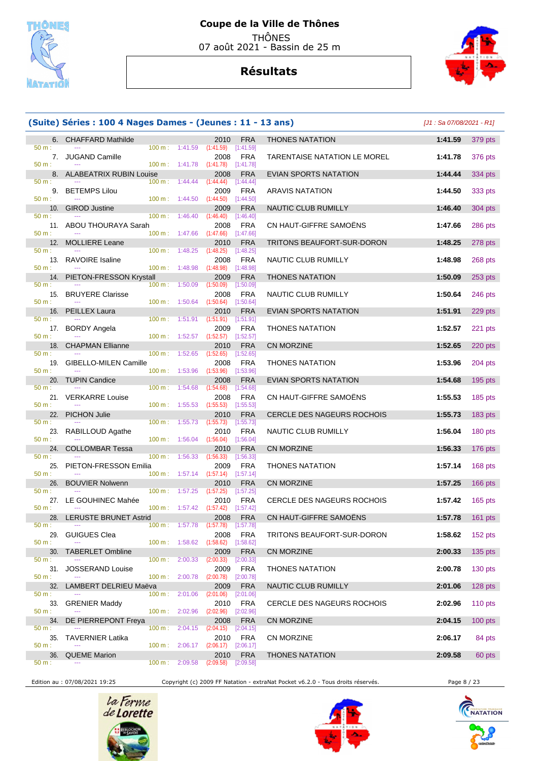

## **Résultats**



#### **6. CHAFFARD Mathilde** 2010 FRA **50 m**:  $\frac{1}{41.59}$  pts: 1:41.59 pm interests and the 100 m; 1:41.59 pts: 1:41.59 pts: 1:41.59 pts: 1:41.59 pts: 1:41.59 pts: 1:41.59 pts: 1:41.59 pts: 1:41.59 pts: 1:41.59 pts: 1:41.59 pt 50 m : --- 100 m : 1:41.59 (1:41.59) [1:41.59] 7. JUGAND Camille 2008 FRA **TARENTAISE 100 m**: 1:41.78 (1:41.78) [1:41.78] 50 m : --- 100 m : 1:41.78 (1:41.78) [1:41.78] 8. ALABEATRIX RUBIN Louise 2008 FRA<br>  $\frac{100 \text{ m}}{3144.44}$  (1:44.44) [1:44.44] 50 m : --- 100 m : 1:44.44 (1:44.44) [1:44.44] 9. BETEMPS Lilou 2009 FRA<br>100 m <sup>1:44</sup> 50 <sup>(1:44.50)</sup> [1:44.50] 50 m : --- 100 m : 1:44.50 (1:44.50) [1:44.50] 10. GIROD Justine 2009 FRA NAUTIC CLUB RUMILLY **1:46.40** 304 pts 50 m : --- 100 m : 1:46.40 (1:46.40) [1:46.40] 11. ABOU THOURAYA Sarah 2008 FRA<br>  $\frac{50 \text{ m}}{200 \text{ m}}$  1:47.66 **1:47.66 1:47.66 1:47.66** 50 m : --- 100 m : 1:47.66 (1:47.66) [1:47.66] 12. MOLLIERE Leane 2010 FRA<br>  $\frac{50 \text{ m}}{2010 \text{ m}}$   $\frac{1.48.25}{2010 \text{ m}}$   $\frac{1.48.25}{2010 \text{ m}}$   $\frac{1.48.25}{2010 \text{ m}}$ 50 m : --- 100 m : 1:48.25 (1:48.25) [1:48.25] 13. RAVOIRE Isaline 2008 FRA<br>
100 m : 1<sup>:48.98</sup> (1:48.98 pts) 1:48.98 **p**ts 50 m : --- 100 m : 1:48.98 (1:48.98) [1:48.98] 14. PIETON-FRESSON Krystall 2009 FRA<br>  $\frac{50 \text{ m}}{250 \text{ m} \cdot 1}$  1:50.09  $\frac{(1:50.09)}{250 \text{ m} \cdot 1}$  1:50.09 **21:50.09** 50 m : --- -- - - - - - - - - - - - - - 100 m : 1:50.09 (1:50.09) [1:50.09] 15. BRUYERE Clarisse 2008 FRA<br>  $\frac{50 \text{ m}}{2}$  1.50.64 **2008** PRA  $(1:50.64)$ 16. PEILLEX Laura 2010 FRA<br>
100 m: 1:51.91 (1:51.91) [1:51.91] 50 m : --- 100 m : 1:51.91 (1:51.91) [1:51.91] 17. BORDY Angela 2009 FRA<br>100 m : 1:52.57 **11:52.57 11:52.57 11:52.57** 50 m : --- - -- - - - - - - - - - - - - 100 m : 1:52.57 (1:52.57) [1:52.57] 18. CHAPMAN Ellianne 2010 FRA<br>  $\frac{100 \text{ m}}{2010 \text{ m}}$  1:52.65 **(1:52.65** pt:52.65 pt:52.65 **p**t:52.65 **p**  50 m : --- 100 m : 1:52.65 (1:52.65) [1:52.65] 19. GIBELLO-MILEN Camille 2008 FRA<br>  $100 \text{ m}: 1:53.96 \text{ (1:53.96)}$  [1:53.96] 50 m : --- 100 m : 1:53.96 (1:53.96) [1:53.96] 20. TUPIN Candice 2008 FRA 50 m : --- - -- - - - - - - - - - - - - 100 m : 1:54.68 (1:54.68) [1:54.68] 21. VERKARRE Louise 2008 FRA<br>
2008 FRA CON HAUTE-SAMOËNS 100 m : 1:55.53 11:55.53 11:55.53 50 m : --- 100 m : 1:55.53 (1:55.53) [1:55.53] 22. PICHON Julie 2010 FRA CERCLE DES NAGEURS ROCHOIS **1:55.73** 183 pts 50 m : --- 100 m : 1:55.73 (1:55.73) [1:55.73] 23. RABILLOUD Agathe 2010 FRA 2010 PRA 50 m :  $\frac{2010}{1.56.04}$  pts. 04 **11.56.04** pts. 04 **pts. 04** pts. 04 **pts. 04** pts. 04 **pts. 04** pts. 04 pts. 04 pts. 04 pts. 04 pts. 04 pts. 04 pts. 04 pts. 04 pts. 04 pts. 04 pts. 50 m : --- 100 m : 1:56.04 (1:56.04) [1:56.04] 24. COLLOMBAR Tessa 2010 FRA<br>  $\frac{2010}{20 \text{ m}}$   $\frac{100 \text{ m}}{256.33}$  (1:56.33) [1:56.33] 50 m : --- 100 m : 1:56.33 (1:56.33) [1:56.33] 25. PIETON-FRESSON Emilia 2009 FRA<br>
<sup>200</sup> m: 1:57.14 (1:57.14) [1:57.14] 50 m : --- - -- - - - - - - - - - - - 100 m : 1:57.14 (1:57.14) [1:57.14] 26. BOUVIER Nolwenn 2010 FRA<br>
2010 FRA CN MORE 1:57.25 (1:57.25 11:57.25 **11:57.25**  50 m : --- 100 m : 1:57.25 (1:57.25) [1:57.25] 27. LE GOUHINEC Mahée 2010 FRA<br>
<sup>2010</sup> <sup>1:57.42</sup> (1:57.42 [1:57.42] [1:57.42] 50 m : --- 100 m : 1:57.42 (1:57.42) [1:57.42] 28. LERUSTE BRUNET Astrid 2008 FRA<br>  $\frac{2008}{200 \text{ m}}$ :  $\frac{1:57.78}{200 \text{ m}}$  (1:57.78) [1:57.78] 50 m : --- -- -- - - - - - - - - - - - - 100 m : 1:57.78 (1:57.78) [1:57.78] 29. GUIGUES Clea 2008 FRA<br><sup>2008</sup> <sup>100</sup> m: 1:58.62 (1:58.62) 1:58.62  $(1:58.62)$ **30. TABERLET Ombline** 2009 FRA<br> **50 m**: 2:00.33 **12:00.33** pts:00.33 **12:00.33** 50 m : --- 100 m : 2:00.33 (2:00.33) [2:00.33] 31. JOSSERAND Louise 2009 FRA **2009** FRA 50 m :  $\frac{2:00.78}{2:00.78}$  p:00.78 50 m : --- 100 m : 2:00.78 (2:00.78) [2:00.78] 32. LAMBERT DELRIEU Maëva 2009 FRA<br>  $\frac{50 \text{ m}}{2.01.06}$  100 m; 2:01.06  $\frac{2:01.06}{2.01.06}$  p:01.06 50 m : --- 100 m : 2:01.06 (2:01.06) [2:01.06] 33. GRENIER Maddy 2010 FRA **CERCLE DES 100 m**: 2:02.96 **2010** FRA 50 m : --- 100 m : 2:02.96 (2:02.96) [2:02.96] 34. DE PIERREPONT Freya 2008 FRA<br>  $\frac{50 \text{ m}}{2}$  2:04.15  $\frac{2:04.15}{2}$  2:04.15 50 m : --- 100 m : 2:04.15 (2:04.15) [2:04.15] 35. TAVERNIER Latika 2010 FRA<br>50 m : --- 100 m : 2:06.17 <sup>(2:06.17</sup> <sup>8:06.17</sup> 50 m : --- - -- - - - - - - - - - - - 100 m : 2:06.17 (2:06.17) [2:06.17] **36. QUEME Marion 2010 FRA**<br> **36. QUEME Marion** 2.09.58 **2:09.58 2:09.58 2:09.58**  $100 m$  :

|                 | (Suite) Séries : 100 4 Nages Dames - (Jeunes : 11 - 13 ans) |                          |                          |                                              |                           |                              |         | $[J1: Sa 07/08/2021 - R1]$ |
|-----------------|-------------------------------------------------------------|--------------------------|--------------------------|----------------------------------------------|---------------------------|------------------------------|---------|----------------------------|
|                 | 6. CHAFFARD Mathilde                                        |                          |                          | 2010                                         | <b>FRA</b>                | <b>THONES NATATION</b>       | 1:41.59 | 379 pts                    |
| 50 m:           |                                                             | $100 \text{ m}: 1:41.59$ |                          | (1:41.59)                                    | [1:41.59]                 |                              |         |                            |
| 50 m:           | 7. JUGAND Camille                                           | 100 m: 1:41.78           |                          | 2008<br>(1:41.78)                            | <b>FRA</b><br>[1:41.78]   | TARENTAISE NATATION LE MOREL | 1:41.78 | 376 pts                    |
|                 | 8. ALABEATRIX RUBIN Louise                                  |                          |                          | 2008                                         | <b>FRA</b>                | EVIAN SPORTS NATATION        | 1:44.44 | 334 pts                    |
| 50 m:           | $\sim$ $\sim$                                               | 100 m:                   | 1:44.44                  | (1:44.44)                                    | [1:44.44]                 |                              |         |                            |
|                 | 9. BETEMPS Lilou                                            |                          |                          | 2009                                         | <b>FRA</b>                | <b>ARAVIS NATATION</b>       | 1:44.50 | 333 pts                    |
| 50 m:           |                                                             | $100 \text{ m}: 1:44.50$ |                          | (1:44.50)                                    | [1:44.50]                 |                              |         |                            |
| 50 m:           | 10. GIROD Justine                                           | 100 m: 1:46.40           |                          | 2009<br>(1:46.40)                            | <b>FRA</b><br>[1:46.40]   | NAUTIC CLUB RUMILLY          | 1:46.40 | 304 pts                    |
|                 | 11. ABOU THOURAYA Sarah                                     |                          |                          | 2008                                         | <b>FRA</b>                | CN HAUT-GIFFRE SAMOËNS       | 1:47.66 | 286 pts                    |
| 50 m:           |                                                             | $100 \text{ m}: 1:47.66$ |                          | (1:47.66)                                    | [1:47.66]                 |                              |         |                            |
| 12.             | <b>MOLLIERE Leane</b>                                       |                          |                          | 2010                                         | <b>FRA</b>                | TRITONS BEAUFORT-SUR-DORON   | 1:48.25 | 278 pts                    |
| 50 m:           |                                                             | $100 \text{ m}: 1:48.25$ |                          | (1:48.25)                                    | [1:48.25]                 |                              |         |                            |
| 50 m:           | 13. RAVOIRE Isaline                                         | 100 m: 1:48.98           |                          | 2008<br>(1:48.98)                            | <b>FRA</b><br>[1:48.98]   | NAUTIC CLUB RUMILLY          | 1:48.98 | 268 pts                    |
|                 | 14. PIETON-FRESSON Krystall                                 |                          |                          | 2009                                         | <b>FRA</b>                | <b>THONES NATATION</b>       | 1:50.09 | 253 pts                    |
| 50 m:           |                                                             | $100 \text{ m}$ :        | 1:50.09                  | (1:50.09)                                    | [1:50.09]                 |                              |         |                            |
| 15.             | <b>BRUYERE Clarisse</b>                                     |                          |                          | 2008                                         | <b>FRA</b>                | NAUTIC CLUB RUMILLY          | 1:50.64 | 246 pts                    |
| 50 m:           | $\sim$                                                      |                          | $100 \text{ m}: 1:50.64$ | (1:50.64)                                    | [1:50.64]                 |                              |         |                            |
| 50 m:           | 16. PEILLEX Laura                                           | 100 m: 1:51.91           |                          | 2010<br>$(1:51.91)$ $[1:51.91]$              | <b>FRA</b>                | EVIAN SPORTS NATATION        | 1:51.91 | 229 pts                    |
|                 | 17. BORDY Angela                                            |                          |                          | 2009                                         | <b>FRA</b>                | <b>THONES NATATION</b>       | 1:52.57 | 221 pts                    |
| $50 m$ :        |                                                             | 100 m: 1:52.57           |                          | (1:52.57)                                    | [1:52.57]                 |                              |         |                            |
| 18.             | <b>CHAPMAN Ellianne</b>                                     |                          |                          | 2010                                         | <b>FRA</b>                | CN MORZINE                   | 1:52.65 | 220 pts                    |
| 50 m:<br>19.    | <b>GIBELLO-MILEN Camille</b>                                | 100 m: 1:52.65           |                          | (1:52.65)<br>2008                            | [1:52.65]<br><b>FRA</b>   | <b>THONES NATATION</b>       | 1:53.96 | 204 pts                    |
| 50 m:           |                                                             | 100 m: 1:53.96           |                          | (1:53.96)                                    | [1:53.96]                 |                              |         |                            |
| 20.             | <b>TUPIN Candice</b>                                        |                          |                          | 2008                                         | <b>FRA</b>                | <b>EVIAN SPORTS NATATION</b> | 1:54.68 | <b>195 pts</b>             |
| 50 m:           | $-$                                                         | 100 m: 1:54.68           |                          | (1:54.68)                                    | [1:54.68]                 |                              |         |                            |
| 50 m:           | 21. VERKARRE Louise                                         | 100 m: 1:55.53           |                          | 2008                                         | <b>FRA</b>                | CN HAUT-GIFFRE SAMOËNS       | 1:55.53 | $185$ pts                  |
|                 | 22. PICHON Julie                                            |                          |                          | (1:55.53)<br>2010                            | $[1:55.53]$<br><b>FRA</b> | CERCLE DES NAGEURS ROCHOIS   | 1:55.73 | 183 pts                    |
| 50 m:           |                                                             | 100 m: 1:55.73           |                          | (1:55.73)                                    | [1:55.73]                 |                              |         |                            |
|                 | 23. RABILLOUD Agathe                                        |                          |                          | 2010                                         | <b>FRA</b>                | NAUTIC CLUB RUMILLY          | 1:56.04 | 180 pts                    |
| 50 m:           |                                                             | $100 \text{ m}: 1:56.04$ |                          | $(1:56.04)$ [1:56.04]                        |                           |                              |         |                            |
| 24.<br>50 m:    | <b>COLLOMBAR Tessa</b>                                      | $100 \text{ m}$ :        | 1:56.33                  | 2010<br>(1:56.33)                            | <b>FRA</b><br>[1:56.33]   | CN MORZINE                   | 1:56.33 | 176 pts                    |
| 25.             | <b>PIETON-FRESSON Emilia</b>                                |                          |                          | 2009                                         | FRA                       | <b>THONES NATATION</b>       | 1:57.14 | 168 pts                    |
| 50 m:           |                                                             |                          |                          | $100 \text{ m}: 1:57.14 (1:57.14) [1:57.14]$ |                           |                              |         |                            |
| 26.             | <b>BOUVIER Nolwenn</b>                                      |                          |                          | 2010                                         | <b>FRA</b>                | CN MORZINE                   | 1:57.25 | 166 pts                    |
| $50 m$ :        | $\sim$ $\sim$                                               | 100 m: 1:57.25           |                          | (1:57.25)                                    | [1:57.25]                 |                              |         |                            |
| 50 m:           | 27. LE GOUHINEC Mahée<br>$-$                                |                          |                          | 2010<br>100 m : 1:57.42 (1:57.42) [1:57.42]  | FRA                       | CERCLE DES NAGEURS ROCHOIS   | 1:57.42 | $165$ pts                  |
|                 | 28. LERUSTE BRUNET Astrid                                   |                          |                          |                                              | 2008 FRA                  | CN HAUT-GIFFRE SAMOËNS       |         | 1:57.78 161 pts            |
| $50 m$ :        |                                                             |                          |                          | 100 m : 1:57.78 (1:57.78) [1:57.78]          |                           |                              |         |                            |
| 29.             | <b>GUIGUES Clea</b>                                         |                          |                          | 2008                                         | <b>FRA</b>                | TRITONS BEAUFORT-SUR-DORON   | 1:58.62 | 152 pts                    |
| 50 m:<br>30.    | <b>TABERLET Ombline</b>                                     | 100 m: 1:58.62           |                          | (1:58.62)<br>2009                            | [1:58.62]<br><b>FRA</b>   | <b>CN MORZINE</b>            | 2:00.33 | $135$ pts                  |
| 50 m:           |                                                             | 100 m: 2:00.33           |                          | (2:00.33)                                    | [2:00.33]                 |                              |         |                            |
| 31.             | <b>JOSSERAND Louise</b>                                     |                          |                          | 2009                                         | <b>FRA</b>                | <b>THONES NATATION</b>       | 2:00.78 | 130 pts                    |
| $50 m$ :        | $\overline{\phantom{a}}$                                    |                          | $100 \text{ m}: 2:00.78$ | (2:00.78)                                    | [2:00.78]                 |                              |         |                            |
| 32.             | LAMBERT DELRIEU Maëva                                       |                          |                          | 2009                                         | <b>FRA</b>                | NAUTIC CLUB RUMILLY          | 2:01.06 | 128 pts                    |
| $50 m$ :<br>33. | <b>GRENIER Maddy</b>                                        | $100 m$ : 2:01.06        |                          | (2:01.06)<br>2010                            | [2:01.06]<br><b>FRA</b>   | CERCLE DES NAGEURS ROCHOIS   | 2:02.96 | 110 $pts$                  |
| 50 m:           | $\scriptstyle\cdots$                                        | 100 m: 2:02.96           |                          | (2:02.96)                                    | [2:02.96]                 |                              |         |                            |
| 34.             | DE PIERREPONT Freya                                         |                          |                          | 2008                                         | <b>FRA</b>                | CN MORZINE                   | 2:04.15 | $100$ pts                  |
| $50 m$ :        |                                                             | 100 m: 2:04.15           |                          | $(2:04.15)$ $[2:04.15]$                      |                           |                              |         |                            |
| 50 m:           | 35. TAVERNIER Latika<br>$\scriptstyle\cdots$                | 100 m: 2:06.17           |                          | 2010<br>(2:06.17)                            | <b>FRA</b><br>[2:06.17]   | CN MORZINE                   | 2:06.17 | 84 pts                     |
| 36.             | <b>QUEME Marion</b>                                         |                          |                          | 2010                                         | <b>FRA</b>                | <b>THONES NATATION</b>       | 2:09.58 | 60 pts                     |
|                 |                                                             |                          |                          |                                              |                           |                              |         |                            |

Edition au : 07/08/2021 19:25 Copyright (c) 2009 FF Natation - extraNat Pocket v6.2.0 - Tous droits réservés. Page 8 / 23





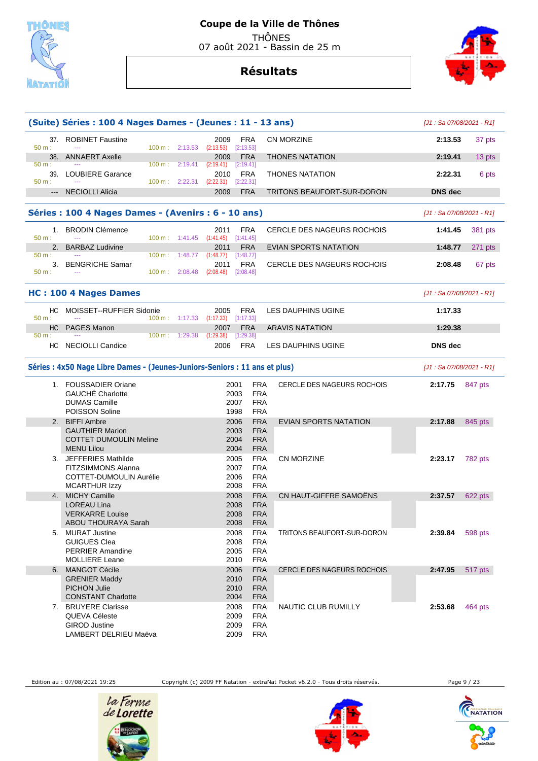

07 août 2021 - Bassin de 25 m

**Résultats**



|              | (Suite) Séries : 100 4 Nages Dames - (Jeunes : 11 - 13 ans)                                        |                                                                                      |                                   |                           |
|--------------|----------------------------------------------------------------------------------------------------|--------------------------------------------------------------------------------------|-----------------------------------|---------------------------|
|              |                                                                                                    |                                                                                      |                                   | [J1 : Sa 07/08/2021 - R1] |
| 50 m:        | 37. ROBINET Faustine<br>100 m: 2:13.53 (2:13.53)<br>$\sim$                                         | 2009<br><b>FRA</b><br>[2:13.53]                                                      | <b>CN MORZINE</b>                 | 2:13.53<br>37 pts         |
| $50 m$ :     | 38. ANNAERT Axelle<br>100 m: 2:19.41                                                               | <b>FRA</b><br>2009<br>(2:19.41)<br>$[2:19.41]$                                       | <b>THONES NATATION</b>            | 2:19.41<br>13 pts         |
| 50 m:        | 39. LOUBIERE Garance<br>100 m: 2:22.31                                                             | <b>FRA</b><br>2010<br>$(2:22.31)$ $[2:22.31]$                                        | <b>THONES NATATION</b>            | 2:22.31<br>6 pts          |
|              | --- NECIOLLI Alicia                                                                                | <b>FRA</b><br>2009                                                                   | TRITONS BEAUFORT-SUR-DORON        | <b>DNS</b> dec            |
|              | Séries : 100 4 Nages Dames - (Avenirs : 6 - 10 ans)                                                |                                                                                      |                                   | [J1: Sa 07/08/2021 - R1]  |
| 50 m:        | 1. BRODIN Clémence                                                                                 | <b>FRA</b><br>2011<br>$100 \text{ m}: 1:41.45 (1:41.45)$<br>[1:41.45]                | CERCLE DES NAGEURS ROCHOIS        | 1:41.45<br>381 pts        |
| 50 m:        | 2. BARBAZ Ludivine<br>$100 \text{ m}: 1:48.77$<br>$\sim$                                           | 2011<br><b>FRA</b><br>(1:48.77)<br>[1:48.77]                                         | <b>EVIAN SPORTS NATATION</b>      | 1:48.77<br>271 pts        |
| 50 m:        | 3. BENGRICHE Samar<br>$100 \text{ m}: 2:08.48$                                                     | 2011<br><b>FRA</b><br>(2:08.48)<br>[2:08.48]                                         | <b>CERCLE DES NAGEURS ROCHOIS</b> | 2:08.48<br>67 pts         |
|              | HC: 100 4 Nages Dames                                                                              |                                                                                      |                                   | [J1: Sa 07/08/2021 - R1]  |
| HС<br>50 m:  | MOISSET--RUFFIER Sidonie<br>$100 \text{ m}: 1:17.33$                                               | 2005<br>FRA<br>(1:17.33)<br>[1:17.33]                                                | <b>LES DAUPHINS UGINE</b>         | 1:17.33                   |
| HC           | <b>PAGES Manon</b>                                                                                 | 2007<br><b>FRA</b>                                                                   | <b>ARAVIS NATATION</b>            | 1:29.38                   |
| 50 m:<br>HC. | 100 m: 1:29.38<br>NECIOLLI Candice                                                                 | (1:29.38)<br>[1:29.38]<br>FRA<br>2006                                                | LES DAUPHINS UGINE                | <b>DNS</b> dec            |
|              | Séries : 4x50 Nage Libre Dames - (Jeunes-Juniors-Seniors : 11 ans et plus)                         |                                                                                      |                                   | [J1: Sa 07/08/2021 - R1]  |
|              | 1. FOUSSADIER Oriane<br><b>GAUCHÉ Charlotte</b><br><b>DUMAS Camille</b><br><b>POISSON Soline</b>   | <b>FRA</b><br>2001<br>2003<br><b>FRA</b><br><b>FRA</b><br>2007<br><b>FRA</b><br>1998 | <b>CERCLE DES NAGEURS ROCHOIS</b> | 2:17.75<br>847 pts        |
|              | 2. BIFFI Ambre<br><b>GAUTHIER Marion</b><br><b>COTTET DUMOULIN Meline</b><br><b>MENU Lilou</b>     | <b>FRA</b><br>2006<br><b>FRA</b><br>2003<br>2004<br><b>FRA</b><br><b>FRA</b><br>2004 | EVIAN SPORTS NATATION             | 2:17.88<br>845 pts        |
| 3.           | JEFFERIES Mathilde<br><b>FITZSIMMONS Alanna</b><br>COTTET-DUMOULIN Aurélie<br><b>MCARTHUR Izzy</b> | 2005<br><b>FRA</b><br><b>FRA</b><br>2007<br><b>FRA</b><br>2006<br>2008<br><b>FRA</b> | <b>CN MORZINE</b>                 | 2:23.17<br>782 pts        |
| 4.           | <b>MICHY Camille</b>                                                                               | <b>FRA</b><br>2008                                                                   | CN HAUT-GIFFRE SAMOENS            | 2:37.57<br>622 pts        |
|              | <b>LOREAU Lina</b><br><b>VERKARRE Louise</b><br>ABOU THOURAYA Sarah                                | 2008<br><b>FRA</b><br>2008<br><b>FRA</b><br>2008<br><b>FRA</b>                       |                                   |                           |
|              | 5. MURAT Justine<br><b>GUIGUES Clea</b><br><b>PERRIER Amandine</b><br><b>MOLLIERE Leane</b>        | <b>FRA</b><br>2008<br><b>FRA</b><br>2008<br>2005<br><b>FRA</b><br><b>FRA</b><br>2010 | TRITONS BEAUFORT-SUR-DORON        | 2:39.84<br>598 pts        |
|              | 6. MANGOT Cécile                                                                                   | <b>FRA</b><br>2006                                                                   | <b>CERCLE DES NAGEURS ROCHOIS</b> | 2:47.95<br>517 pts        |
|              | <b>GRENIER Maddy</b><br><b>PICHON Julie</b><br><b>CONSTANT Charlotte</b>                           | 2010<br><b>FRA</b><br><b>FRA</b><br>2010<br><b>FRA</b><br>2004                       |                                   |                           |
|              | 7. BRUYERE Clarisse<br>QUEVA Céleste<br><b>GIROD Justine</b><br>LAMBERT DELRIEU Maëva              | <b>FRA</b><br>2008<br>2009<br><b>FRA</b><br><b>FRA</b><br>2009<br>2009<br><b>FRA</b> | NAUTIC CLUB RUMILLY               | 2:53.68<br>464 pts        |

Edition au : 07/08/2021 19:25 Copyright (c) 2009 FF Natation - extraNat Pocket v6.2.0 - Tous droits réservés. Page 9 / 23





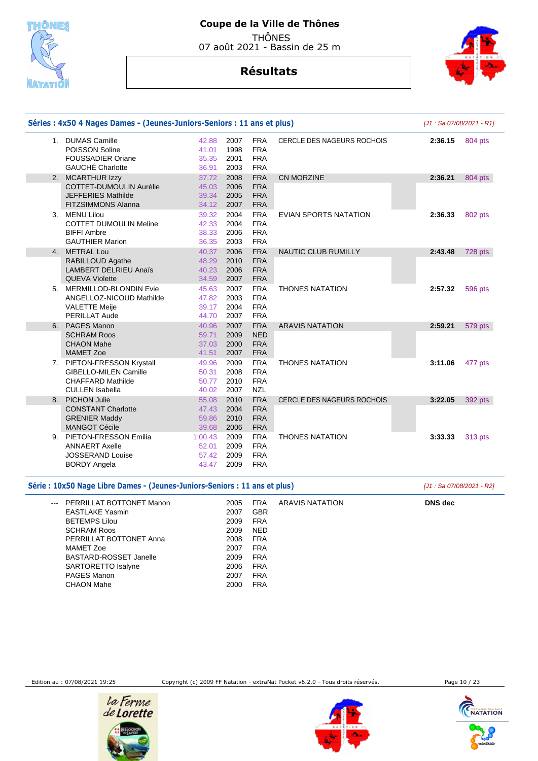

### **Coupe de la Ville de Thônes**  THÔNES

07 août 2021 - Bassin de 25 m

# **Résultats**



|    | Séries: 4x50 4 Nages Dames - (Jeunes-Juniors-Seniors: 11 ans et plus)                                            |                                    | [J1: Sa 07/08/2021 - R1]                                                             |                                   |         |         |
|----|------------------------------------------------------------------------------------------------------------------|------------------------------------|--------------------------------------------------------------------------------------|-----------------------------------|---------|---------|
|    | 1. DUMAS Camille<br>POISSON Soline<br><b>FOUSSADIER Oriane</b><br><b>GAUCHÉ Charlotte</b>                        | 42.88<br>41.01<br>35.35<br>36.91   | 2007<br><b>FRA</b><br><b>FRA</b><br>1998<br><b>FRA</b><br>2001<br><b>FRA</b><br>2003 | <b>CERCLE DES NAGEURS ROCHOIS</b> | 2:36.15 | 804 pts |
|    | 2. MCARTHUR Izzy                                                                                                 | 37.72                              | <b>FRA</b><br>2008                                                                   | CN MORZINE                        | 2:36.21 | 804 pts |
|    | COTTET-DUMOULIN Aurélie<br><b>JEFFERIES Mathilde</b><br><b>FITZSIMMONS Alanna</b>                                | 45.03<br>39.34<br>34.12            | <b>FRA</b><br>2006<br><b>FRA</b><br>2005<br><b>FRA</b><br>2007                       |                                   |         |         |
|    | 3. MENU Lilou<br><b>COTTET DUMOULIN Meline</b><br><b>BIFFI Ambre</b><br><b>GAUTHIER Marion</b>                   | 39.32<br>42.33<br>38.33<br>36.35   | 2004<br><b>FRA</b><br><b>FRA</b><br>2004<br>2006<br><b>FRA</b><br><b>FRA</b><br>2003 | <b>EVIAN SPORTS NATATION</b>      | 2:36.33 | 802 pts |
|    | 4. METRAL Lou                                                                                                    | 40.37                              | <b>FRA</b><br>2006                                                                   | <b>NAUTIC CLUB RUMILLY</b>        | 2:43.48 | 728 pts |
|    | RABILLOUD Agathe<br><b>LAMBERT DELRIEU Anaïs</b><br><b>QUEVA Violette</b>                                        | 48.29<br>40.23<br>34.59            | <b>FRA</b><br>2010<br>2006<br><b>FRA</b><br><b>FRA</b><br>2007                       |                                   |         |         |
|    | 5. MERMILLOD-BLONDIN Evie<br>ANGELLOZ-NICOUD Mathilde<br><b>VALETTE Meije</b><br><b>PERILLAT Aude</b>            | 45.63<br>47.82<br>39.17<br>44.70   | <b>FRA</b><br>2007<br>2003<br><b>FRA</b><br><b>FRA</b><br>2004<br>2007<br><b>FRA</b> | <b>THONES NATATION</b>            | 2:57.32 | 596 pts |
| 6. | PAGES Manon                                                                                                      | 40.96                              | <b>FRA</b><br>2007                                                                   | <b>ARAVIS NATATION</b>            | 2:59.21 | 579 pts |
|    | <b>SCHRAM Roos</b><br><b>CHAON Mahe</b><br><b>MAMET Zoe</b>                                                      | 59.71<br>37.03<br>41.51            | 2009<br><b>NED</b><br>2000<br><b>FRA</b><br><b>FRA</b><br>2007                       |                                   |         |         |
|    | 7. PIETON-FRESSON Krystall<br><b>GIBELLO-MILEN Camille</b><br><b>CHAFFARD Mathilde</b><br><b>CULLEN Isabella</b> | 49.96<br>50.31<br>50.77<br>40.02   | <b>FRA</b><br>2009<br><b>FRA</b><br>2008<br><b>FRA</b><br>2010<br>2007<br><b>NZL</b> | <b>THONES NATATION</b>            | 3:11.06 | 477 pts |
|    | 8. PICHON Julie                                                                                                  | 55.08                              | 2010<br><b>FRA</b>                                                                   | CERCLE DES NAGEURS ROCHOIS        | 3:22.05 | 392 pts |
|    | <b>CONSTANT Charlotte</b><br><b>GRENIER Maddy</b><br><b>MANGOT Cécile</b>                                        | 47.43<br>59.86<br>39.68            | 2004<br><b>FRA</b><br><b>FRA</b><br>2010<br>2006<br><b>FRA</b>                       |                                   |         |         |
|    | 9. PIETON-FRESSON Emilia<br><b>ANNAERT Axelle</b><br><b>JOSSERAND Louise</b><br><b>BORDY Angela</b>              | 1:00.43<br>52.01<br>57.42<br>43.47 | <b>FRA</b><br>2009<br><b>FRA</b><br>2009<br>2009<br><b>FRA</b><br>2009<br><b>FRA</b> | <b>THONES NATATION</b>            | 3:33.33 | 313 pts |

| Série : 10x50 Nage Libre Dames - (Jeunes-Juniors-Seniors : 11 ans et plus) |      | [J1 : Sa 07/08/2021 - R2] |                 |         |
|----------------------------------------------------------------------------|------|---------------------------|-----------------|---------|
| --- PERRILLAT BOTTONET Manon                                               | 2005 | <b>FRA</b>                | ARAVIS NATATION | DNS dec |
| <b>EASTLAKE Yasmin</b>                                                     | 2007 | <b>GBR</b>                |                 |         |
| <b>BETEMPS Lilou</b>                                                       | 2009 | <b>FRA</b>                |                 |         |
| <b>SCHRAM Roos</b>                                                         | 2009 | <b>NED</b>                |                 |         |
| PERRILLAT BOTTONET Anna                                                    | 2008 | <b>FRA</b>                |                 |         |
| MAMET Zoe                                                                  | 2007 | <b>FRA</b>                |                 |         |
| <b>BASTARD-ROSSET Janelle</b>                                              | 2009 | <b>FRA</b>                |                 |         |
| SARTORETTO Isalyne                                                         | 2006 | <b>FRA</b>                |                 |         |
| PAGES Manon                                                                | 2007 | <b>FRA</b>                |                 |         |
| CHAON Mahe                                                                 | 2000 | FRA                       |                 |         |
|                                                                            |      |                           |                 |         |

Edition au : 07/08/2021 19:25 Copyright (c) 2009 FF Natation - extraNat Pocket v6.2.0 - Tous droits réservés. Page 10 / 23





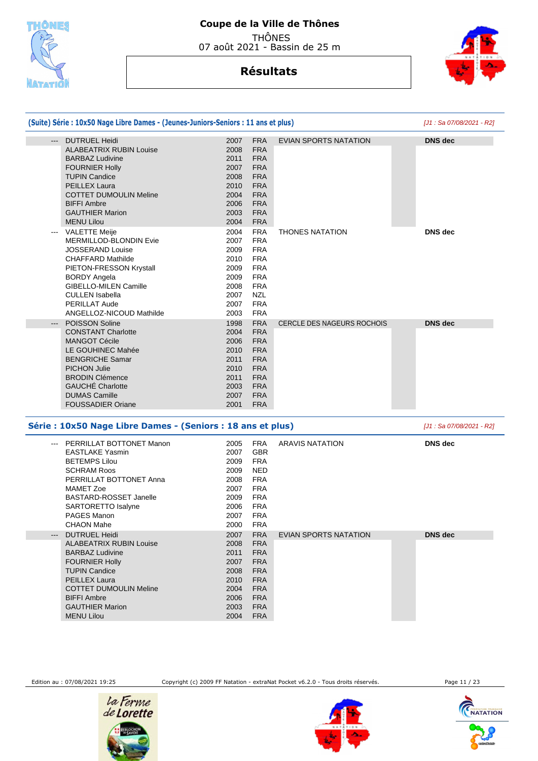



|                     | (Suite) Série : 10x50 Nage Libre Dames - (Jeunes-Juniors-Seniors : 11 ans et plus) |      |            |                                   | [J1 : Sa 07/08/2021 - R2] |
|---------------------|------------------------------------------------------------------------------------|------|------------|-----------------------------------|---------------------------|
| $---$               | <b>DUTRUEL Heidi</b>                                                               | 2007 | <b>FRA</b> | <b>EVIAN SPORTS NATATION</b>      | <b>DNS</b> dec            |
|                     | <b>ALABEATRIX RUBIN Louise</b>                                                     | 2008 | <b>FRA</b> |                                   |                           |
|                     | <b>BARBAZ Ludivine</b>                                                             | 2011 | <b>FRA</b> |                                   |                           |
|                     | <b>FOURNIER Holly</b>                                                              | 2007 | <b>FRA</b> |                                   |                           |
|                     | <b>TUPIN Candice</b>                                                               | 2008 | <b>FRA</b> |                                   |                           |
|                     | <b>PEILLEX Laura</b>                                                               | 2010 | <b>FRA</b> |                                   |                           |
|                     | <b>COTTET DUMOULIN Meline</b>                                                      | 2004 | <b>FRA</b> |                                   |                           |
|                     | <b>BIFFI Ambre</b>                                                                 | 2006 | <b>FRA</b> |                                   |                           |
|                     | <b>GAUTHIER Marion</b>                                                             | 2003 | <b>FRA</b> |                                   |                           |
|                     | <b>MENU Lilou</b>                                                                  | 2004 | <b>FRA</b> |                                   |                           |
| $---$               | <b>VALETTE Meije</b>                                                               | 2004 | <b>FRA</b> | <b>THONES NATATION</b>            | <b>DNS</b> dec            |
|                     | MERMILLOD-BLONDIN Evie                                                             | 2007 | <b>FRA</b> |                                   |                           |
|                     | <b>JOSSERAND Louise</b>                                                            | 2009 | <b>FRA</b> |                                   |                           |
|                     | <b>CHAFFARD Mathilde</b>                                                           | 2010 | <b>FRA</b> |                                   |                           |
|                     | PIETON-FRESSON Krystall                                                            | 2009 | <b>FRA</b> |                                   |                           |
|                     | <b>BORDY Angela</b>                                                                | 2009 | <b>FRA</b> |                                   |                           |
|                     | <b>GIBELLO-MILEN Camille</b>                                                       | 2008 | <b>FRA</b> |                                   |                           |
|                     | <b>CULLEN Isabella</b>                                                             | 2007 | <b>NZL</b> |                                   |                           |
|                     | <b>PERILLAT Aude</b>                                                               | 2007 | <b>FRA</b> |                                   |                           |
|                     | ANGELLOZ-NICOUD Mathilde                                                           | 2003 | <b>FRA</b> |                                   |                           |
| $\qquad \qquad - -$ | <b>POISSON Soline</b>                                                              | 1998 | <b>FRA</b> | <b>CERCLE DES NAGEURS ROCHOIS</b> | <b>DNS</b> dec            |
|                     | <b>CONSTANT Charlotte</b>                                                          | 2004 | <b>FRA</b> |                                   |                           |
|                     | <b>MANGOT Cécile</b>                                                               | 2006 | <b>FRA</b> |                                   |                           |
|                     | LE GOUHINEC Mahée                                                                  | 2010 | <b>FRA</b> |                                   |                           |
|                     | <b>BENGRICHE Samar</b>                                                             | 2011 | <b>FRA</b> |                                   |                           |
|                     | <b>PICHON Julie</b>                                                                | 2010 | <b>FRA</b> |                                   |                           |
|                     | <b>BRODIN Clémence</b>                                                             | 2011 | <b>FRA</b> |                                   |                           |
|                     | <b>GAUCHÉ Charlotte</b>                                                            | 2003 | <b>FRA</b> |                                   |                           |
|                     | <b>DUMAS Camille</b>                                                               | 2007 | <b>FRA</b> |                                   |                           |
|                     | <b>FOUSSADIER Oriane</b>                                                           | 2001 | <b>FRA</b> |                                   |                           |
|                     | Série : 10x50 Nage Libre Dames - (Seniors : 18 ans et plus)                        |      |            |                                   | [J1 : Sa 07/08/2021 - R2] |
|                     |                                                                                    |      |            |                                   |                           |

| PERRILLAT BOTTONET Manon<br>$\qquad \qquad -$ | 2005 | <b>FRA</b> | <b>ARAVIS NATATION</b> | <b>DNS</b> dec |
|-----------------------------------------------|------|------------|------------------------|----------------|
| <b>EASTLAKE Yasmin</b>                        | 2007 | <b>GBR</b> |                        |                |
| <b>BETEMPS Lilou</b>                          | 2009 | <b>FRA</b> |                        |                |
| <b>SCHRAM Roos</b>                            | 2009 | <b>NED</b> |                        |                |
| PERRILLAT BOTTONET Anna                       | 2008 | <b>FRA</b> |                        |                |
| MAMET Zoe                                     | 2007 | <b>FRA</b> |                        |                |
| <b>BASTARD-ROSSET Janelle</b>                 | 2009 | <b>FRA</b> |                        |                |
| SARTORETTO Isalyne                            | 2006 | <b>FRA</b> |                        |                |
| PAGES Manon                                   | 2007 | <b>FRA</b> |                        |                |
| <b>CHAON Mahe</b>                             | 2000 | <b>FRA</b> |                        |                |
| <b>DUTRUEL Heidi</b><br>$---$                 | 2007 | <b>FRA</b> | EVIAN SPORTS NATATION  | <b>DNS</b> dec |
| <b>ALABEATRIX RUBIN Louise</b>                | 2008 | <b>FRA</b> |                        |                |
| <b>BARBAZ Ludivine</b>                        | 2011 | <b>FRA</b> |                        |                |
| <b>FOURNIER Holly</b>                         | 2007 | <b>FRA</b> |                        |                |
| <b>TUPIN Candice</b>                          | 2008 | <b>FRA</b> |                        |                |
| <b>PEILLEX Laura</b>                          | 2010 | <b>FRA</b> |                        |                |
| <b>COTTET DUMOULIN Meline</b>                 | 2004 | <b>FRA</b> |                        |                |
| <b>BIFFI Ambre</b>                            | 2006 | <b>FRA</b> |                        |                |
| <b>GAUTHIER Marion</b>                        | 2003 | <b>FRA</b> |                        |                |
| <b>MENU Lilou</b>                             | 2004 | <b>FRA</b> |                        |                |
|                                               |      |            |                        |                |

Edition au : 07/08/2021 19:25 Copyright (c) 2009 FF Natation - extraNat Pocket v6.2.0 - Tous droits réservés. Page 11 / 23





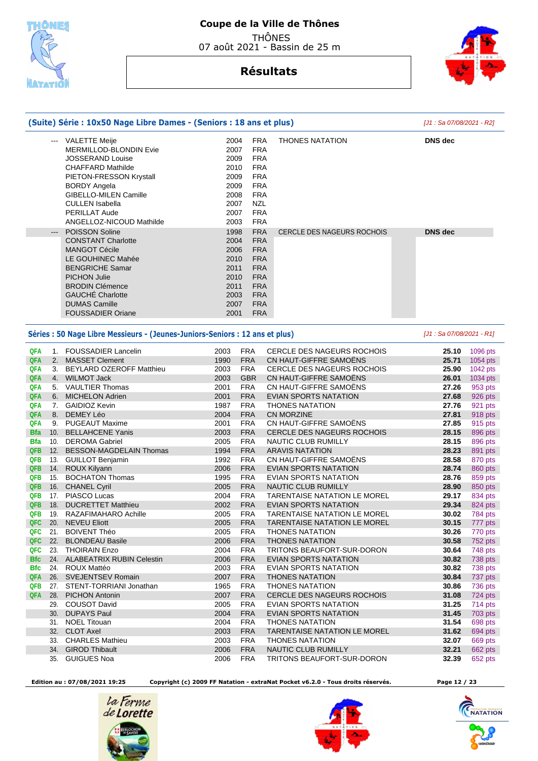



|                   |                                                                                                                                                                                                                                                                                                                                                                                              | (Suite) Série : 10x50 Nage Libre Dames - (Seniors : 18 ans et plus)                                                                                                                                                                                                                                                                                                                                                                                                                                    |                                                                                                                                                              |                                                                                                                                                                                                                                                                                      |                                                             | [J1 : Sa 07/08/2021 - R2]        |                    |
|-------------------|----------------------------------------------------------------------------------------------------------------------------------------------------------------------------------------------------------------------------------------------------------------------------------------------------------------------------------------------------------------------------------------------|--------------------------------------------------------------------------------------------------------------------------------------------------------------------------------------------------------------------------------------------------------------------------------------------------------------------------------------------------------------------------------------------------------------------------------------------------------------------------------------------------------|--------------------------------------------------------------------------------------------------------------------------------------------------------------|--------------------------------------------------------------------------------------------------------------------------------------------------------------------------------------------------------------------------------------------------------------------------------------|-------------------------------------------------------------|----------------------------------|--------------------|
|                   | $\frac{1}{2} \frac{1}{2} \frac{1}{2} \frac{1}{2} \frac{1}{2} \frac{1}{2} \frac{1}{2} \frac{1}{2} \frac{1}{2} \frac{1}{2} \frac{1}{2} \frac{1}{2} \frac{1}{2} \frac{1}{2} \frac{1}{2} \frac{1}{2} \frac{1}{2} \frac{1}{2} \frac{1}{2} \frac{1}{2} \frac{1}{2} \frac{1}{2} \frac{1}{2} \frac{1}{2} \frac{1}{2} \frac{1}{2} \frac{1}{2} \frac{1}{2} \frac{1}{2} \frac{1}{2} \frac{1}{2} \frac{$ | VALETTE Meije<br>MERMILLOD-BLONDIN Evie<br>JOSSERAND Louise<br><b>CHAFFARD Mathilde</b><br>PIETON-FRESSON Krystall<br><b>BORDY Angela</b><br>GIBELLO-MILEN Camille<br><b>CULLEN Isabella</b><br>PERILLAT Aude<br>ANGELLOZ-NICOUD Mathilde<br><b>POISSON Soline</b><br><b>CONSTANT Charlotte</b><br><b>MANGOT Cécile</b><br>LE GOUHINEC Mahée<br><b>BENGRICHE Samar</b><br><b>PICHON Julie</b><br><b>BRODIN Clémence</b><br><b>GAUCHE</b> Charlotte<br><b>DUMAS Camille</b><br><b>FOUSSADIER Oriane</b> | 2004<br>2007<br>2009<br>2010<br>2009<br>2009<br>2008<br>2007<br>2007<br>2003<br>1998<br>2004<br>2006<br>2010<br>2011<br>2010<br>2011<br>2003<br>2007<br>2001 | <b>FRA</b><br><b>FRA</b><br><b>FRA</b><br><b>FRA</b><br><b>FRA</b><br><b>FRA</b><br><b>FRA</b><br><b>NZL</b><br><b>FRA</b><br><b>FRA</b><br><b>FRA</b><br><b>FRA</b><br><b>FRA</b><br><b>FRA</b><br><b>FRA</b><br><b>FRA</b><br><b>FRA</b><br><b>FRA</b><br><b>FRA</b><br><b>FRA</b> | <b>THONES NATATION</b><br><b>CERCLE DES NAGEURS ROCHOIS</b> | <b>DNS</b> dec<br><b>DNS</b> dec |                    |
|                   |                                                                                                                                                                                                                                                                                                                                                                                              | Séries : 50 Nage Libre Messieurs - (Jeunes-Juniors-Seniors : 12 ans et plus)                                                                                                                                                                                                                                                                                                                                                                                                                           |                                                                                                                                                              |                                                                                                                                                                                                                                                                                      |                                                             | [J1: Sa 07/08/2021 - R1]         |                    |
| QFA               |                                                                                                                                                                                                                                                                                                                                                                                              | 1. FOUSSADIER Lancelin                                                                                                                                                                                                                                                                                                                                                                                                                                                                                 | 2003                                                                                                                                                         | <b>FRA</b>                                                                                                                                                                                                                                                                           | CERCLE DES NAGEURS ROCHOIS                                  | 25.10                            | 1096 pts           |
| QFA               |                                                                                                                                                                                                                                                                                                                                                                                              | 2. MASSET Clement                                                                                                                                                                                                                                                                                                                                                                                                                                                                                      | 1990                                                                                                                                                         | <b>FRA</b>                                                                                                                                                                                                                                                                           | CN HAUT-GIFFRE SAMOËNS                                      | 25.71                            | 1054 pts           |
| QFA               |                                                                                                                                                                                                                                                                                                                                                                                              | 3. BEYLARD OZEROFF Matthieu                                                                                                                                                                                                                                                                                                                                                                                                                                                                            | 2003                                                                                                                                                         | <b>FRA</b>                                                                                                                                                                                                                                                                           | <b>CERCLE DES NAGEURS ROCHOIS</b>                           | 25.90                            | 1042 pts           |
| QFA               |                                                                                                                                                                                                                                                                                                                                                                                              | 4. WILMOT Jack                                                                                                                                                                                                                                                                                                                                                                                                                                                                                         | 2003                                                                                                                                                         | <b>GBR</b>                                                                                                                                                                                                                                                                           | CN HAUT-GIFFRE SAMOENS                                      | 26.01                            | 1034 pts           |
| QFA               |                                                                                                                                                                                                                                                                                                                                                                                              | 5. VAULTIER Thomas                                                                                                                                                                                                                                                                                                                                                                                                                                                                                     | 2001                                                                                                                                                         | <b>FRA</b>                                                                                                                                                                                                                                                                           | CN HAUT-GIFFRE SAMOENS                                      | 27.26                            | 953 pts            |
| QFA               |                                                                                                                                                                                                                                                                                                                                                                                              | 6. MICHELON Adrien                                                                                                                                                                                                                                                                                                                                                                                                                                                                                     | 2001                                                                                                                                                         | <b>FRA</b>                                                                                                                                                                                                                                                                           | EVIAN SPORTS NATATION                                       | 27.68                            | 926 pts            |
| <b>QFA</b>        |                                                                                                                                                                                                                                                                                                                                                                                              | 7. GAIDIOZ Kevin                                                                                                                                                                                                                                                                                                                                                                                                                                                                                       | 1987                                                                                                                                                         | <b>FRA</b>                                                                                                                                                                                                                                                                           | <b>THONES NATATION</b>                                      | 27.76                            | 921 pts            |
| QFA               |                                                                                                                                                                                                                                                                                                                                                                                              | 8. DEMEY Léo                                                                                                                                                                                                                                                                                                                                                                                                                                                                                           | 2004                                                                                                                                                         | <b>FRA</b>                                                                                                                                                                                                                                                                           | <b>CN MORZINE</b>                                           | 27.81                            | 918 pts            |
| <b>QFA</b>        |                                                                                                                                                                                                                                                                                                                                                                                              | 9. PUGEAUT Maxime                                                                                                                                                                                                                                                                                                                                                                                                                                                                                      | 2001                                                                                                                                                         | <b>FRA</b>                                                                                                                                                                                                                                                                           | CN HAUT-GIFFRE SAMOËNS                                      | 27.85                            | 915 pts            |
| <b>Bfa</b>        |                                                                                                                                                                                                                                                                                                                                                                                              | 10. BELLAHCENE Yanis                                                                                                                                                                                                                                                                                                                                                                                                                                                                                   | 2003                                                                                                                                                         | <b>FRA</b>                                                                                                                                                                                                                                                                           | CERCLE DES NAGEURS ROCHOIS                                  | 28.15                            | 896 pts            |
| <b>Bfa</b>        |                                                                                                                                                                                                                                                                                                                                                                                              | 10. DEROMA Gabriel                                                                                                                                                                                                                                                                                                                                                                                                                                                                                     | 2005                                                                                                                                                         | <b>FRA</b>                                                                                                                                                                                                                                                                           | NAUTIC CLUB RUMILLY                                         | 28.15                            | 896 pts            |
| QFB               |                                                                                                                                                                                                                                                                                                                                                                                              | 12. BESSON-MAGDELAIN Thomas                                                                                                                                                                                                                                                                                                                                                                                                                                                                            | 1994                                                                                                                                                         | <b>FRA</b>                                                                                                                                                                                                                                                                           | <b>ARAVIS NATATION</b>                                      | 28.23                            | 891 pts            |
| QFB               |                                                                                                                                                                                                                                                                                                                                                                                              | 13. GUILLOT Benjamin                                                                                                                                                                                                                                                                                                                                                                                                                                                                                   | 1992                                                                                                                                                         | <b>FRA</b>                                                                                                                                                                                                                                                                           | CN HAUT-GIFFRE SAMOENS                                      | 28.58                            | 870 pts            |
| <b>QFB</b>        |                                                                                                                                                                                                                                                                                                                                                                                              | 14. ROUX Kilyann                                                                                                                                                                                                                                                                                                                                                                                                                                                                                       | 2006                                                                                                                                                         | <b>FRA</b>                                                                                                                                                                                                                                                                           | <b>EVIAN SPORTS NATATION</b>                                | 28.74                            | 860 pts            |
| QFB               |                                                                                                                                                                                                                                                                                                                                                                                              | 15. BOCHATON Thomas                                                                                                                                                                                                                                                                                                                                                                                                                                                                                    | 1995                                                                                                                                                         | <b>FRA</b>                                                                                                                                                                                                                                                                           | <b>EVIAN SPORTS NATATION</b>                                | 28.76                            | 859 pts            |
| QFB               |                                                                                                                                                                                                                                                                                                                                                                                              | 16. CHANEL Cyril                                                                                                                                                                                                                                                                                                                                                                                                                                                                                       | 2005                                                                                                                                                         | <b>FRA</b>                                                                                                                                                                                                                                                                           | NAUTIC CLUB RUMILLY                                         | 28.90                            | 850 pts            |
| <b>QFB</b>        |                                                                                                                                                                                                                                                                                                                                                                                              | 17. PIASCO Lucas                                                                                                                                                                                                                                                                                                                                                                                                                                                                                       | 2004                                                                                                                                                         | <b>FRA</b>                                                                                                                                                                                                                                                                           | TARENTAISE NATATION LE MOREL                                | 29.17                            | 834 pts            |
| <b>QFB</b><br>QFB |                                                                                                                                                                                                                                                                                                                                                                                              | 18. DUCRETTET Matthieu<br>19. RAZAFIMAHARO Achille                                                                                                                                                                                                                                                                                                                                                                                                                                                     | 2002<br>2005                                                                                                                                                 | <b>FRA</b><br><b>FRA</b>                                                                                                                                                                                                                                                             | EVIAN SPORTS NATATION<br>TARENTAISE NATATION LE MOREL       | 29.34<br>30.02                   | 824 pts            |
| QFC               |                                                                                                                                                                                                                                                                                                                                                                                              | 20. NEVEU Eliott                                                                                                                                                                                                                                                                                                                                                                                                                                                                                       | 2005                                                                                                                                                         | <b>FRA</b>                                                                                                                                                                                                                                                                           |                                                             |                                  | 784 pts            |
| QFC.              |                                                                                                                                                                                                                                                                                                                                                                                              | 21. BOIVENT Théo                                                                                                                                                                                                                                                                                                                                                                                                                                                                                       |                                                                                                                                                              | FRA                                                                                                                                                                                                                                                                                  | TARENTAISE NATATION LE MOREL<br><b>THONES NATATION</b>      | 30.15<br>30.26                   | 777 pts            |
| QFC               |                                                                                                                                                                                                                                                                                                                                                                                              | 22. BLONDEAU Basile                                                                                                                                                                                                                                                                                                                                                                                                                                                                                    | 2005<br>2006                                                                                                                                                 | <b>FRA</b>                                                                                                                                                                                                                                                                           | <b>THONES NATATION</b>                                      | 30.58                            | 770 pts<br>752 pts |
| QFC.              | 23.                                                                                                                                                                                                                                                                                                                                                                                          | <b>THOIRAIN Enzo</b>                                                                                                                                                                                                                                                                                                                                                                                                                                                                                   | 2004                                                                                                                                                         | <b>FRA</b>                                                                                                                                                                                                                                                                           | TRITONS BEAUFORT-SUR-DORON                                  | 30.64                            | 748 pts            |
| <b>Bfc</b>        |                                                                                                                                                                                                                                                                                                                                                                                              | 24. ALABEATRIX RUBIN Celestin                                                                                                                                                                                                                                                                                                                                                                                                                                                                          | 2006                                                                                                                                                         | <b>FRA</b>                                                                                                                                                                                                                                                                           | EVIAN SPORTS NATATION                                       | 30.82                            | 738 pts            |
| <b>Bfc</b>        |                                                                                                                                                                                                                                                                                                                                                                                              | 24. ROUX Mattéo                                                                                                                                                                                                                                                                                                                                                                                                                                                                                        | 2003                                                                                                                                                         | <b>FRA</b>                                                                                                                                                                                                                                                                           | EVIAN SPORTS NATATION                                       | 30.82                            | 738 pts            |
| QFA               |                                                                                                                                                                                                                                                                                                                                                                                              | 26. SVEJENTSEV Romain                                                                                                                                                                                                                                                                                                                                                                                                                                                                                  | 2007                                                                                                                                                         | <b>FRA</b>                                                                                                                                                                                                                                                                           | <b>THONES NATATION</b>                                      | 30.84                            | 737 pts            |
| QFB               |                                                                                                                                                                                                                                                                                                                                                                                              | 27. STENT-TORRIANI Jonathan                                                                                                                                                                                                                                                                                                                                                                                                                                                                            | 1965                                                                                                                                                         | <b>FRA</b>                                                                                                                                                                                                                                                                           | <b>THONES NATATION</b>                                      | 30.86                            | 736 pts            |
| QFA.              |                                                                                                                                                                                                                                                                                                                                                                                              | 28. PICHON Antonin                                                                                                                                                                                                                                                                                                                                                                                                                                                                                     | 2007                                                                                                                                                         | <b>FRA</b>                                                                                                                                                                                                                                                                           | CERCLE DES NAGEURS ROCHOIS                                  | 31.08                            | 724 pts            |
|                   |                                                                                                                                                                                                                                                                                                                                                                                              | 29. COUSOT David                                                                                                                                                                                                                                                                                                                                                                                                                                                                                       | 2005                                                                                                                                                         | <b>FRA</b>                                                                                                                                                                                                                                                                           | EVIAN SPORTS NATATION                                       | 31.25                            | 714 pts            |
|                   |                                                                                                                                                                                                                                                                                                                                                                                              | 30. DUPAYS Paul                                                                                                                                                                                                                                                                                                                                                                                                                                                                                        | 2004                                                                                                                                                         | <b>FRA</b>                                                                                                                                                                                                                                                                           | EVIAN SPORTS NATATION                                       | 31.45                            | 703 pts            |
|                   |                                                                                                                                                                                                                                                                                                                                                                                              | 31. NOEL Titouan                                                                                                                                                                                                                                                                                                                                                                                                                                                                                       | 2004                                                                                                                                                         | <b>FRA</b>                                                                                                                                                                                                                                                                           | <b>THONES NATATION</b>                                      | 31.54                            | 698 pts            |
|                   |                                                                                                                                                                                                                                                                                                                                                                                              | 32. CLOT Axel                                                                                                                                                                                                                                                                                                                                                                                                                                                                                          | 2003                                                                                                                                                         | <b>FRA</b>                                                                                                                                                                                                                                                                           | TARENTAISE NATATION LE MOREL                                | 31.62                            | 694 pts            |
|                   |                                                                                                                                                                                                                                                                                                                                                                                              | 33. CHARLES Mathieu                                                                                                                                                                                                                                                                                                                                                                                                                                                                                    | 2003                                                                                                                                                         | <b>FRA</b>                                                                                                                                                                                                                                                                           | <b>THONES NATATION</b>                                      | 32.07                            | 669 pts            |
|                   |                                                                                                                                                                                                                                                                                                                                                                                              | 34. GIROD Thibault                                                                                                                                                                                                                                                                                                                                                                                                                                                                                     | 2006                                                                                                                                                         | <b>FRA</b>                                                                                                                                                                                                                                                                           | NAUTIC CLUB RUMILLY                                         | 32.21                            | 662 pts            |
|                   |                                                                                                                                                                                                                                                                                                                                                                                              | 35. GUIGUES Noa                                                                                                                                                                                                                                                                                                                                                                                                                                                                                        | 2006                                                                                                                                                         | <b>FRA</b>                                                                                                                                                                                                                                                                           | TRITONS BEAUFORT-SUR-DORON                                  | 32.39                            | 652 pts            |

 **Edition au : 07/08/2021 19:25 Copyright (c) 2009 FF Natation - extraNat Pocket v6.2.0 - Tous droits réservés. Page 12 / 23** 





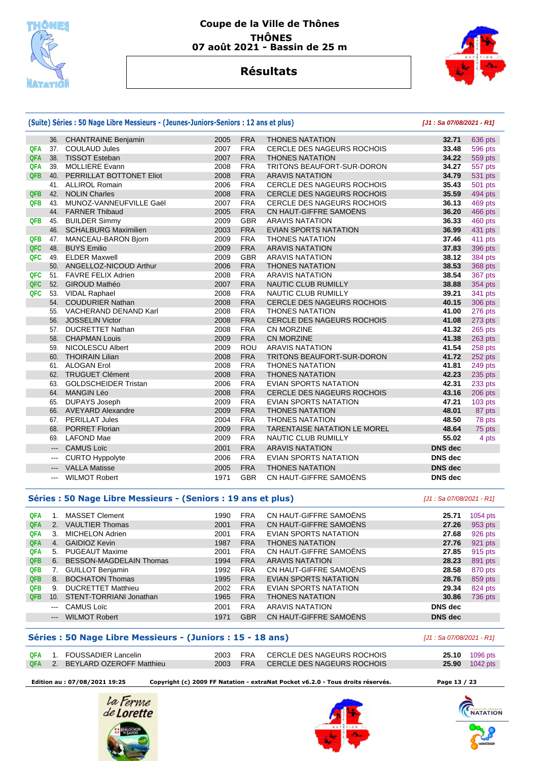

## **Résultats**



|            |                                                                                                | (Suite) Séries : 50 Nage Libre Messieurs - (Jeunes-Juniors-Seniors : 12 ans et plus) |      | $[J1: Sa 07/08/2021 - R1]$ |                                     |                |           |
|------------|------------------------------------------------------------------------------------------------|--------------------------------------------------------------------------------------|------|----------------------------|-------------------------------------|----------------|-----------|
|            |                                                                                                | 36. CHANTRAINE Benjamin                                                              | 2005 | <b>FRA</b>                 | <b>THONES NATATION</b>              | 32.71          | 636 pts   |
| QFA        |                                                                                                | 37. COULAUD Jules                                                                    | 2007 | <b>FRA</b>                 | CERCLE DES NAGEURS ROCHOIS          | 33.48          | 596 pts   |
| QFA        | 38.                                                                                            | <b>TISSOT Esteban</b>                                                                | 2007 | <b>FRA</b>                 | <b>THONES NATATION</b>              | 34.22          | 559 pts   |
| QFA        | 39.                                                                                            | <b>MOLLIERE Evann</b>                                                                | 2008 | <b>FRA</b>                 | TRITONS BEAUFORT-SUR-DORON          | 34.27          | 557 pts   |
| <b>QFB</b> |                                                                                                | 40. PERRILLAT BOTTONET Eliot                                                         | 2008 | <b>FRA</b>                 | <b>ARAVIS NATATION</b>              | 34.79          | 531 pts   |
|            |                                                                                                | 41. ALLIROL Romain                                                                   | 2006 | <b>FRA</b>                 | CERCLE DES NAGEURS ROCHOIS          | 35.43          | 501 pts   |
| QFB        |                                                                                                | 42. NOLIN Charles                                                                    | 2008 | <b>FRA</b>                 | CERCLE DES NAGEURS ROCHOIS          | 35.59          | 494 pts   |
| <b>QFB</b> | 43.                                                                                            | MUNOZ-VANNEUFVILLE Gaël                                                              | 2007 | <b>FRA</b>                 | <b>CERCLE DES NAGEURS ROCHOIS</b>   | 36.13          | 469 pts   |
|            |                                                                                                | 44. FARNER Thibaud                                                                   | 2005 | <b>FRA</b>                 | CN HAUT-GIFFRE SAMOËNS              | 36.20          | 466 pts   |
| <b>QFB</b> | 45.                                                                                            | <b>BUILDER Simmy</b>                                                                 | 2009 | <b>GBR</b>                 | <b>ARAVIS NATATION</b>              | 36.33          | 460 pts   |
|            |                                                                                                | 46. SCHALBURG Maximilien                                                             | 2003 | <b>FRA</b>                 | <b>EVIAN SPORTS NATATION</b>        | 36.99          | 431 pts   |
| <b>QFB</b> |                                                                                                | 47. MANCEAU-BARON Bjorn                                                              | 2009 | <b>FRA</b>                 | <b>THONES NATATION</b>              | 37.46          | 411 pts   |
| QFC        |                                                                                                | 48. BUYS Emilio                                                                      | 2009 | <b>FRA</b>                 | <b>ARAVIS NATATION</b>              | 37.83          | 396 pts   |
| QFC        | 49.                                                                                            | <b>ELDER Maxwell</b>                                                                 | 2009 | <b>GBR</b>                 | <b>ARAVIS NATATION</b>              | 38.12          | 384 pts   |
|            |                                                                                                | 50. ANGELLOZ-NICOUD Arthur                                                           | 2006 | <b>FRA</b>                 | <b>THONES NATATION</b>              | 38.53          | 368 pts   |
| <b>QFC</b> | 51.                                                                                            | <b>FAVRE FELIX Adrien</b>                                                            | 2008 | <b>FRA</b>                 | <b>ARAVIS NATATION</b>              | 38.54          | 367 pts   |
| QFC        |                                                                                                | 52. GIROUD Mathéo                                                                    | 2007 | <b>FRA</b>                 | NAUTIC CLUB RUMILLY                 | 38.88          | 354 pts   |
| QFC        |                                                                                                | 53. VIDAL Raphael                                                                    | 2008 | <b>FRA</b>                 | <b>NAUTIC CLUB RUMILLY</b>          | 39.21          | 341 pts   |
|            |                                                                                                | 54. COUDURIER Nathan                                                                 | 2008 | <b>FRA</b>                 | CERCLE DES NAGEURS ROCHOIS          | 40.15          | 306 pts   |
|            | 55.                                                                                            | VACHERAND DENAND Karl                                                                | 2008 | <b>FRA</b>                 | <b>THONES NATATION</b>              | 41.00          | 276 pts   |
|            | 56.                                                                                            | <b>JOSSELIN Victor</b>                                                               | 2008 | <b>FRA</b>                 | CERCLE DES NAGEURS ROCHOIS          | 41.08          | 273 pts   |
|            | 57.                                                                                            | <b>DUCRETTET Nathan</b>                                                              | 2008 | <b>FRA</b>                 | <b>CN MORZINE</b>                   | 41.32          | 265 pts   |
|            | 58.                                                                                            | <b>CHAPMAN Louis</b>                                                                 | 2009 | <b>FRA</b>                 | CN MORZINE                          | 41.38          | 263 pts   |
|            | 59.                                                                                            | NICOLESCU Albert                                                                     | 2009 | <b>ROU</b>                 | <b>ARAVIS NATATION</b>              | 41.54          | 258 pts   |
|            |                                                                                                | 60. THOIRAIN Lilian                                                                  | 2008 | <b>FRA</b>                 | TRITONS BEAUFORT-SUR-DORON          | 41.72          | 252 pts   |
|            | 61.                                                                                            | <b>ALOGAN Erol</b>                                                                   | 2008 | <b>FRA</b>                 | <b>THONES NATATION</b>              | 41.81          | 249 pts   |
|            | 62.                                                                                            | <b>TRUGUET Clément</b>                                                               | 2008 | <b>FRA</b>                 | <b>THONES NATATION</b>              | 42.23          | 235 pts   |
|            | 63.                                                                                            | <b>GOLDSCHEIDER Tristan</b>                                                          | 2006 | <b>FRA</b>                 | <b>EVIAN SPORTS NATATION</b>        | 42.31          | 233 pts   |
|            | 64.                                                                                            | <b>MANGIN Léo</b>                                                                    | 2008 | <b>FRA</b>                 | <b>CERCLE DES NAGEURS ROCHOIS</b>   | 43.16          | 206 pts   |
|            | 65.                                                                                            | <b>DUPAYS Joseph</b>                                                                 | 2009 | <b>FRA</b>                 | <b>EVIAN SPORTS NATATION</b>        | 47.21          | $103$ pts |
|            |                                                                                                | 66. AVEYARD Alexandre                                                                | 2009 | <b>FRA</b>                 | <b>THONES NATATION</b>              | 48.01          | 87 pts    |
|            |                                                                                                | 67. PERILLAT Jules                                                                   | 2004 | <b>FRA</b>                 | <b>THONES NATATION</b>              | 48.50          | 78 pts    |
|            | 68.                                                                                            | <b>PORRET Florian</b>                                                                | 2009 | <b>FRA</b>                 | <b>TARENTAISE NATATION LE MOREL</b> | 48.64          | 75 pts    |
|            | 69.                                                                                            | <b>LAFOND Mae</b>                                                                    | 2009 | <b>FRA</b>                 | NAUTIC CLUB RUMILLY                 | 55.02          | 4 pts     |
|            | $\qquad \qquad \cdots$                                                                         | <b>CAMUS Loïc</b>                                                                    | 2001 | <b>FRA</b>                 | <b>ARAVIS NATATION</b>              | <b>DNS</b> dec |           |
|            | $\cdots$                                                                                       | CURTO Hyppolyte                                                                      | 2006 | <b>FRA</b>                 | <b>EVIAN SPORTS NATATION</b>        | <b>DNS</b> dec |           |
|            | $\qquad \qquad \cdots$                                                                         | <b>VALLA Matisse</b>                                                                 | 2005 | <b>FRA</b>                 | <b>THONES NATATION</b>              | <b>DNS</b> dec |           |
|            | $\frac{1}{2} \left( \frac{1}{2} \right) \left( \frac{1}{2} \right) \left( \frac{1}{2} \right)$ | <b>WILMOT Robert</b>                                                                 | 1971 | <b>GBR</b>                 | CN HAUT-GIFFRE SAMOËNS              | <b>DNS</b> dec |           |

#### **Séries : 50 Nage Libre Messieurs - (Seniors : 19 ans et plus)** [J1 : Sa 07/08/2021 - R1]

| <b>QFA</b> |                                                                                                | <b>MASSET Clement</b>      | 1990 | <b>FRA</b> | CN HAUT-GIFFRE SAMOËNS | 25.71          | 1054 pts |
|------------|------------------------------------------------------------------------------------------------|----------------------------|------|------------|------------------------|----------------|----------|
| <b>QFA</b> |                                                                                                | 2. VAULTIER Thomas         | 2001 | <b>FRA</b> | CN HAUT-GIFFRE SAMOËNS | 27.26          | 953 pts  |
| <b>QFA</b> | 3.                                                                                             | <b>MICHELON Adrien</b>     | 2001 | <b>FRA</b> | EVIAN SPORTS NATATION  | 27.68          | 926 pts  |
| <b>QFA</b> | 4.                                                                                             | <b>GAIDIOZ Kevin</b>       | 1987 | <b>FRA</b> | <b>THONES NATATION</b> | 27.76          | 921 pts  |
| <b>QFA</b> |                                                                                                | 5. PUGEAUT Maxime          | 2001 | <b>FRA</b> | CN HAUT-GIFFRE SAMOËNS | 27.85          | 915 pts  |
| QFB        |                                                                                                | 6. BESSON-MAGDELAIN Thomas | 1994 | <b>FRA</b> | <b>ARAVIS NATATION</b> | 28.23          | 891 pts  |
| <b>QFB</b> | 7.                                                                                             | <b>GUILLOT Benjamin</b>    | 1992 | <b>FRA</b> | CN HAUT-GIFFRE SAMOËNS | 28.58          | 870 pts  |
| QFB        | 8.                                                                                             | <b>BOCHATON Thomas</b>     | 1995 | <b>FRA</b> | EVIAN SPORTS NATATION  | 28.76          | 859 pts  |
| <b>QFB</b> | 9.                                                                                             | <b>DUCRETTET Matthieu</b>  | 2002 | <b>FRA</b> | EVIAN SPORTS NATATION  | 29.34          | 824 pts  |
| QFB        | 10.                                                                                            | STENT-TORRIANI Jonathan    | 1965 | <b>FRA</b> | <b>THONES NATATION</b> | 30.86          | 736 pts  |
|            | $\frac{1}{2} \left( \frac{1}{2} \right) \left( \frac{1}{2} \right) \left( \frac{1}{2} \right)$ | CAMUS Loïc                 | 2001 | <b>FRA</b> | <b>ARAVIS NATATION</b> | DNS dec        |          |
|            |                                                                                                | <b>WILMOT Robert</b>       | 1971 | <b>GBR</b> | CN HAUT-GIFFRE SAMOËNS | <b>DNS</b> dec |          |

### **Séries : 50 Nage Libre Messieurs - (Juniors : 15 - 18 ans)** [J1 : Sa 07/08/2021 - R1]

|  | <b>QFA</b> 1. FOUSSADIER Lancelin |  | 2003 FRA CERCLE DES NAGEURS ROCHOIS | <b>25.10</b> 1096 pts |
|--|-----------------------------------|--|-------------------------------------|-----------------------|
|  | QFA 2. BEYLARD OZEROFF Matthieu   |  | 2003 FRA CERCLE DES NAGEURS ROCHOIS | <b>25.90</b> 1042 pts |

 **Edition au : 07/08/2021 19:25 Copyright (c) 2009 FF Natation - extraNat Pocket v6.2.0 - Tous droits réservés. Page 13 / 23** 







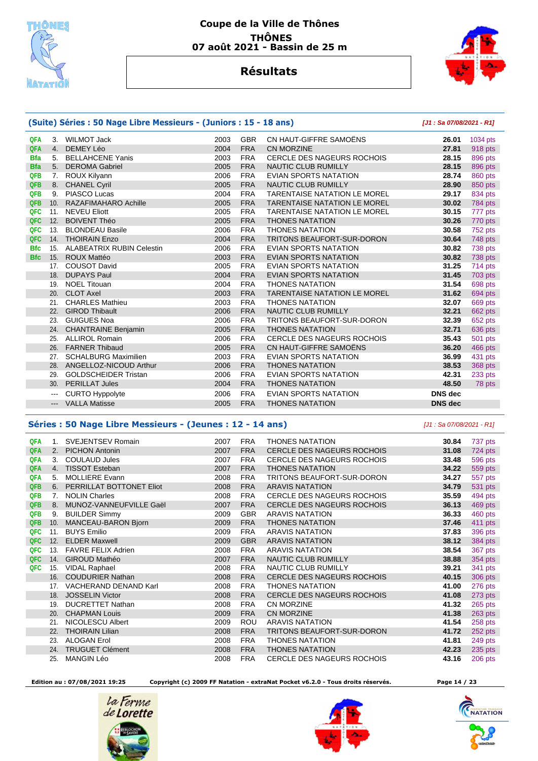



## **Résultats**

#### **(Suite) Séries : 50 Nage Libre Messieurs - (Juniors : 15 - 18 ans) [J1 : Sa 07/08/2021 - R1] QFA** 3. WILMOT Jack 2003 GBR CN HAUT-GIFFRE SAMOËNS **26.01** 1034 pts  **QFA** 4. DEMEY Léo 2004 FRA CN MORZINE **27.81** 918 pts  **Bfa** 5. BELLAHCENE Yanis 2003 FRA CERCLE DES NAGEURS ROCHOIS **28.15** 896 pts  **Bfa** 5. DEROMA Gabriel 2005 FRA NAUTIC CLUB RUMILLY **28.15** 896 pts **7. ROUX Kilyann 28.74 2006 FRA EVIAN SPORTS NATATION 28.74 860 pts QFB** 8. CHANEL Cyril 2005 FRA NAUTIC CLUB RUMILLY **28.90** 850 pts  **QFB** 9. PIASCO Lucas 2004 FRA TARENTAISE NATATION LE MOREL **29.17** 834 pts  **QFB** 10. RAZAFIMAHARO Achille 2005 FRA TARENTAISE NATATION LE MOREL **30.02** 784 pts  **QFC** 11. NEVEU Eliott 2005 FRA TARENTAISE NATATION LE MOREL **30.15** 777 pts  **QFC** 12. BOIVENT Théo 2005 FRA THONES NATATION **30.26** 770 pts  **QFC** 13. BLONDEAU Basile 2006 FRA THONES NATATION **30.58** 752 pts  **QFC** 14. THOIRAIN Enzo 2004 FRA TRITONS BEAUFORT-SUR-DORON **30.64** 748 pts  **Bfc** 15. ALABEATRIX RUBIN Celestin 2006 FRA EVIAN SPORTS NATATION **30.82** 738 pts  **Bfc** 15. ROUX Mattéo 2003 FRA EVIAN SPORTS NATATION **30.82** 738 pts 17. COUSOT David 2005 FRA EVIAN SPORTS NATATION **31.25** 714 pts 18. DUPAYS Paul 2004 FRA EVIAN SPORTS NATATION **31.45** 703 pts 19. NOEL Titouan 2004 FRA THONES NATATION **31.54** 698 pts 20. CLOT Axel 2003 FRA TARENTAISE NATATION LE MOREL **31.62** 694 pts 21. CHARLES Mathieu 2003 FRA THONES NATATION **32.07** 669 pts 22. GIROD Thibault 2006 FRA NAUTIC CLUB RUMILLY **32.21** 662 pts 23. GUIGUES Noa 2006 FRA TRITONS BEAUFORT-SUR-DORON **32.39** 652 pts 24. CHANTRAINE Benjamin 2005 FRA THONES NATATION **32.71** 636 pts 25. ALLIROL Romain 2006 FRA CERCLE DES NAGEURS ROCHOIS **35.43** 501 pts 26. FARNER Thibaud 2005 FRA CN HAUT-GIFFRE SAMOËNS **36.20** 466 pts 27. SCHALBURG Maximilien 2003 FRA EVIAN SPORTS NATATION **36.99** 431 pts 28. ANGELLOZ-NICOUD Arthur 2006 FRA THONES NATATION **38.53** 368 pts 29. GOLDSCHEIDER Tristan 2006 FRA EVIAN SPORTS NATATION **42.31** 233 pts 30. PERILLAT Jules 2004 FRA THONES NATATION **48.50** 78 pts --- CURTO Hyppolyte 2006 FRA EVIAN SPORTS NATATION **DNS dec**  --- VALLA Matisse 2005 FRA THONES NATATION **DNS dec**

#### **Séries : 50 Nage Libre Messieurs - (Jeunes : 12 - 14 ans)** [J1 : Sa 07/08/2021 - R1]

| <b>QFA</b> | 1.  | <b>SVEJENTSEV Romain</b>  | 2007 | <b>FRA</b> | <b>THONES NATATION</b>            | 30.84 | 737 pts |
|------------|-----|---------------------------|------|------------|-----------------------------------|-------|---------|
| <b>QFA</b> | 2.  | <b>PICHON Antonin</b>     | 2007 | <b>FRA</b> | <b>CERCLE DES NAGEURS ROCHOIS</b> | 31.08 | 724 pts |
| <b>QFA</b> | 3.  | <b>COULAUD Jules</b>      | 2007 | <b>FRA</b> | CERCLE DES NAGEURS ROCHOIS        | 33.48 | 596 pts |
| QFA        | 4.  | <b>TISSOT Esteban</b>     | 2007 | <b>FRA</b> | <b>THONES NATATION</b>            | 34.22 | 559 pts |
| QFA        | 5.  | <b>MOLLIERE Evann</b>     | 2008 | <b>FRA</b> | TRITONS BEAUFORT-SUR-DORON        | 34.27 | 557 pts |
| <b>QFB</b> | 6.  | PERRILLAT BOTTONET Eliot  | 2008 | <b>FRA</b> | <b>ARAVIS NATATION</b>            | 34.79 | 531 pts |
| QFB        | 7.  | <b>NOLIN Charles</b>      | 2008 | <b>FRA</b> | <b>CERCLE DES NAGEURS ROCHOIS</b> | 35.59 | 494 pts |
| <b>QFB</b> | 8.  | MUNOZ-VANNEUFVILLE Gaël   | 2007 | <b>FRA</b> | <b>CERCLE DES NAGEURS ROCHOIS</b> | 36.13 | 469 pts |
| <b>QFB</b> | 9.  | <b>BUILDER Simmy</b>      | 2009 | <b>GBR</b> | <b>ARAVIS NATATION</b>            | 36.33 | 460 pts |
| <b>QFB</b> | 10. | MANCEAU-BARON Bjorn       | 2009 | <b>FRA</b> | <b>THONES NATATION</b>            | 37.46 | 411 pts |
| QFC        | 11. | <b>BUYS Emilio</b>        | 2009 | <b>FRA</b> | <b>ARAVIS NATATION</b>            | 37.83 | 396 pts |
| QFC        | 12. | <b>ELDER Maxwell</b>      | 2009 | <b>GBR</b> | <b>ARAVIS NATATION</b>            | 38.12 | 384 pts |
| <b>QFC</b> | 13. | <b>FAVRE FELIX Adrien</b> | 2008 | <b>FRA</b> | <b>ARAVIS NATATION</b>            | 38.54 | 367 pts |
| QFC        | 14. | <b>GIROUD Mathéo</b>      | 2007 | <b>FRA</b> | <b>NAUTIC CLUB RUMILLY</b>        | 38.88 | 354 pts |
| QFC        | 15. | <b>VIDAL Raphael</b>      | 2008 | <b>FRA</b> | <b>NAUTIC CLUB RUMILLY</b>        | 39.21 | 341 pts |
|            | 16. | <b>COUDURIER Nathan</b>   | 2008 | <b>FRA</b> | <b>CERCLE DES NAGEURS ROCHOIS</b> | 40.15 | 306 pts |
|            | 17. | VACHERAND DENAND Karl     | 2008 | <b>FRA</b> | <b>THONES NATATION</b>            | 41.00 | 276 pts |
|            | 18. | <b>JOSSELIN Victor</b>    | 2008 | <b>FRA</b> | <b>CERCLE DES NAGEURS ROCHOIS</b> | 41.08 | 273 pts |
|            | 19. | <b>DUCRETTET Nathan</b>   | 2008 | <b>FRA</b> | CN MORZINE                        | 41.32 | 265 pts |
|            | 20. | <b>CHAPMAN Louis</b>      | 2009 | <b>FRA</b> | <b>CN MORZINE</b>                 | 41.38 | 263 pts |
|            | 21. | NICOLESCU Albert          | 2009 | <b>ROU</b> | <b>ARAVIS NATATION</b>            | 41.54 | 258 pts |
|            | 22. | <b>THOIRAIN Lilian</b>    | 2008 | <b>FRA</b> | TRITONS BEAUFORT-SUR-DORON        | 41.72 | 252 pts |
|            | 23. | <b>ALOGAN Erol</b>        | 2008 | <b>FRA</b> | <b>THONES NATATION</b>            | 41.81 | 249 pts |
|            | 24. | <b>TRUGUET Clément</b>    | 2008 | <b>FRA</b> | <b>THONES NATATION</b>            | 42.23 | 235 pts |
|            | 25. | <b>MANGIN Léo</b>         | 2008 | <b>FRA</b> | <b>CERCLE DES NAGEURS ROCHOIS</b> | 43.16 | 206 pts |

 **Edition au : 07/08/2021 19:25 Copyright (c) 2009 FF Natation - extraNat Pocket v6.2.0 - Tous droits réservés. Page 14 / 23** 





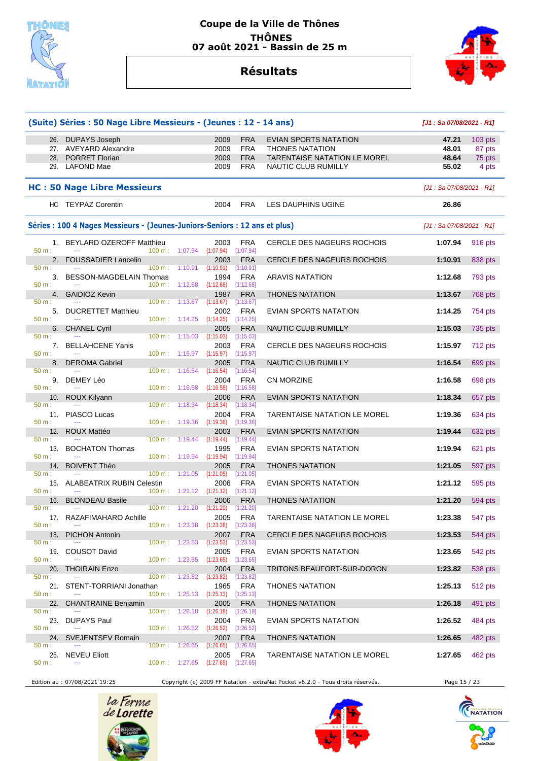





|                         | (Suite) Séries : 50 Nage Libre Messieurs - (Jeunes : 12 - 14 ans)          |                          |                                      |                                 |                                      |                                     | [J1: Sa 07/08/2021 - R1]   |                |
|-------------------------|----------------------------------------------------------------------------|--------------------------|--------------------------------------|---------------------------------|--------------------------------------|-------------------------------------|----------------------------|----------------|
|                         | 26. DUPAYS Joseph                                                          |                          |                                      | 2009                            | <b>FRA</b>                           | EVIAN SPORTS NATATION               | 47.21                      | 103 pts        |
|                         | 27. AVEYARD Alexandre                                                      |                          |                                      | 2009                            | <b>FRA</b>                           | <b>THONES NATATION</b>              | 48.01                      | 87 pts         |
|                         | 28. PORRET Florian                                                         |                          |                                      | 2009                            | <b>FRA</b>                           | <b>TARENTAISE NATATION LE MOREL</b> | 48.64                      | 75 pts         |
|                         | 29. LAFOND Mae                                                             |                          |                                      | 2009                            | <b>FRA</b>                           | <b>NAUTIC CLUB RUMILLY</b>          | 55.02                      | 4 pts          |
|                         | <b>HC: 50 Nage Libre Messieurs</b>                                         |                          |                                      |                                 |                                      |                                     | $[J1: Sa 07/08/2021 - R1]$ |                |
|                         | HC TEYPAZ Corentin                                                         |                          |                                      | 2004                            | <b>FRA</b>                           | LES DAUPHINS UGINE                  | 26.86                      |                |
|                         | Séries : 100 4 Nages Messieurs - (Jeunes-Juniors-Seniors : 12 ans et plus) |                          |                                      |                                 |                                      |                                     | [J1: Sa 07/08/2021 - R1]   |                |
| 50 m:                   | 1. BEYLARD OZEROFF Matthieu                                                | 100 m:                   | 1:07.94                              | 2003<br>$(1:07.94)$ $[1:07.94]$ | <b>FRA</b>                           | CERCLE DES NAGEURS ROCHOIS          | 1:07.94                    | 916 pts        |
| 2.                      | <b>FOUSSADIER Lancelin</b>                                                 |                          |                                      | 2003                            | <b>FRA</b>                           | <b>CERCLE DES NAGEURS ROCHOIS</b>   | 1:10.91                    | 838 pts        |
| 50 m:<br>3.<br>$50 m$ : | BESSON-MAGDELAIN Thomas                                                    | 100 m:<br>$100 m$ :      | 1:10.91<br>1:12.68                   | (1:10.91)<br>1994<br>(1:12.68)  | [1:10.91]<br>FRA<br>[1:12.68]        | <b>ARAVIS NATATION</b>              | 1:12.68                    | 793 pts        |
|                         | 4. GAIDIOZ Kevin                                                           |                          |                                      | 1987                            | <b>FRA</b>                           | <b>THONES NATATION</b>              | 1:13.67                    | <b>768 pts</b> |
| 50 m:<br>50 m:          | 5. DUCRETTET Matthieu                                                      | 100 m:                   | 1:13.67                              | (1:13.67)<br>2002               | [1:13.67]<br><b>FRA</b>              | EVIAN SPORTS NATATION               | 1:14.25                    | 754 pts        |
| 6.                      | <b>CHANEL Cyril</b>                                                        |                          | $100 \text{ m}: 1:14.25$ $(1:14.25)$ | 2005                            | [1:14.25]<br><b>FRA</b>              | NAUTIC CLUB RUMILLY                 | 1:15.03                    | 735 pts        |
| 50 m:<br>7.             | <b>BELLAHCENE Yanis</b>                                                    | $100 \text{ m}$ :        | 1:15.03                              | (1:15.03)<br>2003               | [1:15.03]<br><b>FRA</b>              | CERCLE DES NAGEURS ROCHOIS          | 1:15.97                    | 712 pts        |
| 50 m:<br>8.             | <b>DEROMA Gabriel</b>                                                      | 100 m: 1:15.97           |                                      | (1:15.97)<br>2005               | [1:15.97]<br><b>FRA</b>              | NAUTIC CLUB RUMILLY                 | 1:16.54                    | 699 pts        |
| 50 m:                   | 9. DEMEY Léo                                                               | $100 \text{ m}$ :        | 1:16.54                              | (1:16.54)<br>2004               | [1:16.54]<br><b>FRA</b>              | <b>CN MORZINE</b>                   | 1:16.58                    | 698 pts        |
| 50 m:                   |                                                                            | $100 \text{ m}: 1:16.58$ |                                      | (1:16.58)                       | [1:16.58]                            |                                     |                            |                |
| 10.<br>50 m:            | ROUX Kilyann                                                               | $100 \text{ m}: 1:18.34$ |                                      | 2006<br>(1:18.34)               | <b>FRA</b><br>[1:18.34]              | <b>EVIAN SPORTS NATATION</b>        | 1:18.34                    | 657 pts        |
| 50 m:                   | 11. PIASCO Lucas                                                           | 100 m: 1:19.36           |                                      | 2004<br>(1:19.36)               | <b>FRA</b><br>[1:19.36]              | <b>TARENTAISE NATATION LE MOREL</b> | 1:19.36                    | 634 pts        |
| 12.                     | ROUX Mattéo                                                                |                          |                                      | 2003                            | <b>FRA</b>                           | EVIAN SPORTS NATATION               | 1:19.44                    | 632 pts        |
| 50 m:                   |                                                                            | $100 \text{ m}$ :        | 1:19.44                              | (1:19.44)                       | [1:19.44]                            |                                     |                            |                |
| 13.<br>50 m:            | <b>BOCHATON Thomas</b><br>$\sim$                                           | 100 m:                   | 1:19.94                              | 1995<br>(1:19.94)               | <b>FRA</b><br>[1:19.94]              | EVIAN SPORTS NATATION               | 1:19.94                    | 621 pts        |
| 14.                     | <b>BOIVENT Théo</b>                                                        |                          |                                      | 2005                            | <b>FRA</b>                           | <b>THONES NATATION</b>              | 1:21.05                    | 597 pts        |
| $50 m$ :<br>50 m:       | 15. ALABEATRIX RUBIN Celestin                                              | 100 m: 1:21.05           | $100 \text{ m}: 1:21.12$ $(1:21.12)$ | (1:21.05)<br>2006               | [1:21.05]<br><b>FRA</b><br>[1:21.12] | EVIAN SPORTS NATATION               | 1:21.12                    | 595 pts        |
| 16.                     | <b>BLONDEAU Basile</b>                                                     |                          |                                      | 2006                            | <b>FRA</b>                           | <b>THONES NATATION</b>              | 1:21.20                    | 594 pts        |
| 50 m:                   | $\cdots$<br>17. RAZAFIMAHARO Achille                                       |                          | $100 \text{ m}: 1:21.20$             | (1:21.20)<br>2005               | [1:21.20]<br>FRA                     | TARENTAISE NATATION LE MOREL        | 1:23.38                    | 547 pts        |
| 50 m:<br>18.            | <b>PICHON Antonin</b>                                                      | $100 \text{ m}: 1:23.38$ |                                      | (1:23.38)<br>2007               | [1:23.38]<br><b>FRA</b>              | CERCLE DES NAGEURS ROCHOIS          | 1:23.53                    | 544 pts        |
| 50 m:                   |                                                                            | 100 m: 1:23.53           |                                      | (1:23.53)                       | [1:23.53]                            |                                     |                            |                |
| 19.<br>50 m:            | COUSOT David                                                               | 100 m: 1:23.65           |                                      | 2005<br>(1:23.65)               | <b>FRA</b><br>[1:23.65]              | EVIAN SPORTS NATATION               | 1:23.65                    | 542 pts        |
| 20.                     | <b>THOIRAIN Enzo</b>                                                       |                          |                                      | 2004                            | <b>FRA</b>                           | TRITONS BEAUFORT-SUR-DORON          | 1:23.82                    | 538 pts        |
| 50 m:<br>21.            | STENT-TORRIANI Jonathan                                                    | 100 m: 1:23.82           |                                      | (1:23.82)<br>1965               | [1:23.82]<br>FRA                     | <b>THONES NATATION</b>              | 1:25.13                    | 512 pts        |
| 50 m:<br>22.            | <b>CHANTRAINE Benjamin</b>                                                 |                          | $100 \text{ m}: 1:25.13$ $(1:25.13)$ | 2005                            | [1:25.13]<br><b>FRA</b>              | <b>THONES NATATION</b>              | 1:26.18                    | 491 pts        |
| 50 m:                   |                                                                            | 100 m:                   | 1:26.18                              | (1:26.18)                       | [1:26.18]                            |                                     |                            |                |
| 23.<br>50 m:            | DUPAYS Paul                                                                | 100 m: 1:26.52           |                                      | 2004<br>(1:26.52)               | FRA<br>[1:26.52]                     | EVIAN SPORTS NATATION               | 1:26.52                    | 484 pts        |
| 24.<br>50 m:            | <b>SVEJENTSEV Romain</b><br>$\cdots$                                       | $100 \text{ m}$ :        | 1:26.65                              | 2007<br>(1:26.65)               | <b>FRA</b><br>[1:26.65]              | <b>THONES NATATION</b>              | 1:26.65                    | 482 pts        |
| 25.<br>50 m:            | <b>NEVEU Eliott</b><br>$\overline{a}$                                      | 100 m: 1:27.65           |                                      | 2005<br>(1:27.65)               | <b>FRA</b><br>$[1:27.65]$            | TARENTAISE NATATION LE MOREL        | 1:27.65                    | 462 pts        |

Edition au : 07/08/2021 19:25 Copyright (c) 2009 FF Natation - extraNat Pocket v6.2.0 - Tous droits réservés. Page 15 / 23





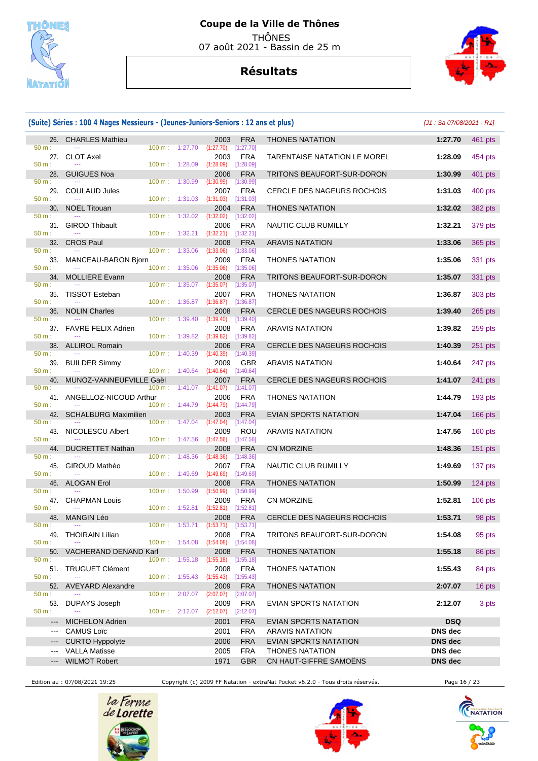

# **Résultats**



#### **(Suite) Séries : 100 4 Nages Messieurs - (Jeunes-Juniors-Seniors : 12 ans et plus)** [J1 : Sa 07/08/2021 - R1] 26. CHARLES Mathieu 2003 FRA THONES NATATION **1:27.70** 461 pts 50 m : --- 100 m : 1:27.70 (1:27.70) [1:27.70] 27. CLOT Axel 2003 FRA TARENTAISE NATATION LE MOREL **1:28.09** 454 pts 50 m : --- 100 m : 1:28.09 (1:28.09) [1:28.09] 28. GUIGUES Noa 2006 FRA TRITONS BEAUFORT-SUR-DORON **1:30.99** 401 pts 50 m : --- 100 m : 1:30.99 (1:30.99) [1:30.99] 29. COULAUD Jules 2007 FRA CERCLE DES NAGEURS ROCHOIS **1:31.03** 400 pts 50 m : --- - -- - - - - - - - - - - - - 100 m : 1:31.03 (1:31.03) [1:31.03] 30. NOEL Titouan 2004 FRA THONES NATATION **1:32.02** 382 pts 50 m : --- 100 m : 1:32.02 (1:32.02) [1:32.02] 31. GIROD Thibault 2006 FRA NAUTIC CLUB RUMILLY **1:32.21** 379 pts 50 m : --- 100 m : 1:32.21 (1:32.21) [1:32.21] 32. CROS Paul 2008 FRA ARAVIS NATATION **1:33.06** 365 pts 50 m : --- -- -- - -- - - - - - - - - - 100 m : 1:33.06 (1:33.06) [1:33.06] 33. MANCEAU-BARON Bjorn 2009 FRA THONES NATATION **1:35.06** 331 pts 50 m : --- - -- - - - - - - - - - - - 100 m : 1:35.06 (1:35.06) [1:35.06] 34. MOLLIERE Evann 2008 FRA TRITONS BEAUFORT-SUR-DORON **1:35.07** 331 pts 50 m : --- 100 m : 1:35.07 (1:35.07) [1:35.07] 35. TISSOT Esteban 2007 FRA THONES NATATION **1:36.87** 303 pts 50 m : --- 100 m : 1:36.87 (1:36.87) [1:36.87] 36. NOLIN Charles 2008 FRA CERCLE DES NAGEURS ROCHOIS **1:39.40** 265 pts 50 m : --- - -- - - - - - - - - - - - - 100 m : 1:39.40 (1:39.40) [1:39.40] 37. FAVRE FELIX Adrien 2008 FRA ARAVIS NATATION **1:39.82** 259 pts 50 m : --- 100 m : 1:39.82 (1:39.82) [1:39.82] 38. ALLIROL Romain 2006 FRA CERCLE DES NAGEURS ROCHOIS **1:40.39** 251 pts 50 m : --- 100 m : 1:40.39 (1:40.39) [1:40.39] 39. BUILDER Simmy 2009 GBR ARAVIS NATATION **1:40.64** 247 pts 50 m : --- 100 m : 1:40.64 (1:40.64) [1:40.64] 40. MUNOZ-VANNEUFVILLE Gaël 2007 FRA CERCLE DES NAGEURS ROCHOIS **1:41.07** 241 pts 50 m : --- 100 m : 1:41.07 (1:41.07) [1:41.07] 41. ANGELLOZ-NICOUD Arthur 2006 FRA THONES NATATION **1:44.79** 193 pts 50 m : --- 100 m : 1:44.79 (1:44.79) [1:44.79] 42. SCHALBURG Maximilien 2003 FRA EVIAN SPORTS NATATION **1:47.04** 166 pts<br>
50 m : <del>...</del> 100 m i 1:47.04 **1:47.04 1:47.04 1:47.04 1:47.04 1:47.04 1:47.04 1:47.04 1:47.04 1:47.04 1:47.04 1:47.04 1:47.04** 50 m : --- 100 m : 1:47.04 (1:47.04) [1:47.04] 43. NICOLESCU Albert 2009 ROU ARAVIS NATATION **1:47.56** 160 pts 50 m : --- 100 m : 1:47.56 (1:47.56) [1:47.56] 44. DUCRETTET Nathan 2008 FRA CN MORZINE **1:48.36** 151 pts 50 m : --- 100 m : 1:48.36 (1:48.36) [1:48.36] 45. GIROUD Mathéo 2007 FRA NAUTIC CLUB RUMILLY **1:49.69** 137 pts 50 m : --- 100 m : 1:49.69 (1:49.69) [1:49.69] 46. ALOGAN Erol 2008 FRA THONES NATATION **1:50.99** 124 pts 50 m : --- -- - - - - - - - - - - - - 100 m : 1:50.99 (1:50.99) [1:50.99] 47. CHAPMAN Louis 2009 FRA CN MORZINE **1:52.81** 106 pts 50 m : --- 100 m : 1:52.81 (1:52.81) [1:52.81] 48. MANGIN Léo 2008 FRA CERCLE DES NAGEURS ROCHOIS **1:53.71** 98 pts 50 m : --- 100 m : 1:53.71 (1:53.71) [1:53.71] 49. THOIRAIN Lilian 2008 FRA TRITONS BEAUFORT-SUR-DORON **1:54.08** 95 pts 50 m : --- 100 m : 1:54.08 (1:54.08) [1:54.08] 50. VACHERAND DENAND Karl 2008 FRA THONES NATATION **1:55.18** 86 pts 50 m : --- 100 m : 1:55.18 (1:55.18) [1:55.18] 51. TRUGUET Clément 2008 FRA THONES NATATION **1:55.43** 84 pts<br>
50 m :  $\frac{1}{2}$  1.55.43  $\frac{1}{2}$  1.55.43  $\frac{1}{2}$  1.55.43  $\frac{1}{2}$  1.55.43  $\frac{1}{2}$  1.55.43  $\frac{1}{2}$  1.55.43  $\frac{1}{2}$  1.55.43  $\frac{1}{2}$  1.55.43  $\frac{1}{2}$ 50 m : --- - -- - - - - - - - - - - - 100 m : 1:55.43 (1:55.43) [1:55.43] 52. AVEYARD Alexandre 2009 FRA THONES NATATION **2:07.07** 16 pts 50 m : --- 100 m : 2:07.07 (2:07.07) [2:07.07] 53. DUPAYS Joseph 2009 FRA EVIAN SPORTS NATATION **2:12.07** 3 pts 50 m : --- 100 m : 2:12.07 (2:12.07) [2:12.07] --- MICHELON Adrien 2001 FRA EVIAN SPORTS NATATION **DSQ**   $\begin{array}{ccc} \text{CAMUS Loïc} & \text{DNS dec} \end{array}$  --- CURTO Hyppolyte 2006 FRA EVIAN SPORTS NATATION **DNS dec**  --- VALLA Matisse 2005 FRA THONES NATATION **DNS dec**  --- WILMOT Robert 1971 GBR CN HAUT-GIFFRE SAMOËNS **DNS dec**

Edition au : 07/08/2021 19:25 Copyright (c) 2009 FF Natation - extraNat Pocket v6.2.0 - Tous droits réservés. Page 16 / 23





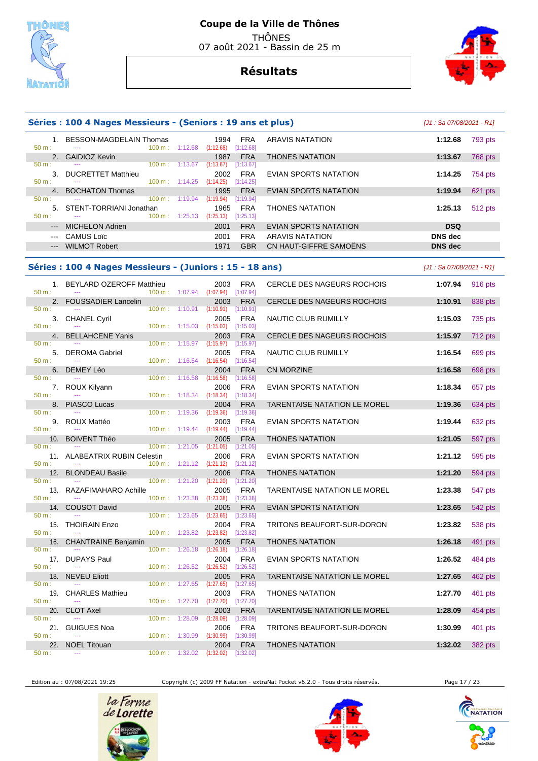

07 août 2021 - Bassin de 25 m

## **Résultats**



|                            | Séries : 100 4 Nages Messieurs - (Seniors : 19 ans et plus) |                                            |                                                                    |                                      |                              | [J1 : Sa 07/08/2021 - R1]  |                |
|----------------------------|-------------------------------------------------------------|--------------------------------------------|--------------------------------------------------------------------|--------------------------------------|------------------------------|----------------------------|----------------|
| 50 m:                      | 1. BESSON-MAGDELAIN Thomas                                  | $100 \text{ m}: 1:12.68$                   | 1994<br>$(1:12.68)$ $[1:12.68]$                                    | <b>FRA</b>                           | ARAVIS NATATION              | 1:12.68                    | 793 pts        |
|                            | 2. GAIDIOZ Kevin                                            |                                            | 1987                                                               | <b>FRA</b>                           | <b>THONES NATATION</b>       | 1:13.67                    | 768 pts        |
| 50 m:<br>50 m:             | 3. DUCRETTET Matthieu                                       | $100 \text{ m}: 1:13.67$<br>100 m: 1:14.25 | (1:13.67)<br>2002<br>(1:14.25)                                     | [1:13.67]<br><b>FRA</b><br>[1:14.25] | EVIAN SPORTS NATATION        | 1:14.25                    | 754 pts        |
|                            | 4. BOCHATON Thomas                                          |                                            | 1995                                                               | <b>FRA</b>                           | <b>EVIAN SPORTS NATATION</b> | 1:19.94                    | 621 pts        |
| 50 m:                      | 5. STENT-TORRIANI Jonathan                                  | $100 \text{ m}: 1:19.94$                   | (1:19.94)<br>1965                                                  | [1:19.94]<br><b>FRA</b>              | <b>THONES NATATION</b>       | 1:25.13                    | 512 pts        |
| 50 m:                      |                                                             |                                            | 100 m: 1:25.13 (1:25.13) [1:25.13]                                 |                                      |                              |                            |                |
| $\qquad \qquad \text{---}$ | <b>MICHELON Adrien</b>                                      |                                            | 2001                                                               | <b>FRA</b>                           | EVIAN SPORTS NATATION        | <b>DSQ</b>                 |                |
| $\qquad \qquad \cdots$     | <b>CAMUS Loïc</b>                                           |                                            | 2001                                                               | <b>FRA</b>                           | <b>ARAVIS NATATION</b>       | <b>DNS</b> dec             |                |
| $\qquad \qquad - -$        | <b>WILMOT Robert</b>                                        |                                            | 1971                                                               | <b>GBR</b>                           | CN HAUT-GIFFRE SAMOËNS       | <b>DNS</b> dec             |                |
|                            | Séries : 100 4 Nages Messieurs - (Juniors : 15 - 18 ans)    |                                            |                                                                    |                                      |                              | $[J1: Sa 07/08/2021 - R1]$ |                |
| $50 m$ :                   | 1. BEYLARD OZEROFF Matthieu                                 |                                            | 2003<br>$100 \text{ m}: 1:07.94$ $(1:07.94)$                       | FRA<br>[1:07.94]                     | CERCLE DES NAGEURS ROCHOIS   | 1:07.94                    | 916 pts        |
| 50 m:                      | 2. FOUSSADIER Lancelin                                      | 100 m: 1:10.91                             | 2003<br>(1:10.91)                                                  | <b>FRA</b><br>[1:10.91]              | CERCLE DES NAGEURS ROCHOIS   | 1:10.91                    | 838 pts        |
| 50 m:                      | 3. CHANEL Cyril                                             |                                            | 2005<br>$100 \text{ m}$ : $1:15.03$ $(1:15.03)$ $[1:15.03]$        | <b>FRA</b>                           | NAUTIC CLUB RUMILLY          | 1:15.03                    | 735 pts        |
|                            | 4. BELLAHCENE Yanis                                         |                                            | 2003                                                               | <b>FRA</b>                           | CERCLE DES NAGEURS ROCHOIS   | 1:15.97                    | $712$ pts      |
| 50 m:<br>50 m:             | 5. DEROMA Gabriel                                           | $100 \text{ m}: 1:15.97$                   | (1:15.97)<br>2005<br>$100 \text{ m}$ : 1:16.54 (1:16.54) [1:16.54] | [1:15.97]<br><b>FRA</b>              | NAUTIC CLUB RUMILLY          | 1:16.54                    | 699 pts        |
|                            | 6. DEMEY Léo                                                |                                            | 2004                                                               | <b>FRA</b>                           | <b>CN MORZINE</b>            | 1:16.58                    | 698 pts        |
| 50 m:                      |                                                             | $100 \text{ m}: 1:16.58$                   | (1:16.58)                                                          | [1:16.58]                            |                              |                            |                |
| 50 m:                      | 7. ROUX Kilyann                                             |                                            | 2006<br>100 m: 1:18.34 (1:18.34) [1:18.34]                         | FRA                                  | EVIAN SPORTS NATATION        | 1:18.34                    | 657 pts        |
|                            | 8. PIASCO Lucas                                             |                                            | 2004                                                               | <b>FRA</b>                           | TARENTAISE NATATION LE MOREL | 1:19.36                    | 634 pts        |
| 50 m:                      | $\sim$ $\sim$<br>9. ROUX Mattéo                             | 100 m: 1:19.36                             | (1:19.36)<br>2003                                                  | [1:19.36]<br>FRA                     | EVIAN SPORTS NATATION        | 1:19.44                    | 632 pts        |
| 50 m:                      |                                                             |                                            | $100 \text{ m}: 1:19.44$ $(1:19.44)$ $[1:19.44]$                   |                                      |                              |                            |                |
| $50 m$ :                   | 10. BOIVENT Théo                                            | 100 m: 1:21.05                             | 2005<br>(1:21.05)                                                  | <b>FRA</b><br>[1:21.05]              | <b>THONES NATATION</b>       | 1:21.05                    | 597 pts        |
|                            | 11. ALABEATRIX RUBIN Celestin                               |                                            | 2006                                                               | <b>FRA</b>                           | EVIAN SPORTS NATATION        | 1:21.12                    | 595 pts        |
| 50 m:                      | 12. BLONDEAU Basile                                         | $100 \text{ m}: 1:21.12$ $(1:21.12)$       | 2006                                                               | [1:21.12]<br><b>FRA</b>              | <b>THONES NATATION</b>       | 1:21.20                    | <b>594 pts</b> |
| 50 m:                      |                                                             | $100 \text{ m}: 1:21.20$                   | (1:21.20)                                                          | [1:21.20]                            |                              |                            |                |
| 50 m:                      | 13. RAZAFIMAHARO Achille<br>$\sim$ $\sim$                   | $100 \text{ m}: 1:23.38$                   | 2005<br>$(1:23.38)$ $[1:23.38]$                                    | <b>FRA</b>                           | TARENTAISE NATATION LE MOREL | 1:23.38                    | 547 pts        |
|                            | 14. COUSOT David                                            |                                            | 2005                                                               | <b>FRA</b>                           | <b>EVIAN SPORTS NATATION</b> | 1:23.65                    | 542 pts        |
| 50 m:                      | $\sim$<br>15. THOIRAIN Enzo                                 |                                            | 100 m : 1:23.65 (1:23.65) [1:23.65]                                | 2004 FRA                             | TRITONS BEAUFORT-SUR-DORON   | 1:23.82 538 pts            |                |
| 50 m :                     | $\sim$                                                      |                                            | 100 m : 1:23.82 (1:23.82) [1:23.82]                                |                                      |                              |                            |                |
| 50 m:                      | 16. CHANTRAINE Benjamin                                     |                                            | 2005<br>100 m: 1:26.18 (1:26.18) [1:26.18]                         | <b>FRA</b>                           | <b>THONES NATATION</b>       | 1:26.18                    | 491 pts        |
|                            | 17. DUPAYS Paul                                             |                                            | 2004                                                               | <b>FRA</b>                           | EVIAN SPORTS NATATION        | 1:26.52                    | 484 pts        |
| 50 m:                      |                                                             |                                            | 100 m : 1:26.52 (1:26.52) [1:26.52]                                |                                      |                              |                            |                |
| 50 m:                      | 18. NEVEU Eliott                                            |                                            | 2005<br>100 m : 1:27.65 (1:27.65) [1:27.65]                        | <b>FRA</b>                           | TARENTAISE NATATION LE MOREL | 1:27.65                    | 462 pts        |
| $50 m$ :                   | 19. CHARLES Mathieu                                         |                                            | 2003<br>100 m : 1:27.70 (1:27.70) [1:27.70]                        | FRA                                  | <b>THONES NATATION</b>       | 1:27.70                    | 461 pts        |
| 20.                        | <b>CLOT Axel</b>                                            |                                            | 2003                                                               | <b>FRA</b>                           | TARENTAISE NATATION LE MOREL | 1:28.09                    | 454 pts        |
| 50 m:<br>21.               | $\sim$ $\sim$<br>GUIGUES Noa                                | 100 m: 1:28.09                             | $(1:28.09)$ $[1:28.09]$<br>2006                                    | <b>FRA</b>                           | TRITONS BEAUFORT-SUR-DORON   | 1:30.99                    | 401 pts        |
| $50 m$ :                   |                                                             |                                            | 100 m : 1:30.99 (1:30.99) [1:30.99]                                |                                      |                              |                            |                |
| $50 m$ :                   | 22. NOEL Titouan                                            |                                            | 2004<br>100 m: 1:32.02 (1:32.02) [1:32.02]                         | <b>FRA</b>                           | <b>THONES NATATION</b>       | 1:32.02                    | 382 pts        |
|                            |                                                             |                                            |                                                                    |                                      |                              |                            |                |

Edition au : 07/08/2021 19:25 Copyright (c) 2009 FF Natation - extraNat Pocket v6.2.0 - Tous droits réservés. Page 17 / 23





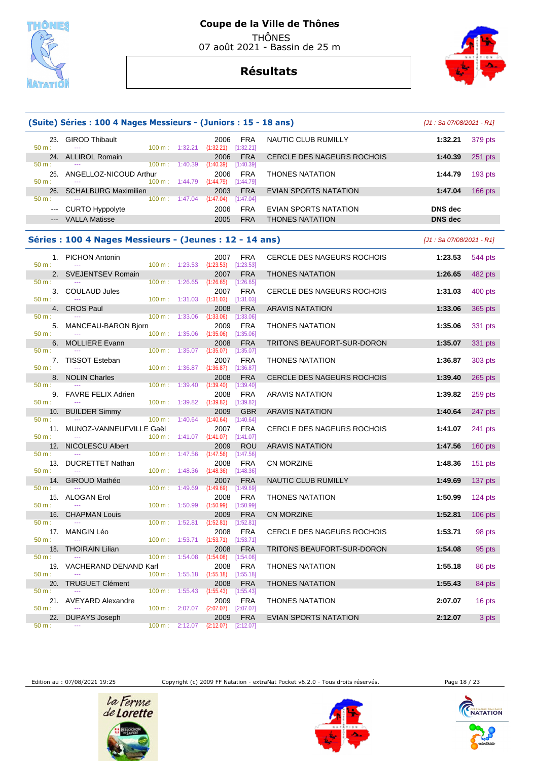



|                           |                                                         |                                    |                                     |                                              | (Suite) Séries : 100 4 Nages Messieurs - (Juniors : 15 - 18 ans) |                                   |                            | $[J1: Sa 07/08/2021 - R1]$ |
|---------------------------|---------------------------------------------------------|------------------------------------|-------------------------------------|----------------------------------------------|------------------------------------------------------------------|-----------------------------------|----------------------------|----------------------------|
| 50 m:                     | 23. GIROD Thibault                                      | 100 m: 1:32.21                     |                                     | 2006<br>(1:32.21)                            | <b>FRA</b><br>[1:32.21]                                          | NAUTIC CLUB RUMILLY               | 1:32.21                    | 379 pts                    |
| 50 m:                     | 24. ALLIROL Romain                                      | 100 m:                             | 1:40.39                             | 2006<br>(1:40.39)                            | <b>FRA</b><br>[1:40.39]                                          | CERCLE DES NAGEURS ROCHOIS        | 1:40.39                    | $251$ pts                  |
| 25.<br>50 m:              | ANGELLOZ-NICOUD Arthur                                  | 100 m: 1:44.79                     |                                     | 2006<br>(1:44.79)                            | <b>FRA</b><br>[1:44.79]                                          | THONES NATATION                   | 1:44.79                    | 193 pts                    |
| 26.<br>$50 m$ :           | <b>SCHALBURG Maximilien</b>                             | $100 \text{ m}: 1:47.04$           |                                     | 2003<br>(1:47.04)                            | <b>FRA</b><br>[1:47.04]                                          | <b>EVIAN SPORTS NATATION</b>      | 1:47.04                    | 166 pts                    |
| ---                       | <b>CURTO Hyppolyte</b>                                  |                                    |                                     | 2006                                         | <b>FRA</b>                                                       | EVIAN SPORTS NATATION             | <b>DNS</b> dec             |                            |
| $\qquad \qquad -\qquad -$ | <b>VALLA Matisse</b>                                    |                                    |                                     | 2005                                         | <b>FRA</b>                                                       | <b>THONES NATATION</b>            | <b>DNS</b> dec             |                            |
|                           | Séries : 100 4 Nages Messieurs - (Jeunes : 12 - 14 ans) |                                    |                                     |                                              |                                                                  |                                   | $[J1: Sa 07/08/2021 - R1]$ |                            |
| $50 m$ :                  | 1. PICHON Antonin                                       | $100 \text{ m}: 1:23.53$           |                                     | 2007<br>(1:23.53)                            | FRA<br>[1:23.53]                                                 | CERCLE DES NAGEURS ROCHOIS        | 1:23.53                    | 544 pts                    |
| 2.                        | <b>SVEJENTSEV Romain</b>                                |                                    |                                     | 2007                                         | <b>FRA</b>                                                       | <b>THONES NATATION</b>            | 1:26.65                    | 482 pts                    |
| 50 m:<br>3.<br>50 m:      | <b>COULAUD Jules</b>                                    | 100 m:                             | 1:26.65<br>$100 \text{ m}: 1:31.03$ | (1:26.65)<br>2007<br>(1:31.03)               | [1:26.65]<br><b>FRA</b><br>[1:31.03]                             | CERCLE DES NAGEURS ROCHOIS        | 1:31.03                    | 400 pts                    |
|                           | 4. CROS Paul                                            |                                    |                                     | 2008                                         | <b>FRA</b>                                                       | <b>ARAVIS NATATION</b>            | 1:33.06                    | 365 pts                    |
| 50 m:<br>5.<br>50 m:      | MANCEAU-BARON Bjorn                                     | 100 m: 1:33.06<br>100 m: 1:35.06   |                                     | (1:33.06)<br>2009<br>(1:35.06)               | [1:33.06]<br><b>FRA</b><br>[1:35.06]                             | <b>THONES NATATION</b>            | 1:35.06                    | 331 pts                    |
| 6.                        | <b>MOLLIERE Evann</b>                                   |                                    |                                     | 2008                                         | <b>FRA</b>                                                       | <b>TRITONS BEAUFORT-SUR-DORON</b> | 1:35.07                    | 331 pts                    |
| 50 m:<br>50 m:            | 7. TISSOT Esteban                                       | $100 m$ :<br>100 m:                | 1:35.07<br>1:36.87                  | (1:35.07)<br>2007<br>(1:36.87)               | [1:35.07]<br><b>FRA</b><br>[1:36.87]                             | <b>THONES NATATION</b>            | 1:36.87                    | 303 pts                    |
| 8.<br>50 m:               | <b>NOLIN Charles</b>                                    | 100 m:                             | 1:39.40                             | 2008<br>(1:39.40)                            | <b>FRA</b><br>[1:39.40]                                          | CERCLE DES NAGEURS ROCHOIS        | 1:39.40                    | $265$ pts                  |
| 9.<br>50 m:               | <b>FAVRE FELIX Adrien</b>                               | 100 m:                             | 1:39.82                             | 2008<br>(1:39.82)                            | <b>FRA</b><br>[1:39.82]                                          | <b>ARAVIS NATATION</b>            | 1:39.82                    | 259 pts                    |
| 10.                       | <b>BUILDER Simmy</b>                                    |                                    |                                     | 2009                                         | <b>GBR</b>                                                       | <b>ARAVIS NATATION</b>            | 1:40.64                    | 247 pts                    |
| 50 m:<br>11.<br>50 m:     | MUNOZ-VANNEUFVILLE Gaël                                 | 100 m:<br>100 m:                   | 1:40.64<br>1:41.07                  | (1:40.64)<br>2007<br>(1:41.07)               | [1:40.64]<br><b>FRA</b><br>[1:41.07]                             | CERCLE DES NAGEURS ROCHOIS        | 1:41.07                    | 241 pts                    |
| 12.<br>50 m:              | NICOLESCU Albert                                        |                                    |                                     | 2009                                         | <b>ROU</b>                                                       | <b>ARAVIS NATATION</b>            | 1:47.56                    | $160$ pts                  |
| 13.<br>$50 m$ :           | <b>DUCRETTET Nathan</b>                                 | 100 m:<br>$100 \text{ m}: 1:48.36$ | 1:47.56                             | (1:47.56)<br>2008<br>(1:48.36)               | [1:47.56]<br><b>FRA</b><br>[1:48.36]                             | <b>CN MORZINE</b>                 | 1:48.36                    | 151 pts                    |
| 14.                       | GIROUD Mathéo                                           |                                    |                                     | 2007                                         | <b>FRA</b>                                                       | NAUTIC CLUB RUMILLY               | 1:49.69                    | $137$ pts                  |
| 50 m:<br>50 m:            | 15. ALOGAN Erol                                         | 100 m:<br>$100 \text{ m}: 1:50.99$ | 1:49.69                             | (1:49.69)<br>2008<br>$(1:50.99)$ $[1:50.99]$ | [1:49.69]<br><b>FRA</b>                                          | <b>THONES NATATION</b>            | 1:50.99                    | $124$ pts                  |
|                           | 16. CHAPMAN Louis                                       |                                    |                                     |                                              | 2009 FRA                                                         | CN MORZINE                        |                            | 1:52.81 106 pts            |
| 50 m:<br>17.              | MANGIN Léo                                              |                                    | 100 m: 1:52.81                      | (1:52.81)<br>2008                            | [1:52.81]<br><b>FRA</b>                                          | CERCLE DES NAGEURS ROCHOIS        | 1:53.71                    | 98 pts                     |
| 50 m:<br>18.              | <b>THOIRAIN Lilian</b>                                  | 100 m: 1:53.71                     |                                     | (1:53.71)<br>2008                            | [1:53.71]<br><b>FRA</b>                                          | TRITONS BEAUFORT-SUR-DORON        | 1:54.08                    | 95 pts                     |
| $50 m$ :<br>19.           | VACHERAND DENAND Karl                                   | 100 m:                             | 1:54.08                             | (1:54.08)<br>2008                            | [1:54.08]<br><b>FRA</b>                                          | <b>THONES NATATION</b>            | 1:55.18                    | 86 pts                     |
| 50 m:<br>20.              | <b>TRUGUET Clément</b>                                  |                                    |                                     | $100 \text{ m}: 1:55.18 (1:55.18)$<br>2008   | [1:55.18]<br><b>FRA</b>                                          | <b>THONES NATATION</b>            | 1:55.43                    | 84 pts                     |
| $50 m$ :                  | 21. AVEYARD Alexandre                                   | $100 \text{ m}$ :                  | 1:55.43                             | (1:55.43)<br>2009                            | $[1:55.43]$<br>FRA                                               | <b>THONES NATATION</b>            | 2:07.07                    | 16 pts                     |
| 50 m:<br>22.<br>$50 m$ :  | <b>DUPAYS Joseph</b>                                    | 100 m: 2:07.07                     | 100 m: 2:12.07                      | $(2:07.07)$ $[2:07.07]$<br>2009<br>(2:12.07) | <b>FRA</b><br>[2:12.07]                                          | EVIAN SPORTS NATATION             | 2:12.07                    | 3 pts                      |

Edition au : 07/08/2021 19:25 Copyright (c) 2009 FF Natation - extraNat Pocket v6.2.0 - Tous droits réservés. Page 18 / 23







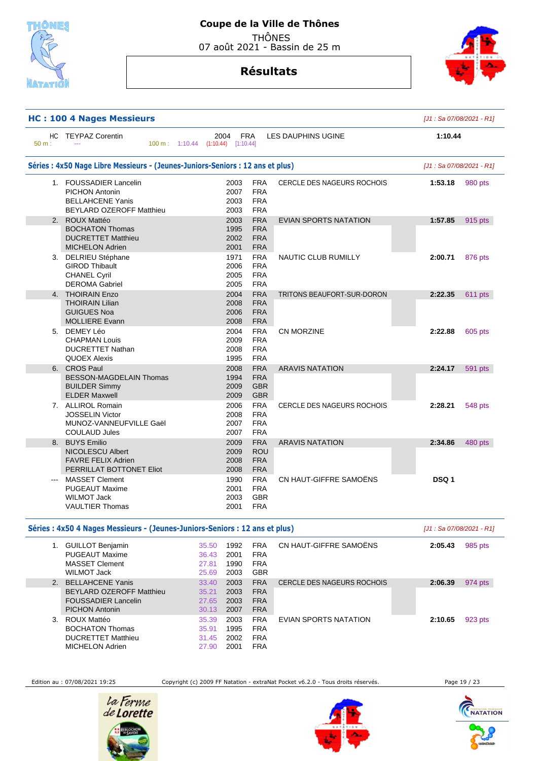

07 août 2021 - Bassin de 25 m

## **Résultats**



|       | <b>HC: 100 4 Nages Messieurs</b>                                                                              |                                            |                                                      |                                   |         | [J1: Sa 07/08/2021 - R1] |
|-------|---------------------------------------------------------------------------------------------------------------|--------------------------------------------|------------------------------------------------------|-----------------------------------|---------|--------------------------|
| 50 m: | HC TEYPAZ Corentin                                                                                            | 2004<br>100 m: 1:10.44 (1:10.44) [1:10.44] | <b>FRA</b>                                           | <b>LES DAUPHINS UGINE</b>         | 1:10.44 |                          |
|       | Séries : 4x50 Nage Libre Messieurs - (Jeunes-Juniors-Seniors : 12 ans et plus)                                |                                            |                                                      |                                   |         | [J1: Sa 07/08/2021 - R1] |
|       | 1. FOUSSADIER Lancelin<br><b>PICHON Antonin</b><br><b>BELLAHCENE Yanis</b><br><b>BEYLARD OZEROFF Matthieu</b> | 2003<br>2007<br>2003<br>2003               | <b>FRA</b><br><b>FRA</b><br><b>FRA</b><br><b>FRA</b> | <b>CERCLE DES NAGEURS ROCHOIS</b> | 1:53.18 | 980 pts                  |
|       | 2. ROUX Mattéo<br><b>BOCHATON Thomas</b><br><b>DUCRETTET Matthieu</b><br><b>MICHELON Adrien</b>               | 2003<br>1995<br>2002<br>2001               | <b>FRA</b><br><b>FRA</b><br><b>FRA</b><br><b>FRA</b> | <b>EVIAN SPORTS NATATION</b>      | 1:57.85 | 915 pts                  |
|       | 3. DELRIEU Stéphane<br><b>GIROD Thibault</b><br><b>CHANEL Cyril</b><br><b>DEROMA Gabriel</b>                  | 1971<br>2006<br>2005<br>2005               | <b>FRA</b><br><b>FRA</b><br><b>FRA</b><br><b>FRA</b> | NAUTIC CLUB RUMILLY               | 2:00.71 | 876 pts                  |
|       | 4. THOIRAIN Enzo                                                                                              | 2004                                       | <b>FRA</b>                                           | TRITONS BEAUFORT-SUR-DORON        | 2:22.35 | 611 pts                  |
|       | <b>THOIRAIN Lilian</b><br><b>GUIGUES Noa</b><br><b>MOLLIERE Evann</b>                                         | 2008<br>2006<br>2008                       | <b>FRA</b><br><b>FRA</b><br><b>FRA</b>               |                                   |         |                          |
|       | 5. DEMEY Léo<br><b>CHAPMAN Louis</b><br><b>DUCRETTET Nathan</b><br><b>QUOEX Alexis</b>                        | 2004<br>2009<br>2008<br>1995               | <b>FRA</b><br><b>FRA</b><br><b>FRA</b><br><b>FRA</b> | CN MORZINE                        | 2:22.88 | 605 pts                  |
|       | 6. CROS Paul                                                                                                  | 2008                                       | <b>FRA</b>                                           | <b>ARAVIS NATATION</b>            | 2:24.17 | 591 pts                  |
|       | BESSON-MAGDELAIN Thomas<br><b>BUILDER Simmy</b><br><b>ELDER Maxwell</b>                                       | 1994<br>2009<br>2009                       | <b>FRA</b><br><b>GBR</b><br><b>GBR</b>               |                                   |         |                          |
|       | 7. ALLIROL Romain<br><b>JOSSELIN Victor</b><br>MUNOZ-VANNEUFVILLE Gaël<br><b>COULAUD Jules</b>                | 2006<br>2008<br>2007<br>2007               | <b>FRA</b><br><b>FRA</b><br><b>FRA</b><br><b>FRA</b> | <b>CERCLE DES NAGEURS ROCHOIS</b> | 2:28.21 | 548 pts                  |
|       | 8. BUYS Emilio                                                                                                | 2009                                       | <b>FRA</b>                                           | <b>ARAVIS NATATION</b>            | 2:34.86 | 480 pts                  |
|       | <b>NICOLESCU Albert</b><br><b>FAVRE FELIX Adrien</b><br>PERRILLAT BOTTONET Eliot                              | 2009<br>2008<br>2008                       | <b>ROU</b><br><b>FRA</b><br><b>FRA</b>               |                                   |         |                          |
|       | <b>MASSET Clement</b><br><b>PUGEAUT Maxime</b><br><b>WILMOT Jack</b><br><b>VAULTIER Thomas</b>                | 1990<br>2001<br>2003<br>2001               | <b>FRA</b><br><b>FRA</b><br><b>GBR</b><br><b>FRA</b> | CN HAUT-GIFFRE SAMOËNS            | DSQ 1   |                          |
|       | Séries : 4x50 4 Nages Messieurs - (Jeunes-Juniors-Seniors : 12 ans et plus)                                   |                                            |                                                      |                                   |         | [J1: Sa 07/08/2021 - R1] |
|       | 1. GUILLOT Benjamin                                                                                           | 1992<br>35.50                              | <b>FRA</b>                                           | CN HAUT-GIFFRE SAMOËNS            | 2:05.43 | 985 pts                  |

|             | <b>GUILLOT Benjamin</b><br><b>PUGEAUT Maxime</b><br>MASSET Clement<br>WILMOT Jack      | 35.50<br>36.43<br>27.81<br>25.69 | 1992<br>2001<br>1990<br>2003 | <b>FRA</b><br><b>FRA</b><br><b>FRA</b><br><b>GBR</b> | CN HAUT-GIFFRE SAMOËNS     | 2:05.43 | 985 pts |
|-------------|----------------------------------------------------------------------------------------|----------------------------------|------------------------------|------------------------------------------------------|----------------------------|---------|---------|
| $2^{\circ}$ | <b>BELLAHCENE Yanis</b>                                                                | 33.40                            | 2003                         | <b>FRA</b>                                           | CERCLE DES NAGEURS ROCHOIS | 2:06.39 | 974 pts |
|             | <b>BEYLARD OZEROFF Matthieu</b><br><b>FOUSSADIER Lancelin</b><br><b>PICHON Antonin</b> | 35.21<br>27.65<br>30.13          | 2003<br>2003<br>2007         | <b>FRA</b><br><b>FRA</b><br><b>FRA</b>               |                            |         |         |
| 3.          | ROUX Mattéo<br><b>BOCHATON Thomas</b><br><b>DUCRETTET Matthieu</b><br>MICHELON Adrien  | 35.39<br>35.91<br>31.45<br>27.90 | 2003<br>1995<br>2002<br>2001 | <b>FRA</b><br><b>FRA</b><br><b>FRA</b><br><b>FRA</b> | EVIAN SPORTS NATATION      | 2:10.65 | 923 pts |

Edition au : 07/08/2021 19:25 Copyright (c) 2009 FF Natation - extraNat Pocket v6.2.0 - Tous droits réservés. Page 19 / 23





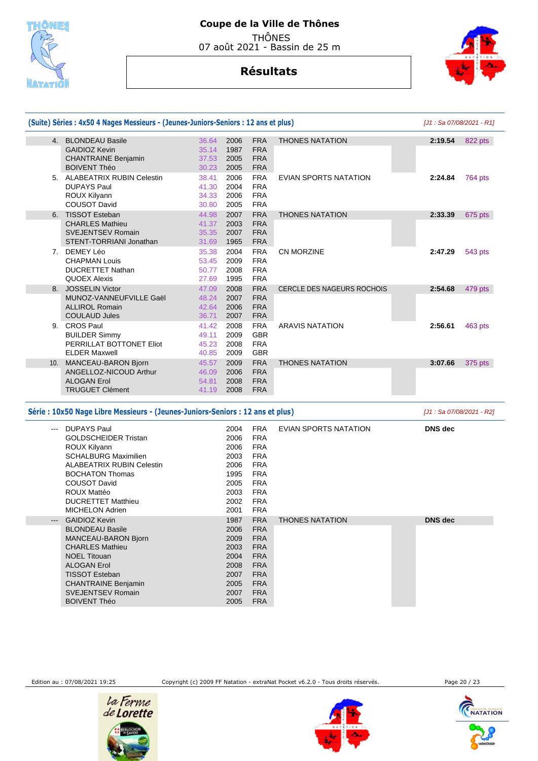

## **Résultats**



|         | (Suite) Séries : 4x50 4 Nages Messieurs - (Jeunes-Juniors-Seniors : 12 ans et plus) |                |              |                          |                                   | $[J1: Sa 07/08/2021 - R1]$ |                |
|---------|-------------------------------------------------------------------------------------|----------------|--------------|--------------------------|-----------------------------------|----------------------------|----------------|
|         | 4. BLONDEAU Basile                                                                  | 36.64          | 2006         | <b>FRA</b>               | <b>THONES NATATION</b>            | 2:19.54                    | 822 pts        |
|         | <b>GAIDIOZ Kevin</b>                                                                | 35.14          | 1987         | <b>FRA</b>               |                                   |                            |                |
|         | <b>CHANTRAINE Benjamin</b>                                                          | 37.53          | 2005         | <b>FRA</b>               |                                   |                            |                |
|         | <b>BOIVENT Théo</b>                                                                 | 30.23          | 2005         | <b>FRA</b>               |                                   |                            |                |
|         | 5. ALABEATRIX RUBIN Celestin<br><b>DUPAYS Paul</b>                                  | 38.41<br>41.30 | 2006<br>2004 | <b>FRA</b><br><b>FRA</b> | EVIAN SPORTS NATATION             | 2:24.84                    | <b>764 pts</b> |
|         | ROUX Kilyann                                                                        | 34.33          | 2006         | <b>FRA</b>               |                                   |                            |                |
|         | <b>COUSOT David</b>                                                                 | 30.80          | 2005         | <b>FRA</b>               |                                   |                            |                |
| 6.      | <b>TISSOT Esteban</b>                                                               | 44.98          | 2007         | <b>FRA</b>               | <b>THONES NATATION</b>            | 2:33.39                    | 675 pts        |
|         | <b>CHARLES Mathieu</b>                                                              | 41.37          | 2003         | <b>FRA</b>               |                                   |                            |                |
|         | <b>SVEJENTSEV Romain</b>                                                            | 35.35          | 2007         | <b>FRA</b>               |                                   |                            |                |
|         | STENT-TORRIANI Jonathan                                                             | 31.69          | 1965         | <b>FRA</b>               |                                   |                            |                |
|         | 7. DEMEY Léo                                                                        | 35.38          | 2004         | <b>FRA</b>               | <b>CN MORZINE</b>                 | 2:47.29                    | 543 pts        |
|         | <b>CHAPMAN Louis</b>                                                                | 53.45          | 2009         | <b>FRA</b>               |                                   |                            |                |
|         | <b>DUCRETTET Nathan</b>                                                             | 50.77          | 2008         | <b>FRA</b>               |                                   |                            |                |
|         | <b>QUOEX Alexis</b>                                                                 | 27.69          | 1995         | <b>FRA</b>               |                                   |                            |                |
|         | 8. JOSSELIN Victor                                                                  | 47.09          | 2008         | <b>FRA</b>               | <b>CERCLE DES NAGEURS ROCHOIS</b> | 2:54.68                    | 479 pts        |
|         | MUNOZ-VANNEUFVILLE Gaël                                                             | 48.24          | 2007         | <b>FRA</b>               |                                   |                            |                |
|         | <b>ALLIROL Romain</b>                                                               | 42.64          | 2006         | <b>FRA</b>               |                                   |                            |                |
|         | <b>COULAUD Jules</b>                                                                | 36.71          | 2007         | <b>FRA</b>               |                                   |                            |                |
| 9.      | <b>CROS Paul</b>                                                                    | 41.42          | 2008         | <b>FRA</b>               | <b>ARAVIS NATATION</b>            | 2:56.61                    | 463 pts        |
|         | <b>BUILDER Simmy</b>                                                                | 49.11          | 2009         | <b>GBR</b>               |                                   |                            |                |
|         | PERRILLAT BOTTONET Eliot                                                            | 45.23          | 2008         | <b>FRA</b>               |                                   |                            |                |
|         | <b>ELDER Maxwell</b>                                                                | 40.85          | 2009         | <b>GBR</b>               |                                   |                            |                |
|         | 10. MANCEAU-BARON Bjorn                                                             | 45.57          | 2009         | <b>FRA</b>               | <b>THONES NATATION</b>            | 3:07.66                    | 375 pts        |
|         | ANGELLOZ-NICOUD Arthur                                                              | 46.09          | 2006         | <b>FRA</b>               |                                   |                            |                |
|         | <b>ALOGAN Erol</b>                                                                  | 54.81          | 2008         | <b>FRA</b>               |                                   |                            |                |
|         | <b>TRUGUET Clément</b>                                                              | 41.19          | 2008         | <b>FRA</b>               |                                   |                            |                |
|         | Série : 10x50 Nage Libre Messieurs - (Jeunes-Juniors-Seniors : 12 ans et plus)      |                |              |                          |                                   | [J1 : Sa 07/08/2021 - R2]  |                |
| $- - -$ | <b>DUPAYS Paul</b>                                                                  |                | 2004         | <b>FRA</b>               | <b>EVIAN SPORTS NATATION</b>      | <b>DNS</b> dec             |                |
|         | <b>GOLDSCHEIDER Tristan</b>                                                         |                | 2006         | <b>FRA</b>               |                                   |                            |                |
|         | ROUX Kilyann                                                                        |                | 2006         | <b>FRA</b>               |                                   |                            |                |
|         | <b>SCHALBURG Maximilien</b>                                                         |                | 2003         | <b>FRA</b>               |                                   |                            |                |
|         | <b>ALABEATRIX RUBIN Celestin</b>                                                    |                | 2006         | <b>FRA</b>               |                                   |                            |                |
|         | <b>BOCHATON Thomas</b>                                                              |                | 1995         | <b>FRA</b>               |                                   |                            |                |
|         | <b>COUSOT David</b>                                                                 |                | 2005         | <b>FRA</b>               |                                   |                            |                |
|         | <b>ROUX Mattéo</b>                                                                  |                | 2003         | <b>FRA</b>               |                                   |                            |                |
|         | <b>DUCRETTET Matthieu</b>                                                           |                | 2002         | <b>FRA</b>               |                                   |                            |                |
|         | <b>MICHELON Adrien</b>                                                              |                | 2001         | <b>FRA</b>               |                                   |                            |                |
| $---$   | <b>GAIDIOZ Kevin</b>                                                                |                | 1987         | <b>FRA</b>               | <b>THONES NATATION</b>            | <b>DNS</b> dec             |                |

 BLONDEAU Basile MANCEAU-BARON Bjorn CHARLES Mathieu NOEL Titouan ALOGAN Erol TISSOT Esteban CHANTRAINE Benjamin SVEJENTSEV Romain BOIVENT Théo

Edition au : 07/08/2021 19:25 Copyright (c) 2009 FF Natation - extraNat Pocket v6.2.0 - Tous droits réservés. Page 20 / 23

 FRA FRA FRA FRA FRA FRA FRA FRA FRA





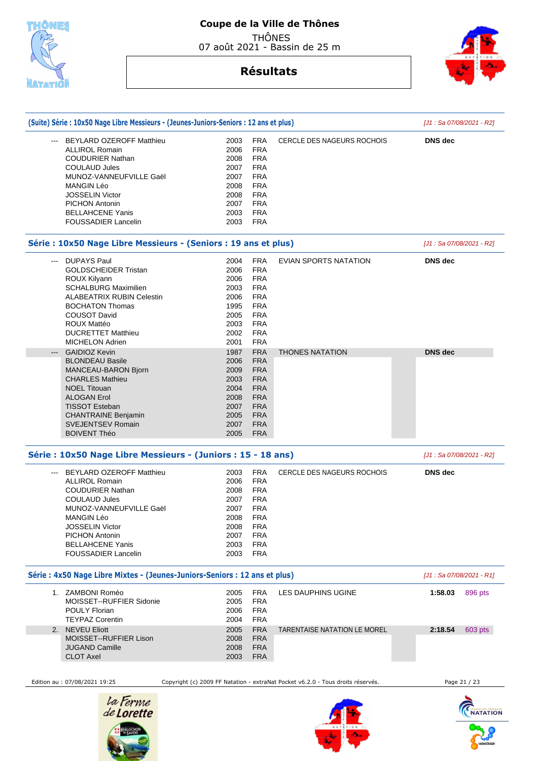

07 août 2021 - Bassin de 25 m

## **Résultats**



**BALLACERS** 

| (Suite) Série : 10x50 Nage Libre Messieurs - (Jeunes-Juniors-Seniors : 12 ans et plus) |      |                          |                                                                                 | [J1 : Sa 07/08/2021 - R2]  |
|----------------------------------------------------------------------------------------|------|--------------------------|---------------------------------------------------------------------------------|----------------------------|
| BEYLARD OZEROFF Matthieu                                                               | 2003 | <b>FRA</b>               | <b>CERCLE DES NAGEURS ROCHOIS</b>                                               | <b>DNS</b> dec             |
| <b>ALLIROL Romain</b>                                                                  | 2006 | <b>FRA</b>               |                                                                                 |                            |
| <b>COUDURIER Nathan</b>                                                                | 2008 | <b>FRA</b>               |                                                                                 |                            |
| <b>COULAUD Jules</b>                                                                   | 2007 | <b>FRA</b>               |                                                                                 |                            |
| MUNOZ-VANNEUFVILLE Gaël                                                                | 2007 | <b>FRA</b>               |                                                                                 |                            |
| <b>MANGIN Léo</b>                                                                      | 2008 | <b>FRA</b>               |                                                                                 |                            |
| <b>JOSSELIN Victor</b>                                                                 | 2008 | <b>FRA</b>               |                                                                                 |                            |
|                                                                                        |      | <b>FRA</b>               |                                                                                 |                            |
| <b>PICHON Antonin</b>                                                                  | 2007 |                          |                                                                                 |                            |
| <b>BELLAHCENE Yanis</b><br><b>FOUSSADIER Lancelin</b>                                  | 2003 | <b>FRA</b><br><b>FRA</b> |                                                                                 |                            |
|                                                                                        | 2003 |                          |                                                                                 |                            |
| Série : 10x50 Nage Libre Messieurs - (Seniors : 19 ans et plus)                        |      |                          |                                                                                 | [J1 : Sa 07/08/2021 - R2]  |
| <b>DUPAYS Paul</b><br>---                                                              | 2004 | <b>FRA</b>               | EVIAN SPORTS NATATION                                                           | <b>DNS</b> dec             |
| <b>GOLDSCHEIDER Tristan</b>                                                            | 2006 | <b>FRA</b>               |                                                                                 |                            |
| ROUX Kilyann                                                                           | 2006 | <b>FRA</b>               |                                                                                 |                            |
| <b>SCHALBURG Maximilien</b>                                                            | 2003 | <b>FRA</b>               |                                                                                 |                            |
| ALABEATRIX RUBIN Celestin                                                              | 2006 | <b>FRA</b>               |                                                                                 |                            |
| <b>BOCHATON Thomas</b>                                                                 |      | <b>FRA</b>               |                                                                                 |                            |
|                                                                                        | 1995 |                          |                                                                                 |                            |
| <b>COUSOT David</b>                                                                    | 2005 | <b>FRA</b>               |                                                                                 |                            |
| ROUX Mattéo                                                                            | 2003 | <b>FRA</b>               |                                                                                 |                            |
| <b>DUCRETTET Matthieu</b>                                                              | 2002 | <b>FRA</b>               |                                                                                 |                            |
| <b>MICHELON Adrien</b>                                                                 | 2001 | <b>FRA</b>               |                                                                                 |                            |
| <b>GAIDIOZ Kevin</b><br>$\qquad \qquad -\qquad -$                                      | 1987 | <b>FRA</b>               | <b>THONES NATATION</b>                                                          | <b>DNS</b> dec             |
| <b>BLONDEAU Basile</b>                                                                 | 2006 | <b>FRA</b>               |                                                                                 |                            |
|                                                                                        |      |                          |                                                                                 |                            |
| MANCEAU-BARON Bjorn                                                                    | 2009 | <b>FRA</b>               |                                                                                 |                            |
| <b>CHARLES Mathieu</b>                                                                 | 2003 | <b>FRA</b>               |                                                                                 |                            |
| <b>NOEL Titouan</b>                                                                    | 2004 | <b>FRA</b>               |                                                                                 |                            |
| <b>ALOGAN Erol</b>                                                                     | 2008 | <b>FRA</b>               |                                                                                 |                            |
| <b>TISSOT Esteban</b>                                                                  | 2007 | <b>FRA</b>               |                                                                                 |                            |
| <b>CHANTRAINE Benjamin</b>                                                             | 2005 | <b>FRA</b>               |                                                                                 |                            |
|                                                                                        |      |                          |                                                                                 |                            |
| <b>SVEJENTSEV Romain</b>                                                               | 2007 | <b>FRA</b>               |                                                                                 |                            |
| <b>BOIVENT Théo</b>                                                                    | 2005 | <b>FRA</b>               |                                                                                 |                            |
| Série : 10x50 Nage Libre Messieurs - (Juniors : 15 - 18 ans)                           |      |                          |                                                                                 | [J1 : Sa 07/08/2021 - R2]  |
| <b>BEYLARD OZEROFF Matthieu</b>                                                        | 2003 | <b>FRA</b>               | <b>CERCLE DES NAGEURS ROCHOIS</b>                                               | <b>DNS</b> dec             |
| <b>ALLIROL Romain</b>                                                                  | 2006 | <b>FRA</b>               |                                                                                 |                            |
| <b>COUDURIER Nathan</b>                                                                | 2008 | <b>FRA</b>               |                                                                                 |                            |
| <b>COULAUD Jules</b>                                                                   | 2007 | <b>FRA</b>               |                                                                                 |                            |
| MUNOZ-VANNEUFVILLE Gaël                                                                | 2007 | <b>FRA</b>               |                                                                                 |                            |
|                                                                                        |      |                          |                                                                                 |                            |
| MANGIN Léo                                                                             | 2008 | FRA                      |                                                                                 |                            |
| <b>JOSSELIN Victor</b>                                                                 | 2008 | <b>FRA</b>               |                                                                                 |                            |
| PICHON Antonin                                                                         | 2007 | <b>FRA</b>               |                                                                                 |                            |
| <b>BELLAHCENE Yanis</b>                                                                | 2003 | <b>FRA</b>               |                                                                                 |                            |
| <b>FOUSSADIER Lancelin</b>                                                             | 2003 | <b>FRA</b>               |                                                                                 |                            |
| Série : 4x50 Nage Libre Mixtes - (Jeunes-Juniors-Seniors : 12 ans et plus)             |      |                          |                                                                                 | $[J1: Sa 07/08/2021 - R1]$ |
| 1. ZAMBONI Roméo                                                                       | 2005 | <b>FRA</b>               | LES DAUPHINS UGINE                                                              | 1:58.03<br>896 pts         |
| MOISSET--RUFFIER Sidonie                                                               | 2005 | <b>FRA</b>               |                                                                                 |                            |
| <b>POULY Florian</b>                                                                   | 2006 | <b>FRA</b>               |                                                                                 |                            |
|                                                                                        |      |                          |                                                                                 |                            |
| <b>TEYPAZ Corentin</b>                                                                 | 2004 | <b>FRA</b>               |                                                                                 |                            |
| 2. NEVEU Eliott                                                                        | 2005 | <b>FRA</b>               | <b>TARENTAISE NATATION LE MOREL</b>                                             | 2:18.54<br>603 pts         |
| MOISSET--RUFFIER Lison                                                                 | 2008 | <b>FRA</b>               |                                                                                 |                            |
| JUGAND Camille                                                                         | 2008 | <b>FRA</b>               |                                                                                 |                            |
| <b>CLOT Axel</b>                                                                       | 2003 | <b>FRA</b>               |                                                                                 |                            |
| Edition au : 07/08/2021 19:25                                                          |      |                          | Copyright (c) 2009 FF Natation - extraNat Pocket v6.2.0 - Tous droits réservés. | Page 21 / 23               |
|                                                                                        |      |                          |                                                                                 |                            |
|                                                                                        |      |                          |                                                                                 |                            |
|                                                                                        |      |                          |                                                                                 |                            |
|                                                                                        |      |                          |                                                                                 |                            |
| la Ferme<br>de <b>Lorette</b>                                                          |      |                          |                                                                                 | <b>NATATION</b>            |

运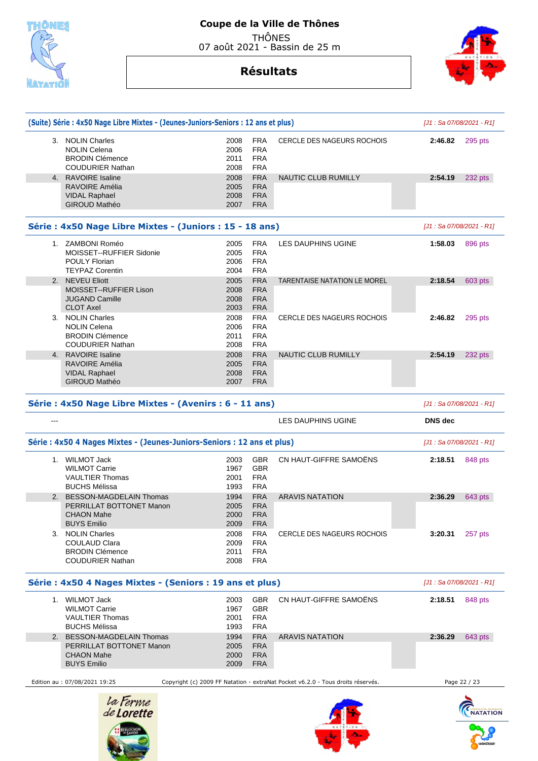

## **Coupe de la Ville de Thônes**  THÔNES

07 août 2021 - Bassin de 25 m

## **Résultats**

|       | (Suite) Série : 4x50 Nage Libre Mixtes - (Jeunes-Juniors-Seniors : 12 ans et plus) |              |                   |                                     | [J1 : Sa 07/08/2021 - R1] |         |
|-------|------------------------------------------------------------------------------------|--------------|-------------------|-------------------------------------|---------------------------|---------|
|       | 3. NOLIN Charles                                                                   | 2008         | <b>FRA</b>        | CERCLE DES NAGEURS ROCHOIS          | 2:46.82                   | 295 pts |
|       | <b>NOLIN Celena</b>                                                                | 2006         | <b>FRA</b>        |                                     |                           |         |
|       | <b>BRODIN Clémence</b>                                                             | 2011         | <b>FRA</b>        |                                     |                           |         |
|       | <b>COUDURIER Nathan</b>                                                            | 2008         | <b>FRA</b>        |                                     |                           |         |
| 4.    | <b>RAVOIRE Isaline</b>                                                             | 2008         | <b>FRA</b>        | NAUTIC CLUB RUMILLY                 | 2:54.19                   | 232 pts |
|       | RAVOIRE Amélia                                                                     | 2005         | <b>FRA</b>        |                                     |                           |         |
|       | <b>VIDAL Raphael</b>                                                               | 2008         | <b>FRA</b>        |                                     |                           |         |
|       | <b>GIROUD Mathéo</b>                                                               | 2007         | <b>FRA</b>        |                                     |                           |         |
|       | Série : 4x50 Nage Libre Mixtes - (Juniors : 15 - 18 ans)                           |              |                   |                                     | [J1: Sa 07/08/2021 - R1]  |         |
|       | 1. ZAMBONI Roméo                                                                   | 2005         | <b>FRA</b>        | LES DAUPHINS UGINE                  | 1:58.03                   | 896 pts |
|       | MOISSET--RUFFIER Sidonie                                                           | 2005         | <b>FRA</b>        |                                     |                           |         |
|       | <b>POULY Florian</b>                                                               | 2006         | <b>FRA</b>        |                                     |                           |         |
|       | <b>TEYPAZ Corentin</b>                                                             | 2004         | <b>FRA</b>        |                                     |                           |         |
| 2.    | <b>NEVEU Eliott</b>                                                                | 2005         | <b>FRA</b>        | <b>TARENTAISE NATATION LE MOREL</b> | 2:18.54                   | 603 pts |
|       | <b>MOISSET--RUFFIER Lison</b>                                                      | 2008         | <b>FRA</b>        |                                     |                           |         |
|       | <b>JUGAND Camille</b>                                                              | 2008         | <b>FRA</b>        |                                     |                           |         |
|       | <b>CLOT Axel</b>                                                                   | 2003         | <b>FRA</b>        |                                     |                           |         |
| 3.    | <b>NOLIN Charles</b>                                                               | 2008         | <b>FRA</b>        | <b>CERCLE DES NAGEURS ROCHOIS</b>   | 2:46.82                   | 295 pts |
|       | <b>NOLIN Celena</b>                                                                | 2006         | <b>FRA</b>        |                                     |                           |         |
|       | <b>BRODIN Clémence</b>                                                             | 2011         | <b>FRA</b>        |                                     |                           |         |
|       | <b>COUDURIER Nathan</b>                                                            | 2008         | <b>FRA</b>        |                                     |                           |         |
| 4.    | <b>RAVOIRE Isaline</b>                                                             | 2008         | <b>FRA</b>        | NAUTIC CLUB RUMILLY                 | 2:54.19                   | 232 pts |
|       | RAVOIRE Amélia                                                                     | 2005         | <b>FRA</b>        |                                     |                           |         |
|       | <b>VIDAL Raphael</b>                                                               | 2008         | <b>FRA</b>        |                                     |                           |         |
|       | <b>GIROUD Mathéo</b>                                                               | 2007         | <b>FRA</b>        |                                     |                           |         |
|       | Série : 4x50 Nage Libre Mixtes - (Avenirs : 6 - 11 ans)                            |              |                   |                                     | [J1 : Sa 07/08/2021 - R1] |         |
| $---$ |                                                                                    |              |                   | LES DAUPHINS UGINE                  | <b>DNS</b> dec            |         |
|       | Série : 4x50 4 Nages Mixtes - (Jeunes-Juniors-Seniors : 12 ans et plus)            |              |                   |                                     | [J1 : Sa 07/08/2021 - R1] |         |
|       | 1. WILMOT Jack                                                                     | 2003         | <b>GBR</b>        | CN HAUT-GIFFRE SAMOËNS              | 2:18.51                   | 848 pts |
|       | <b>WILMOT Carrie</b>                                                               | 1967         | <b>GBR</b>        |                                     |                           |         |
|       | <b>VAULTIER Thomas</b>                                                             | 2001         | <b>FRA</b>        |                                     |                           |         |
|       | <b>BUCHS Mélissa</b>                                                               | 1993         | <b>FRA</b>        |                                     |                           |         |
| 2.    | <b>BESSON-MAGDELAIN Thomas</b>                                                     | 1994         | <b>FRA</b>        | <b>ARAVIS NATATION</b>              | 2:36.29                   | 643 pts |
|       | PERRILLAT BOTTONET Manon                                                           | 2005         | <b>FRA</b>        |                                     |                           |         |
|       | <b>CHAON Mahe</b>                                                                  | 2000         | <b>FRA</b>        |                                     |                           |         |
|       | <b>BUYS Emilio</b>                                                                 | 2009         | <b>FRA</b>        |                                     |                           |         |
| 3.    | <b>NOLIN Charles</b>                                                               | 2008         | <b>FRA</b>        | <b>CERCLE DES NAGEURS ROCHOIS</b>   | 3:20.31                   | 257 pts |
|       | <b>COULAUD Clara</b>                                                               | 2009         | <b>FRA</b>        |                                     |                           |         |
|       | <b>BRODIN Clémence</b>                                                             | 2011         | <b>FRA</b>        |                                     |                           |         |
|       | <b>COUDURIER Nathan</b>                                                            | 2008         | <b>FRA</b>        |                                     |                           |         |
|       | Série : 4x50 4 Nages Mixtes - (Seniors : 19 ans et plus)                           |              |                   |                                     | [J1: Sa 07/08/2021 - R1]  |         |
|       |                                                                                    |              |                   |                                     |                           |         |
|       |                                                                                    |              |                   |                                     |                           |         |
|       | 1. WILMOT Jack<br><b>WILMOT Carrie</b>                                             | 2003<br>1967 | <b>GBR</b><br>GBR | CN HAUT-GIFFRE SAMOËNS              | 2:18.51                   | 848 pts |

| <b>VAULTIER Thomas</b>        | 2001 | FRA        |                                                                                 |         |              |
|-------------------------------|------|------------|---------------------------------------------------------------------------------|---------|--------------|
| <b>BUCHS Mélissa</b>          | 1993 | <b>FRA</b> |                                                                                 |         |              |
| 2. BESSON-MAGDELAIN Thomas    | 1994 | <b>FRA</b> | ARAVIS NATATION                                                                 | 2:36.29 | 643 pts      |
| PERRILLAT BOTTONET Manon      | 2005 | <b>FRA</b> |                                                                                 |         |              |
| CHAON Mahe                    | 2000 | <b>FRA</b> |                                                                                 |         |              |
| <b>BUYS Emilio</b>            | 2009 | <b>FRA</b> |                                                                                 |         |              |
|                               |      |            |                                                                                 |         |              |
| Edition au : 07/08/2021 19:25 |      |            | Copyright (c) 2009 FF Natation - extraNat Pocket v6.2.0 - Tous droits réservés. |         | Page 22 / 23 |